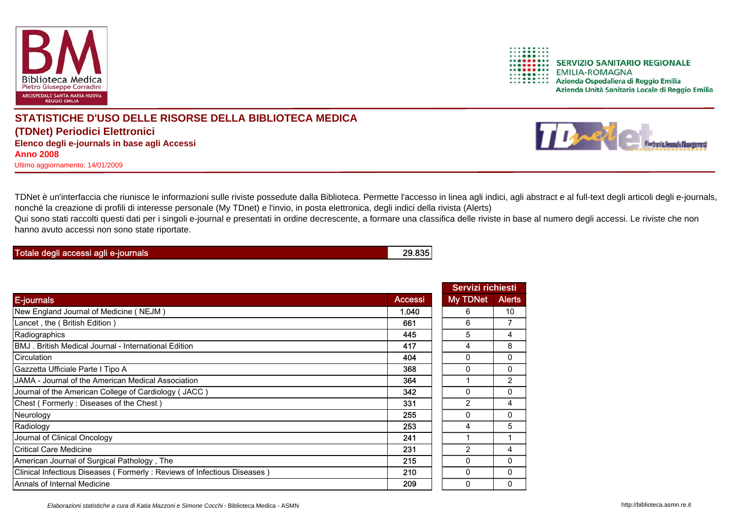

TDNet è un'interfaccia che riunisce le informazioni sulle riviste possedute dalla Biblioteca. Permette l'accesso in linea agli indici, agli abstract e al full-text degli articoli degli e-journals, nonché la creazione di profili di interesse personale (My TDnet) e l'invio, in posta elettronica, degli indici della rivista (Alerts)

Qui sono stati raccolti questi dati per i singoli e-journal e presentati in ordine decrescente, a formare una classifica delle riviste in base al numero degli accessi. Le riviste che non hanno avuto accessi non sono state riportate.

| Totale degli accessi agli e-journals | 29.835 |
|--------------------------------------|--------|
|                                      |        |

|                                                                         |         | Servizi richiesti |                |
|-------------------------------------------------------------------------|---------|-------------------|----------------|
| <b>E-journals</b>                                                       | Accessi | <b>My TDNet</b>   | <b>Alerts</b>  |
| New England Journal of Medicine (NEJM)                                  | 1.040   | 6                 | 10             |
| Lancet , the ( British Edition )                                        | 661     | 6                 | 7              |
| Radiographics                                                           | 445     | 5                 | 4              |
| BMJ. British Medical Journal - International Edition                    | 417     | 4                 | 8              |
| Circulation                                                             | 404     | $\Omega$          | 0              |
| Gazzetta Ufficiale Parte I Tipo A                                       | 368     | $\Omega$          | 0              |
| JAMA - Journal of the American Medical Association                      | 364     |                   | $\overline{2}$ |
| Journal of the American College of Cardiology (JACC)                    | 342     | $\Omega$          | 0              |
| Chest (Formerly: Diseases of the Chest)                                 | 331     | 2                 | 4              |
| Neurology                                                               | 255     | $\Omega$          | 0              |
| Radiology                                                               | 253     | 4                 | 5              |
| Journal of Clinical Oncology                                            | 241     |                   |                |
| <b>Critical Care Medicine</b>                                           | 231     | 2                 | 4              |
| American Journal of Surgical Pathology, The                             | 215     | $\Omega$          | 0              |
| Clinical Infectious Diseases (Formerly: Reviews of Infectious Diseases) | 210     | $\Omega$          | 0              |
| Annals of Internal Medicine                                             | 209     | 0                 | 0              |



 $\frac{1}{1}\n \cdots \n \cdots$ **SERVIZIO SANITARIO REGIONALE** ......... **EMILIA-ROMAGNA** Azienda Ospedaliera di Reggio Emilia

Azienda Unità Sanitaria Locale di Reggio Emilia



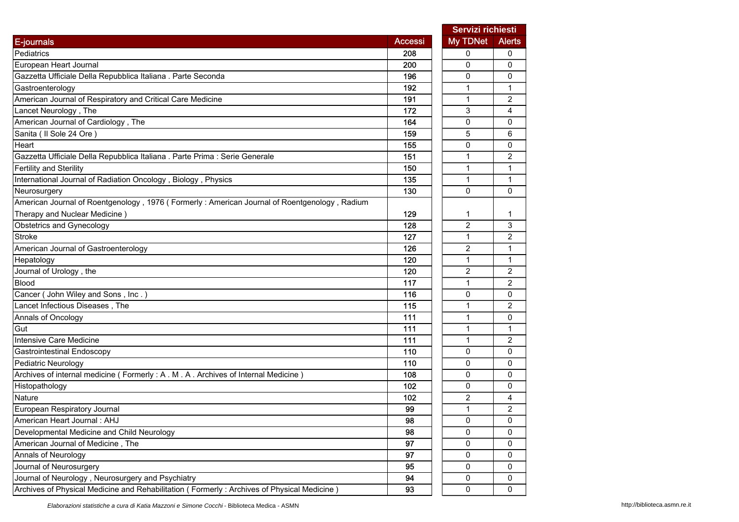|                                                                                              |                | Servizi richiesti |                |
|----------------------------------------------------------------------------------------------|----------------|-------------------|----------------|
| E-journals                                                                                   | <b>Accessi</b> | <b>My TDNet</b>   | <b>Alerts</b>  |
| Pediatrics                                                                                   | 208            | 0                 | 0              |
| European Heart Journal                                                                       | 200            | 0                 | $\mathbf{0}$   |
| Gazzetta Ufficiale Della Repubblica Italiana . Parte Seconda                                 | 196            | $\mathbf{0}$      | $\mathbf{0}$   |
| Gastroenterology                                                                             | 192            | 1                 | 1              |
| American Journal of Respiratory and Critical Care Medicine                                   | 191            | $\mathbf{1}$      | 2              |
| Lancet Neurology, The                                                                        | 172            | 3                 | 4              |
| American Journal of Cardiology, The                                                          | 164            | 0                 | 0              |
| Sanita ( Il Sole 24 Ore )                                                                    | 159            | 5                 | 6              |
| Heart                                                                                        | 155            | 0                 | 0              |
| Gazzetta Ufficiale Della Repubblica Italiana . Parte Prima : Serie Generale                  | 151            | $\mathbf{1}$      | $\overline{2}$ |
| <b>Fertility and Sterility</b>                                                               | 150            | 1                 | 1              |
| International Journal of Radiation Oncology, Biology, Physics                                | 135            | 1                 | 1              |
| Neurosurgery                                                                                 | 130            | 0                 | $\mathbf{0}$   |
| American Journal of Roentgenology, 1976 (Formerly: American Journal of Roentgenology, Radium |                |                   |                |
| Therapy and Nuclear Medicine)                                                                | 129            | 1                 | 1              |
| Obstetrics and Gynecology                                                                    | 128            | $\overline{c}$    | 3              |
| Stroke                                                                                       | 127            | $\mathbf{1}$      | $\overline{c}$ |
| American Journal of Gastroenterology                                                         | 126            | $\overline{2}$    | 1              |
| Hepatology                                                                                   | 120            | $\mathbf{1}$      | 1              |
| Journal of Urology, the                                                                      | 120            | 2                 | 2              |
| <b>Blood</b>                                                                                 | 117            | $\mathbf{1}$      | $\overline{2}$ |
| Cancer (John Wiley and Sons, Inc.)                                                           | 116            | 0                 | 0              |
| Lancet Infectious Diseases, The                                                              | 115            | 1                 | 2              |
| Annals of Oncology                                                                           | 111            | $\mathbf{1}$      | 0              |
| Gut                                                                                          | 111            | $\mathbf{1}$      | $\mathbf{1}$   |
| Intensive Care Medicine                                                                      | 111            | $\mathbf{1}$      | 2              |
| <b>Gastrointestinal Endoscopy</b>                                                            | 110            | 0                 | 0              |
| <b>Pediatric Neurology</b>                                                                   | 110            | 0                 | 0              |
| Archives of internal medicine (Formerly: A. M. A. Archives of Internal Medicine)             | 108            | 0                 | 0              |
| Histopathology                                                                               | 102            | 0                 | 0              |
| Nature                                                                                       | 102            | $\overline{c}$    | 4              |
| European Respiratory Journal                                                                 | 99             | $\mathbf{1}$      | $\overline{2}$ |
| American Heart Journal : AHJ                                                                 | 98             | 0                 | 0              |
| Developmental Medicine and Child Neurology                                                   | 98             | 0                 | 0              |
| American Journal of Medicine, The                                                            | 97             | 0                 | 0              |
| Annals of Neurology                                                                          | 97             | 0                 | 0              |
| Journal of Neurosurgery                                                                      | 95             | 0                 | 0              |
| Journal of Neurology, Neurosurgery and Psychiatry                                            | 94             | $\mathsf{O}$      | 0              |
| Archives of Physical Medicine and Rehabilitation (Formerly: Archives of Physical Medicine)   | 93             | 0                 | 0              |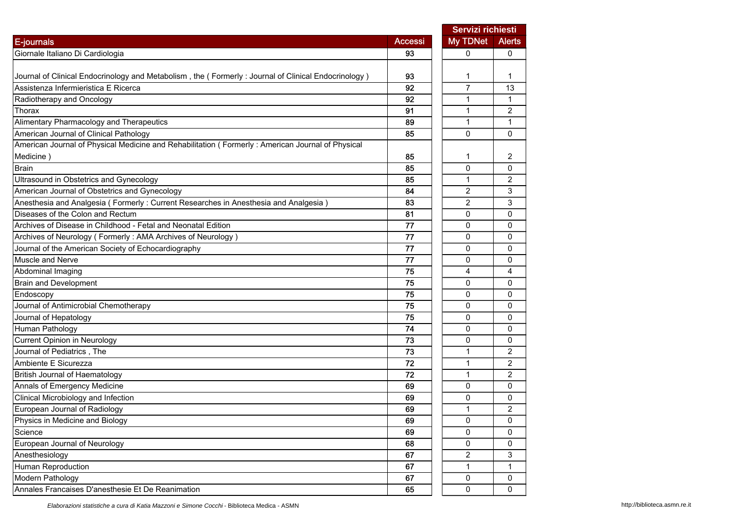|                                                                                                     |                | Servizi richiesti |                |
|-----------------------------------------------------------------------------------------------------|----------------|-------------------|----------------|
| E-journals                                                                                          | <b>Accessi</b> | My TDNet          | <b>Alerts</b>  |
| Giornale Italiano Di Cardiologia                                                                    | 93             | 0                 | 0              |
|                                                                                                     |                |                   |                |
| Journal of Clinical Endocrinology and Metabolism, the (Formerly: Journal of Clinical Endocrinology) | 93             | 1                 | 1              |
| Assistenza Infermieristica E Ricerca                                                                | 92             | $\overline{7}$    | 13             |
| Radiotherapy and Oncology                                                                           | 92             | 1                 | 1              |
| Thorax                                                                                              | 91             | 1                 | 2              |
| Alimentary Pharmacology and Therapeutics                                                            | 89             | $\mathbf{1}$      | 1              |
| American Journal of Clinical Pathology                                                              | 85             | $\Omega$          | $\mathbf{0}$   |
| American Journal of Physical Medicine and Rehabilitation (Formerly: American Journal of Physical    |                |                   |                |
| Medicine)                                                                                           | 85             | 1                 | 2              |
| <b>Brain</b>                                                                                        | 85             | 0                 | 0              |
| Ultrasound in Obstetrics and Gynecology                                                             | 85             | 1                 | $\overline{c}$ |
| American Journal of Obstetrics and Gynecology                                                       | 84             | $\overline{c}$    | 3              |
| Anesthesia and Analgesia (Formerly: Current Researches in Anesthesia and Analgesia)                 | 83             | $\overline{2}$    | 3              |
| Diseases of the Colon and Rectum                                                                    | 81             | 0                 | 0              |
| Archives of Disease in Childhood - Fetal and Neonatal Edition                                       | 77             | 0                 | 0              |
| Archives of Neurology (Formerly: AMA Archives of Neurology)                                         | 77             | 0                 | 0              |
| Journal of the American Society of Echocardiography                                                 | 77             | 0                 | 0              |
| Muscle and Nerve                                                                                    | 77             | 0                 | 0              |
| Abdominal Imaging                                                                                   | 75             | 4                 | 4              |
| <b>Brain and Development</b>                                                                        | 75             | $\mathbf{0}$      | $\Omega$       |
| Endoscopy                                                                                           | 75             | 0                 | 0              |
| Journal of Antimicrobial Chemotherapy                                                               | 75             | 0                 | $\mathbf{0}$   |
| Journal of Hepatology                                                                               | 75             | 0                 | 0              |
| Human Pathology                                                                                     | 74             | 0                 | $\mathbf{0}$   |
| <b>Current Opinion in Neurology</b>                                                                 | 73             | 0                 | 0              |
| Journal of Pediatrics, The                                                                          | 73             | 1                 | $\overline{c}$ |
| Ambiente E Sicurezza                                                                                | 72             | 1                 | $\overline{c}$ |
| British Journal of Haematology                                                                      | 72             | $\mathbf{1}$      | $\overline{c}$ |
| Annals of Emergency Medicine                                                                        | 69             | 0                 | 0              |
| Clinical Microbiology and Infection                                                                 | 69             | 0                 | 0              |
| European Journal of Radiology                                                                       | 69             | $\mathbf{1}$      | $\overline{c}$ |
| Physics in Medicine and Biology                                                                     | 69             | 0                 | 0              |
| Science                                                                                             | 69             | 0                 | 0              |
| European Journal of Neurology                                                                       | 68             | 0                 | $\mathsf 0$    |
| Anesthesiology                                                                                      | 67             | $\overline{2}$    | 3              |
| Human Reproduction                                                                                  | 67             | $\mathbf{1}$      | 1              |
| Modern Pathology                                                                                    | 67             | 0                 | $\mathsf 0$    |
| Annales Francaises D'anesthesie Et De Reanimation                                                   | 65             | 0                 | 0              |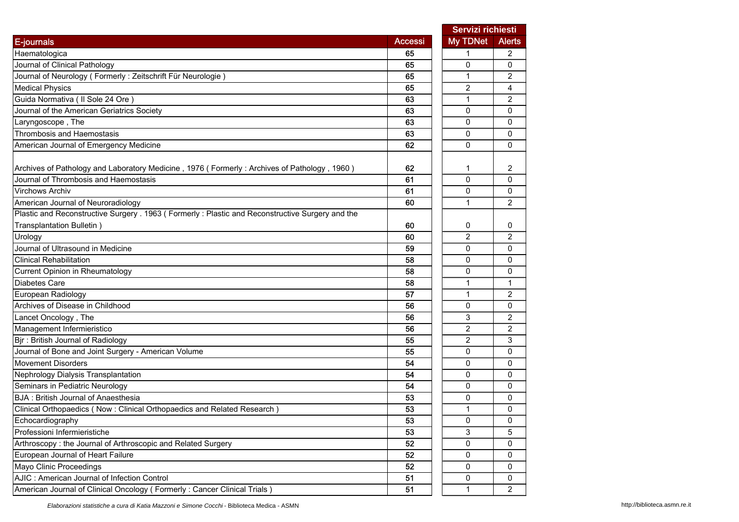|                                                                                                  | Servizi richiesti |                |                |
|--------------------------------------------------------------------------------------------------|-------------------|----------------|----------------|
| E-journals                                                                                       | <b>Accessi</b>    | My TDNet       | <b>Alerts</b>  |
| Haematologica                                                                                    | 65                | 1              | 2              |
| Journal of Clinical Pathology                                                                    | 65                | 0              | $\mathbf{0}$   |
| Journal of Neurology (Formerly: Zeitschrift Für Neurologie)                                      | 65                | 1              | 2              |
| <b>Medical Physics</b>                                                                           | 65                | 2              | 4              |
| Guida Normativa ( Il Sole 24 Ore )                                                               | 63                | $\mathbf{1}$   | 2              |
| Journal of the American Geriatrics Society                                                       | 63                | 0              | 0              |
| Laryngoscope, The                                                                                | 63                | 0              | 0              |
| Thrombosis and Haemostasis                                                                       | 63                | 0              | $\mathbf{0}$   |
| American Journal of Emergency Medicine                                                           | 62                | 0              | $\mathbf{0}$   |
| Archives of Pathology and Laboratory Medicine, 1976 (Formerly: Archives of Pathology, 1960)      | 62                | 1              | 2              |
| Journal of Thrombosis and Haemostasis                                                            | 61                | 0              | $\mathbf{0}$   |
| <b>Virchows Archiv</b>                                                                           | 61                | 0              | 0              |
| American Journal of Neuroradiology                                                               | 60                | 1              | 2              |
| Plastic and Reconstructive Surgery . 1963 (Formerly : Plastic and Reconstructive Surgery and the |                   |                |                |
| Transplantation Bulletin)                                                                        | 60                | 0              | 0              |
| Urology                                                                                          | 60                | 2              | 2              |
| Journal of Ultrasound in Medicine                                                                | 59                | 0              | $\mathbf{0}$   |
| <b>Clinical Rehabilitation</b>                                                                   | 58                | 0              | $\mathbf{0}$   |
| Current Opinion in Rheumatology                                                                  | 58                | 0              | $\mathbf{0}$   |
| <b>Diabetes Care</b>                                                                             | 58                | 1              | 1              |
| European Radiology                                                                               | 57                | $\mathbf{1}$   | 2              |
| Archives of Disease in Childhood                                                                 | 56                | 0              | 0              |
| Lancet Oncology, The                                                                             | 56                | 3              | 2              |
| Management Infermieristico                                                                       | 56                | $\overline{2}$ | $\overline{2}$ |
| Bjr: British Journal of Radiology                                                                | 55                | $\overline{2}$ | 3              |
| Journal of Bone and Joint Surgery - American Volume                                              | 55                | 0              | $\mathbf 0$    |
| <b>Movement Disorders</b>                                                                        | 54                | 0              | 0              |
| Nephrology Dialysis Transplantation                                                              | 54                | 0              | 0              |
| Seminars in Pediatric Neurology                                                                  | 54                | 0              | $\mathbf{0}$   |
| <b>BJA: British Journal of Anaesthesia</b>                                                       | 53                | 0              | 0              |
| Clinical Orthopaedics (Now: Clinical Orthopaedics and Related Research)                          | 53                | 1              | 0              |
| Echocardiography                                                                                 | 53                | 0              | 0              |
| Professioni Infermieristiche                                                                     | 53                | 3              | 5              |
| Arthroscopy: the Journal of Arthroscopic and Related Surgery                                     | 52                | 0              | 0              |
| European Journal of Heart Failure                                                                | 52                | 0              | 0              |
| Mayo Clinic Proceedings                                                                          | 52                | 0              | 0              |
| AJIC : American Journal of Infection Control                                                     | 51                | 0              | 0              |
| American Journal of Clinical Oncology (Formerly: Cancer Clinical Trials)                         | 51                | $\mathbf{1}$   | $\overline{2}$ |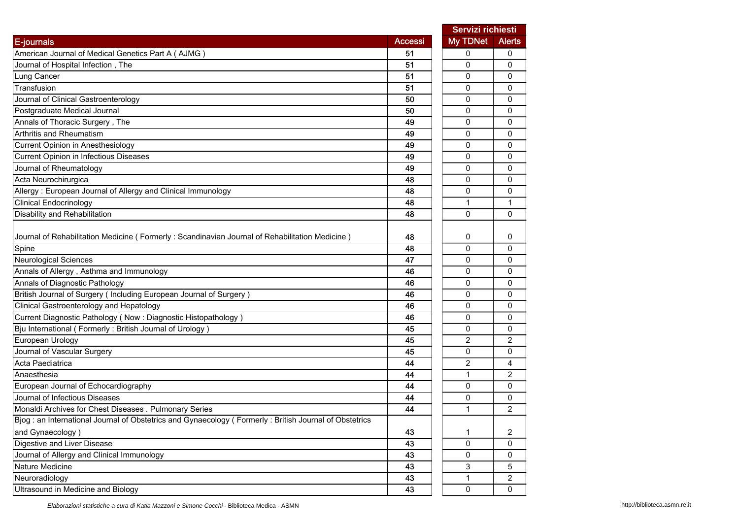|                                                                                                          |                | Servizi richiesti |                |
|----------------------------------------------------------------------------------------------------------|----------------|-------------------|----------------|
| E-journals                                                                                               | <b>Accessi</b> | <b>My TDNet</b>   | <b>Alerts</b>  |
| American Journal of Medical Genetics Part A (AJMG)                                                       | 51             | 0                 | 0              |
| Journal of Hospital Infection, The                                                                       | 51             | 0                 | 0              |
| Lung Cancer                                                                                              | 51             | 0                 | 0              |
| Transfusion                                                                                              | 51             | $\mathbf 0$       | 0              |
| Journal of Clinical Gastroenterology                                                                     | 50             | 0                 | 0              |
| Postgraduate Medical Journal                                                                             | 50             | 0                 | 0              |
| Annals of Thoracic Surgery, The                                                                          | 49             | 0                 | 0              |
| Arthritis and Rheumatism                                                                                 | 49             | 0                 | 0              |
| Current Opinion in Anesthesiology                                                                        | 49             | 0                 | $\mathbf{0}$   |
| Current Opinion in Infectious Diseases                                                                   | 49             | 0                 | 0              |
| Journal of Rheumatology                                                                                  | 49             | 0                 | 0              |
| Acta Neurochirurgica                                                                                     | 48             | 0                 | 0              |
| Allergy: European Journal of Allergy and Clinical Immunology                                             | 48             | 0                 | 0              |
| <b>Clinical Endocrinology</b>                                                                            | 48             | 1                 | 1              |
| Disability and Rehabilitation                                                                            | 48             | $\mathbf{0}$      | 0              |
|                                                                                                          |                |                   |                |
| Journal of Rehabilitation Medicine (Formerly: Scandinavian Journal of Rehabilitation Medicine)           | 48             | 0                 | 0              |
| Spine                                                                                                    | 48             | 0                 | 0              |
| <b>Neurological Sciences</b>                                                                             | 47             | 0                 | 0              |
| Annals of Allergy, Asthma and Immunology                                                                 | 46             | 0                 | 0              |
| Annals of Diagnostic Pathology                                                                           | 46             | 0                 | 0              |
| British Journal of Surgery (Including European Journal of Surgery)                                       | 46             | 0                 | 0              |
| Clinical Gastroenterology and Hepatology                                                                 | 46             | 0                 | 0              |
| Current Diagnostic Pathology (Now: Diagnostic Histopathology)                                            | 46             | 0                 | 0              |
| Bju International (Formerly: British Journal of Urology)                                                 | 45             | 0                 | 0              |
| European Urology                                                                                         | 45             | 2                 | $\overline{2}$ |
| Journal of Vascular Surgery                                                                              | 45             | $\mathbf 0$       | 0              |
| Acta Paediatrica                                                                                         | 44             | 2                 | 4              |
| Anaesthesia                                                                                              | 44             | 1                 | 2              |
| European Journal of Echocardiography                                                                     | 44             | $\Omega$          | 0              |
| Journal of Infectious Diseases                                                                           | 44             | 0                 | 0              |
| Monaldi Archives for Chest Diseases . Pulmonary Series                                                   | 44             | 1                 | 2              |
| Biog : an International Journal of Obstetrics and Gynaecology ( Formerly : British Journal of Obstetrics |                |                   |                |
| and Gynaecology)                                                                                         | 43             | 1                 | 2              |
| Digestive and Liver Disease                                                                              | 43             | 0                 | 0              |
| Journal of Allergy and Clinical Immunology                                                               | 43             | 0                 | 0              |
| Nature Medicine                                                                                          | 43             | 3                 | 5              |
| Neuroradiology                                                                                           | 43             | $\mathbf{1}$      | $\overline{2}$ |
| Ultrasound in Medicine and Biology                                                                       | 43             | $\mathbf 0$       | 0              |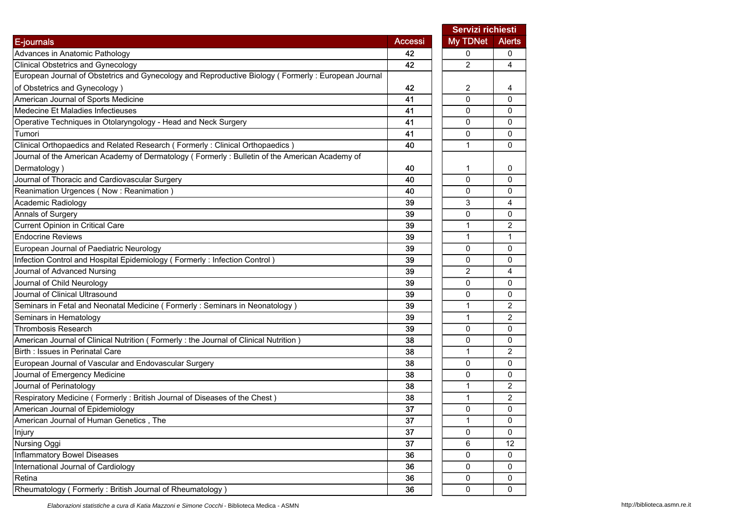|                                                                                                    |                 |                | Servizi richiesti |
|----------------------------------------------------------------------------------------------------|-----------------|----------------|-------------------|
| E-journals                                                                                         | <b>Accessi</b>  | My TDNet       | <b>Alerts</b>     |
| Advances in Anatomic Pathology                                                                     | 42              | 0              | 0                 |
| <b>Clinical Obstetrics and Gynecology</b>                                                          | 42              | $\overline{2}$ | $\overline{4}$    |
| European Journal of Obstetrics and Gynecology and Reproductive Biology (Formerly: European Journal |                 |                |                   |
| of Obstetrics and Gynecology)                                                                      | 42              | 2              | 4                 |
| American Journal of Sports Medicine                                                                | 41              | $\mathbf 0$    | $\mathbf{0}$      |
| Medecine Et Maladies Infectieuses                                                                  | 41              | 0              | 0                 |
| Operative Techniques in Otolaryngology - Head and Neck Surgery                                     | 41              | 0              | 0                 |
| Tumori                                                                                             | 41              | 0              | 0                 |
| Clinical Orthopaedics and Related Research (Formerly: Clinical Orthopaedics)                       | 40              | $\mathbf{1}$   | $\mathbf{0}$      |
| Journal of the American Academy of Dermatology (Formerly: Bulletin of the American Academy of      |                 |                |                   |
| Dermatology)                                                                                       | 40              | 1              | 0                 |
| Journal of Thoracic and Cardiovascular Surgery                                                     | 40              | 0              | 0                 |
| Reanimation Urgences (Now: Reanimation)                                                            | 40              | 0              | 0                 |
| Academic Radiology                                                                                 | 39              | 3              | 4                 |
| Annals of Surgery                                                                                  | 39              | 0              | 0                 |
| Current Opinion in Critical Care                                                                   | 39              | $\mathbf{1}$   | 2                 |
| <b>Endocrine Reviews</b>                                                                           | 39              | 1              | 1                 |
| European Journal of Paediatric Neurology                                                           | 39              | 0              | 0                 |
| Infection Control and Hospital Epidemiology (Formerly: Infection Control)                          | 39              | 0              | 0                 |
| Journal of Advanced Nursing                                                                        | 39              | $\overline{2}$ | 4                 |
| Journal of Child Neurology                                                                         | 39              | 0              | 0                 |
| Journal of Clinical Ultrasound                                                                     | 39              | 0              | $\mathbf{0}$      |
| Seminars in Fetal and Neonatal Medicine (Formerly: Seminars in Neonatology)                        | 39              | 1              | 2                 |
| Seminars in Hematology                                                                             | 39              | 1              | 2                 |
| <b>Thrombosis Research</b>                                                                         | 39              | 0              | $\mathbf{0}$      |
| American Journal of Clinical Nutrition (Formerly: the Journal of Clinical Nutrition)               | 38              | 0              | 0                 |
| Birth: Issues in Perinatal Care                                                                    | 38              | $\mathbf{1}$   | 2                 |
| European Journal of Vascular and Endovascular Surgery                                              | 38              | 0              | 0                 |
| Journal of Emergency Medicine                                                                      | 38              | 0              | 0                 |
| Journal of Perinatology                                                                            | 38              | 1              | $\overline{c}$    |
| Respiratory Medicine (Formerly: British Journal of Diseases of the Chest)                          | 38              | 1              | $\overline{c}$    |
| American Journal of Epidemiology                                                                   | 37              | 0              | 0                 |
| American Journal of Human Genetics, The                                                            | $\overline{37}$ | 1              | 0                 |
| Injury                                                                                             | 37              | $\mathbf 0$    | $\mathbf 0$       |
| Nursing Oggi                                                                                       | 37              | 6              | 12                |
| Inflammatory Bowel Diseases                                                                        | 36              | 0              | $\mathbf 0$       |
| International Journal of Cardiology                                                                | 36              | 0              | $\mathbf{0}$      |
| Retina                                                                                             | 36              | 0              | 0                 |
| Rheumatology (Formerly: British Journal of Rheumatology)                                           | 36              | 0              | 0                 |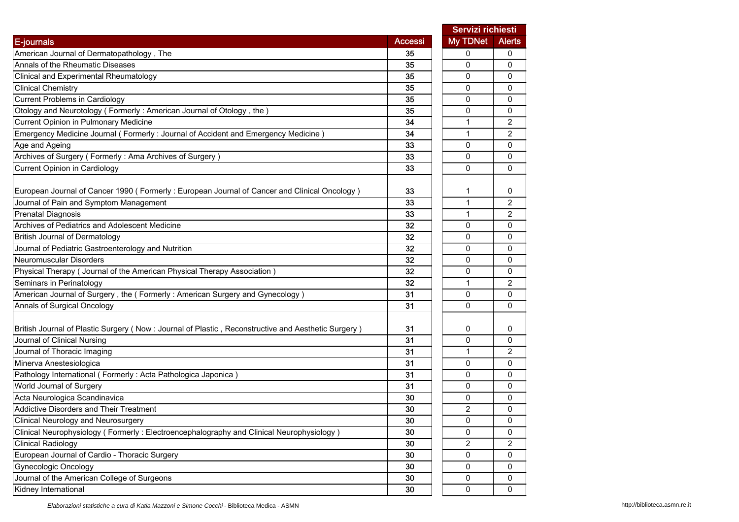|                                                                                                     | Servizi richiesti |                |                |
|-----------------------------------------------------------------------------------------------------|-------------------|----------------|----------------|
| E-journals                                                                                          | Accessi           | My TDNet       | <b>Alerts</b>  |
| American Journal of Dermatopathology, The                                                           | 35                | 0              | 0              |
| Annals of the Rheumatic Diseases                                                                    | 35                | 0              | 0              |
| Clinical and Experimental Rheumatology                                                              | 35                | 0              | 0              |
| <b>Clinical Chemistry</b>                                                                           | 35                | 0              | 0              |
| <b>Current Problems in Cardiology</b>                                                               | 35                | 0              | 0              |
| Otology and Neurotology (Formerly: American Journal of Otology, the)                                | 35                | 0              | 0              |
| <b>Current Opinion in Pulmonary Medicine</b>                                                        | 34                | 1              | $\overline{c}$ |
| Emergency Medicine Journal (Formerly: Journal of Accident and Emergency Medicine)                   | 34                | $\mathbf{1}$   | $\overline{2}$ |
| Age and Ageing                                                                                      | 33                | 0              | $\Omega$       |
| Archives of Surgery (Formerly: Ama Archives of Surgery)                                             | 33                | 0              | 0              |
| Current Opinion in Cardiology                                                                       | 33                | 0              | 0              |
| European Journal of Cancer 1990 (Formerly : European Journal of Cancer and Clinical Oncology)       | 33                | 1              | 0              |
| Journal of Pain and Symptom Management                                                              | 33                | $\mathbf{1}$   | $\overline{2}$ |
| <b>Prenatal Diagnosis</b>                                                                           | 33                | $\mathbf{1}$   | 2              |
| Archives of Pediatrics and Adolescent Medicine                                                      | 32                | 0              | 0              |
| <b>British Journal of Dermatology</b>                                                               | 32                | 0              | 0              |
| Journal of Pediatric Gastroenterology and Nutrition                                                 | 32                | 0              | 0              |
| <b>Neuromuscular Disorders</b>                                                                      | 32                | 0              | 0              |
| Physical Therapy ( Journal of the American Physical Therapy Association )                           | 32                | 0              | 0              |
| Seminars in Perinatology                                                                            | 32                | 1              | $\overline{2}$ |
| American Journal of Surgery, the (Formerly: American Surgery and Gynecology)                        | 31                | 0              | 0              |
| Annals of Surgical Oncology                                                                         | 31                | 0              | $\Omega$       |
| British Journal of Plastic Surgery (Now : Journal of Plastic, Reconstructive and Aesthetic Surgery) | 31                | 0              | 0              |
| Journal of Clinical Nursing                                                                         | 31                | 0              | 0              |
| Journal of Thoracic Imaging                                                                         | 31                | 1              | $\overline{c}$ |
| Minerva Anestesiologica                                                                             | 31                | 0              | 0              |
| Pathology International (Formerly: Acta Pathologica Japonica)                                       | 31                | 0              | 0              |
| World Journal of Surgery                                                                            | 31                | 0              | 0              |
| Acta Neurologica Scandinavica                                                                       | 30                | 0              | 0              |
| <b>Addictive Disorders and Their Treatment</b>                                                      | 30                | $\overline{2}$ | 0              |
| Clinical Neurology and Neurosurgery                                                                 | 30                | 0              | 0              |
| Clinical Neurophysiology (Formerly: Electroencephalography and Clinical Neurophysiology)            | 30                | 0              | 0              |
| <b>Clinical Radiology</b>                                                                           | 30                | 2              | $\overline{2}$ |
| European Journal of Cardio - Thoracic Surgery                                                       | 30                | 0              | 0              |
| <b>Gynecologic Oncology</b>                                                                         | 30                | 0              | 0              |
| Journal of the American College of Surgeons                                                         | 30                | 0              | 0              |
| Kidney International                                                                                | 30                | 0              | 0              |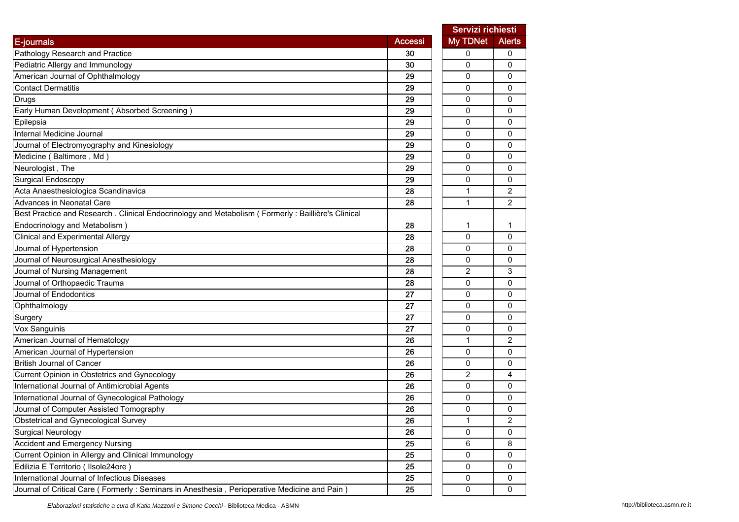|                                                                                                      |                | Servizi richiesti |                |
|------------------------------------------------------------------------------------------------------|----------------|-------------------|----------------|
| <b>E-journals</b>                                                                                    | <b>Accessi</b> | My TDNet          | <b>Alerts</b>  |
| Pathology Research and Practice                                                                      | 30             | 0                 | 0              |
| Pediatric Allergy and Immunology                                                                     | 30             | 0                 | 0              |
| American Journal of Ophthalmology                                                                    | 29             | 0                 | 0              |
| <b>Contact Dermatitis</b>                                                                            | 29             | 0                 | 0              |
| <b>Drugs</b>                                                                                         | 29             | 0                 | 0              |
| Early Human Development (Absorbed Screening)                                                         | 29             | 0                 | 0              |
| Epilepsia                                                                                            | 29             | 0                 | 0              |
| Internal Medicine Journal                                                                            | 29             | 0                 | 0              |
| Journal of Electromyography and Kinesiology                                                          | 29             | 0                 | 0              |
| Medicine (Baltimore, Md)                                                                             | 29             | 0                 | 0              |
| Neurologist, The                                                                                     | 29             | 0                 | 0              |
| Surgical Endoscopy                                                                                   | 29             | 0                 | 0              |
| Acta Anaesthesiologica Scandinavica                                                                  | 28             | 1                 | $\overline{c}$ |
| Advances in Neonatal Care                                                                            | 28             | $\mathbf{1}$      | $\overline{2}$ |
| Best Practice and Research . Clinical Endocrinology and Metabolism ( Formerly : Baillière's Clinical |                |                   |                |
| Endocrinology and Metabolism)                                                                        | 28             | 1                 | 1              |
| <b>Clinical and Experimental Allergy</b>                                                             | 28             | 0                 | 0              |
| Journal of Hypertension                                                                              | 28             | 0                 | 0              |
| Journal of Neurosurgical Anesthesiology                                                              | 28             | 0                 | 0              |
| Journal of Nursing Management                                                                        | 28             | $\overline{2}$    | 3              |
| Journal of Orthopaedic Trauma                                                                        | 28             | 0                 | 0              |
| Journal of Endodontics                                                                               | 27             | 0                 | 0              |
| Ophthalmology                                                                                        | 27             | 0                 | 0              |
| Surgery                                                                                              | 27             | 0                 | 0              |
| Vox Sanguinis                                                                                        | 27             | 0                 | 0              |
| American Journal of Hematology                                                                       | 26             | $\mathbf{1}$      | $\overline{2}$ |
| American Journal of Hypertension                                                                     | 26             | 0                 | 0              |
| <b>British Journal of Cancer</b>                                                                     | 26             | 0                 | 0              |
| Current Opinion in Obstetrics and Gynecology                                                         | 26             | $\overline{2}$    | 4              |
| International Journal of Antimicrobial Agents                                                        | 26             | 0                 | 0              |
| International Journal of Gynecological Pathology                                                     | 26             | 0                 | 0              |
| Journal of Computer Assisted Tomography                                                              | 26             | 0                 | 0              |
| Obstetrical and Gynecological Survey                                                                 | 26             | 1                 | 2              |
| <b>Surgical Neurology</b>                                                                            | 26             | 0                 | 0              |
| Accident and Emergency Nursing                                                                       | 25             | 6                 | 8              |
| Current Opinion in Allergy and Clinical Immunology                                                   | 25             | 0                 | 0              |
| Edilizia E Territorio ( Ilsole24ore )                                                                | 25             | 0                 | 0              |
| International Journal of Infectious Diseases                                                         | 25             | 0                 | 0              |
| Journal of Critical Care (Formerly: Seminars in Anesthesia, Perioperative Medicine and Pain)         | 25             | 0                 | 0              |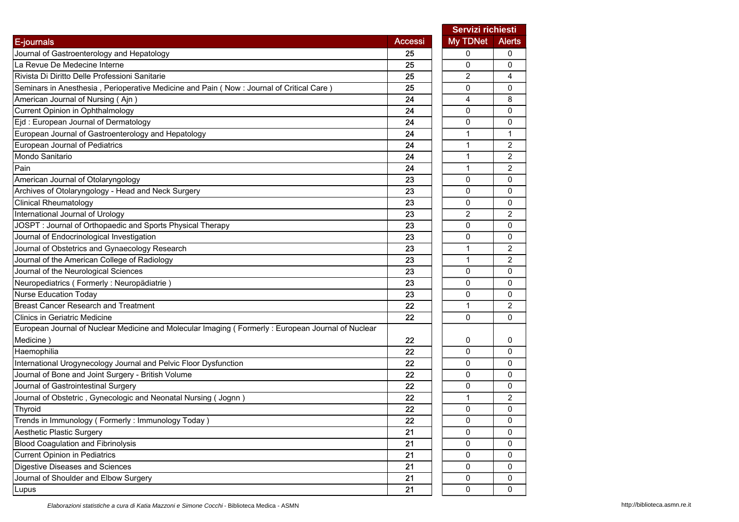|                                                                                                   |                | Servizi richiesti |                |
|---------------------------------------------------------------------------------------------------|----------------|-------------------|----------------|
| E-journals                                                                                        | <b>Accessi</b> | My TDNet          | <b>Alerts</b>  |
| Journal of Gastroenterology and Hepatology                                                        | 25             | 0                 | 0              |
| La Revue De Medecine Interne                                                                      | 25             | 0                 | 0              |
| Rivista Di Diritto Delle Professioni Sanitarie                                                    | 25             | 2                 | 4              |
| Seminars in Anesthesia, Perioperative Medicine and Pain (Now: Journal of Critical Care)           | 25             | 0                 | 0              |
| American Journal of Nursing (Ajn)                                                                 | 24             | $\overline{4}$    | 8              |
| Current Opinion in Ophthalmology                                                                  | 24             | 0                 | 0              |
| Ejd: European Journal of Dermatology                                                              | 24             | 0                 | 0              |
| European Journal of Gastroenterology and Hepatology                                               | 24             | 1                 | 1              |
| European Journal of Pediatrics                                                                    | 24             | 1                 | 2              |
| Mondo Sanitario                                                                                   | 24             | 1                 | $\overline{2}$ |
| Pain                                                                                              | 24             | 1                 | 2              |
| American Journal of Otolaryngology                                                                | 23             | 0                 | 0              |
| Archives of Otolaryngology - Head and Neck Surgery                                                | 23             | 0                 | 0              |
| <b>Clinical Rheumatology</b>                                                                      | 23             | $\Omega$          | 0              |
| International Journal of Urology                                                                  | 23             | 2                 | 2              |
| JOSPT: Journal of Orthopaedic and Sports Physical Therapy                                         | 23             | 0                 | 0              |
| Journal of Endocrinological Investigation                                                         | 23             | 0                 | 0              |
| Journal of Obstetrics and Gynaecology Research                                                    | 23             | $\mathbf{1}$      | 2              |
| Journal of the American College of Radiology                                                      | 23             | $\mathbf{1}$      | 2              |
| Journal of the Neurological Sciences                                                              | 23             | 0                 | 0              |
| Neuropediatrics (Formerly : Neuropädiatrie)                                                       | 23             | $\Omega$          | 0              |
| <b>Nurse Education Today</b>                                                                      | 23             | 0                 | 0              |
| <b>Breast Cancer Research and Treatment</b>                                                       | 22             | 1                 | 2              |
| <b>Clinics in Geriatric Medicine</b>                                                              | 22             | 0                 | 0              |
| European Journal of Nuclear Medicine and Molecular Imaging (Formerly: European Journal of Nuclear |                |                   |                |
| Medicine)                                                                                         | 22             | 0                 | 0              |
| Haemophilia                                                                                       | 22             | 0                 | 0              |
| International Urogynecology Journal and Pelvic Floor Dysfunction                                  | 22             | 0                 | 0              |
| Journal of Bone and Joint Surgery - British Volume                                                | 22             | 0                 | 0              |
| Journal of Gastrointestinal Surgery                                                               | 22             | 0                 | 0              |
| Journal of Obstetric, Gynecologic and Neonatal Nursing (Jognn)                                    | 22             | 1                 | 2              |
| Thyroid                                                                                           | 22             | 0                 | 0              |
| Trends in Immunology (Formerly: Immunology Today)                                                 | 22             | 0                 | 0              |
| Aesthetic Plastic Surgery                                                                         | 21             | 0                 | 0              |
| <b>Blood Coagulation and Fibrinolysis</b>                                                         | 21             | 0                 | 0              |
| Current Opinion in Pediatrics                                                                     | 21             | 0                 | 0              |
| Digestive Diseases and Sciences                                                                   | 21             | 0                 | 0              |
| Journal of Shoulder and Elbow Surgery                                                             | 21             | 0                 | 0              |
| Lupus                                                                                             | 21             | 0                 | 0              |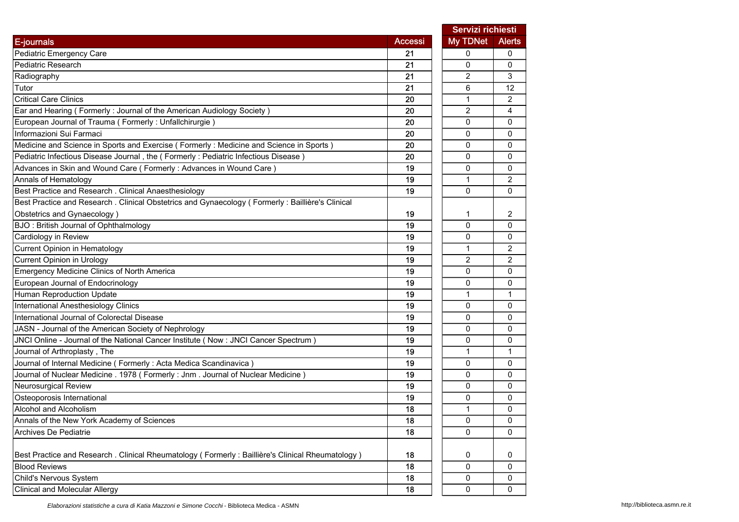|                                                                                                   |                | Servizi richiesti |                |
|---------------------------------------------------------------------------------------------------|----------------|-------------------|----------------|
| E-journals                                                                                        | <b>Accessi</b> | My TDNet          | <b>Alerts</b>  |
| Pediatric Emergency Care                                                                          | 21             | 0                 | 0              |
| Pediatric Research                                                                                | 21             | 0                 | $\mathbf{0}$   |
| Radiography                                                                                       | 21             | 2                 | 3              |
| Tutor                                                                                             | 21             | 6                 | 12             |
| <b>Critical Care Clinics</b>                                                                      | 20             | $\mathbf{1}$      | 2              |
| Ear and Hearing (Formerly: Journal of the American Audiology Society)                             | 20             | $\overline{c}$    | 4              |
| European Journal of Trauma (Formerly: Unfallchirurgie)                                            | 20             | 0                 | 0              |
| Informazioni Sui Farmaci                                                                          | 20             | 0                 | 0              |
| Medicine and Science in Sports and Exercise (Formerly : Medicine and Science in Sports)           | 20             | $\Omega$          | 0              |
| Pediatric Infectious Disease Journal, the (Formerly: Pediatric Infectious Disease)                | 20             | $\mathbf 0$       | 0              |
| Advances in Skin and Wound Care (Formerly: Advances in Wound Care)                                | 19             | 0                 | 0              |
| Annals of Hematology                                                                              | 19             | 1                 | 2              |
| Best Practice and Research . Clinical Anaesthesiology                                             | 19             | 0                 | 0              |
| Best Practice and Research . Clinical Obstetrics and Gynaecology (Formerly: Baillière's Clinical  |                |                   |                |
| Obstetrics and Gynaecology)                                                                       | 19             | 1                 | 2              |
| BJO: British Journal of Ophthalmology                                                             | 19             | $\mathbf 0$       | 0              |
| Cardiology in Review                                                                              | 19             | 0                 | 0              |
| Current Opinion in Hematology                                                                     | 19             | 1                 | $\overline{c}$ |
| Current Opinion in Urology                                                                        | 19             | 2                 | 2              |
| Emergency Medicine Clinics of North America                                                       | 19             | 0                 | 0              |
| European Journal of Endocrinology                                                                 | 19             | $\mathbf 0$       | $\Omega$       |
| Human Reproduction Update                                                                         | 19             | 1                 | 1              |
| International Anesthesiology Clinics                                                              | 19             | $\mathbf{0}$      | 0              |
| International Journal of Colorectal Disease                                                       | 19             | 0                 | 0              |
| JASN - Journal of the American Society of Nephrology                                              | 19             | $\Omega$          | 0              |
| JNCI Online - Journal of the National Cancer Institute (Now : JNCI Cancer Spectrum)               | 19             | 0                 | 0              |
| Journal of Arthroplasty, The                                                                      | 19             | $\mathbf{1}$      | 1              |
| Journal of Internal Medicine ( Formerly : Acta Medica Scandinavica )                              | 19             | 0                 | 0              |
| Journal of Nuclear Medicine . 1978 (Formerly : Jnm. Journal of Nuclear Medicine)                  | 19             | 0                 | 0              |
| Neurosurgical Review                                                                              | 19             | 0                 | 0              |
| Osteoporosis International                                                                        | 19             | 0                 | 0              |
| Alcohol and Alcoholism                                                                            | 18             | $\mathbf{1}$      | 0              |
| Annals of the New York Academy of Sciences                                                        | 18             | O                 | 0              |
| Archives De Pediatrie                                                                             | 18             | 0                 | 0              |
|                                                                                                   |                |                   |                |
| Best Practice and Research . Clinical Rheumatology (Formerly : Baillière's Clinical Rheumatology) | 18             | 0                 | 0              |
| <b>Blood Reviews</b>                                                                              | 18             | 0                 | 0              |
| Child's Nervous System                                                                            | 18             | 0                 | 0              |
| <b>Clinical and Molecular Allergy</b>                                                             | 18             | $\pmb{0}$         | 0              |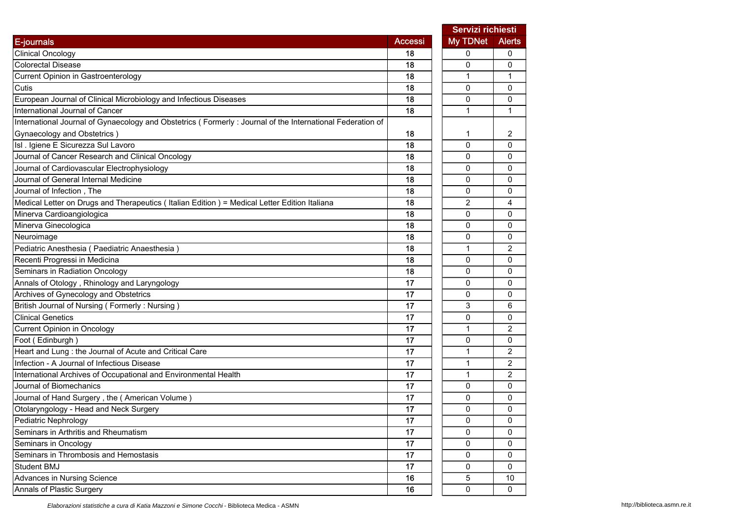|                                                                                                           |                | Servizi richiesti |                |
|-----------------------------------------------------------------------------------------------------------|----------------|-------------------|----------------|
| E-journals                                                                                                | <b>Accessi</b> | My TDNet          | <b>Alerts</b>  |
| <b>Clinical Oncology</b>                                                                                  | 18             | 0                 | 0              |
| <b>Colorectal Disease</b>                                                                                 | 18             | 0                 | 0              |
| Current Opinion in Gastroenterology                                                                       | 18             | 1                 | $\mathbf{1}$   |
| Cutis                                                                                                     | 18             | 0                 | 0              |
| European Journal of Clinical Microbiology and Infectious Diseases                                         | 18             | 0                 | 0              |
| International Journal of Cancer                                                                           | 18             | 1                 | 1              |
| International Journal of Gynaecology and Obstetrics (Formerly: Journal of the International Federation of |                |                   |                |
| Gynaecology and Obstetrics)                                                                               | 18             | 1                 | 2              |
| Isl . Igiene E Sicurezza Sul Lavoro                                                                       | 18             | $\Omega$          | 0              |
| Journal of Cancer Research and Clinical Oncology                                                          | 18             | $\Omega$          | 0              |
| Journal of Cardiovascular Electrophysiology                                                               | 18             | 0                 | 0              |
| Journal of General Internal Medicine                                                                      | 18             | 0                 | 0              |
| Journal of Infection, The                                                                                 | 18             | 0                 | 0              |
| Medical Letter on Drugs and Therapeutics (Italian Edition) = Medical Letter Edition Italiana              | 18             | $\overline{2}$    | 4              |
| Minerva Cardioangiologica                                                                                 | 18             | 0                 | 0              |
| Minerva Ginecologica                                                                                      | 18             | 0                 | 0              |
| Neuroimage                                                                                                | 18             | 0                 | 0              |
| Pediatric Anesthesia (Paediatric Anaesthesia)                                                             | 18             | $\mathbf{1}$      | $\overline{2}$ |
| Recenti Progressi in Medicina                                                                             | 18             | 0                 | 0              |
| Seminars in Radiation Oncology                                                                            | 18             | 0                 | 0              |
| Annals of Otology, Rhinology and Laryngology                                                              | 17             | $\Omega$          | $\mathbf{0}$   |
| Archives of Gynecology and Obstetrics                                                                     | 17             | 0                 | 0              |
| British Journal of Nursing (Formerly: Nursing)                                                            | 17             | 3                 | 6              |
| <b>Clinical Genetics</b>                                                                                  | 17             | 0                 | 0              |
| <b>Current Opinion in Oncology</b>                                                                        | 17             | 1                 | $\overline{2}$ |
| Foot (Edinburgh)                                                                                          | 17             | 0                 | 0              |
| Heart and Lung : the Journal of Acute and Critical Care                                                   | 17             | 1                 | 2              |
| Infection - A Journal of Infectious Disease                                                               | 17             | 1                 | $\overline{c}$ |
| International Archives of Occupational and Environmental Health                                           | 17             | $\mathbf{1}$      | $\overline{c}$ |
| Journal of Biomechanics                                                                                   | 17             | 0                 | 0              |
| Journal of Hand Surgery, the (American Volume)                                                            | 17             | 0                 | 0              |
| Otolaryngology - Head and Neck Surgery                                                                    | 17             | 0                 | 0              |
| Pediatric Nephrology                                                                                      | 17             | 0                 | 0              |
| Seminars in Arthritis and Rheumatism                                                                      | 17             | 0                 | 0              |
| Seminars in Oncology                                                                                      | 17             | 0                 | 0              |
| Seminars in Thrombosis and Hemostasis                                                                     | 17             | 0                 | 0              |
| Student BMJ                                                                                               | 17             | 0                 | 0              |
| Advances in Nursing Science                                                                               | 16             | 5                 | 10             |
| Annals of Plastic Surgery                                                                                 | 16             | 0                 | 0              |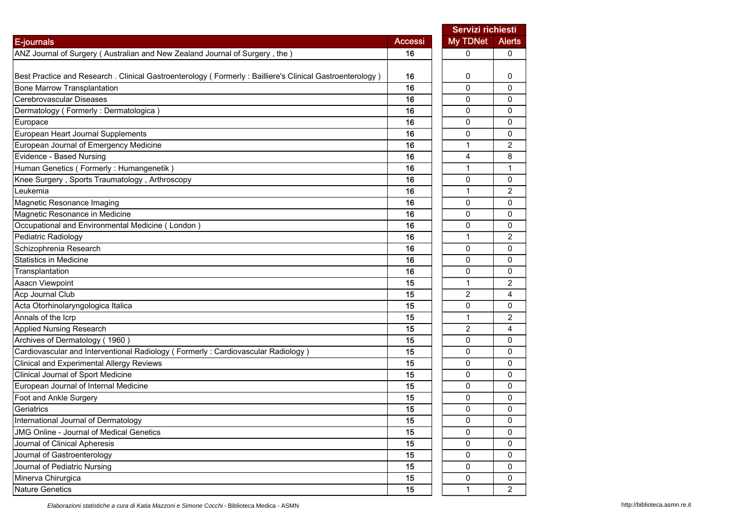|                                                                                                          |                | Servizi richiesti |                |
|----------------------------------------------------------------------------------------------------------|----------------|-------------------|----------------|
| E-journals                                                                                               | <b>Accessi</b> | <b>My TDNet</b>   | <b>Alerts</b>  |
| ANZ Journal of Surgery (Australian and New Zealand Journal of Surgery, the)                              | 16             | 0                 | 0              |
|                                                                                                          |                |                   |                |
| Best Practice and Research . Clinical Gastroenterology (Formerly: Bailliere's Clinical Gastroenterology) | 16             | 0                 | 0              |
| <b>Bone Marrow Transplantation</b>                                                                       | 16             | $\mathbf 0$       | $\Omega$       |
| Cerebrovascular Diseases                                                                                 | 16             | 0                 | 0              |
| Dermatology (Formerly: Dermatologica)                                                                    | 16             | 0                 | 0              |
| Europace                                                                                                 | 16             | 0                 | 0              |
| European Heart Journal Supplements                                                                       | 16             | 0                 | 0              |
| European Journal of Emergency Medicine                                                                   | 16             | $\mathbf{1}$      | 2              |
| Evidence - Based Nursing                                                                                 | 16             | 4                 | 8              |
| Human Genetics (Formerly: Humangenetik)                                                                  | 16             | 1                 | 1              |
| Knee Surgery, Sports Traumatology, Arthroscopy                                                           | 16             | 0                 | 0              |
| Leukemia                                                                                                 | 16             | 1                 | 2              |
| Magnetic Resonance Imaging                                                                               | 16             | 0                 | 0              |
| Magnetic Resonance in Medicine                                                                           | 16             | 0                 | $\mathbf 0$    |
| Occupational and Environmental Medicine (London)                                                         | 16             | 0                 | 0              |
| Pediatric Radiology                                                                                      | 16             | 1                 | $\overline{c}$ |
| Schizophrenia Research                                                                                   | 16             | 0                 | 0              |
| <b>Statistics in Medicine</b>                                                                            | 16             | $\mathbf{0}$      | $\mathbf{0}$   |
| Transplantation                                                                                          | 16             | 0                 | 0              |
| Aaacn Viewpoint                                                                                          | 15             | 1                 | 2              |
| Acp Journal Club                                                                                         | 15             | $\overline{c}$    | 4              |
| Acta Otorhinolaryngologica Italica                                                                       | 15             | 0                 | 0              |
| Annals of the Icrp                                                                                       | 15             | 1                 | 2              |
| <b>Applied Nursing Research</b>                                                                          | 15             | $\overline{c}$    | 4              |
| Archives of Dermatology (1960)                                                                           | 15             | 0                 | $\mathbf 0$    |
| Cardiovascular and Interventional Radiology (Formerly: Cardiovascular Radiology)                         | 15             | 0                 | 0              |
| Clinical and Experimental Allergy Reviews                                                                | 15             | 0                 | 0              |
| Clinical Journal of Sport Medicine                                                                       | 15             | 0                 | 0              |
| European Journal of Internal Medicine                                                                    | 15             | $\mathbf{0}$      | $\mathbf{0}$   |
| Foot and Ankle Surgery                                                                                   | 15             | 0                 | 0              |
| Geriatrics                                                                                               | 15             | 0                 | 0              |
| International Journal of Dermatology                                                                     | 15             | 0                 | 0              |
| JMG Online - Journal of Medical Genetics                                                                 | 15             | 0                 | 0              |
| Journal of Clinical Apheresis                                                                            | 15             | 0                 | 0              |
| Journal of Gastroenterology                                                                              | 15             | 0                 | $\mathbf{0}$   |
| Journal of Pediatric Nursing                                                                             | 15             | 0                 | 0              |
| Minerva Chirurgica                                                                                       | 15             | 0                 | 0              |
| <b>Nature Genetics</b>                                                                                   | 15             | $\mathbf{1}$      | $\overline{2}$ |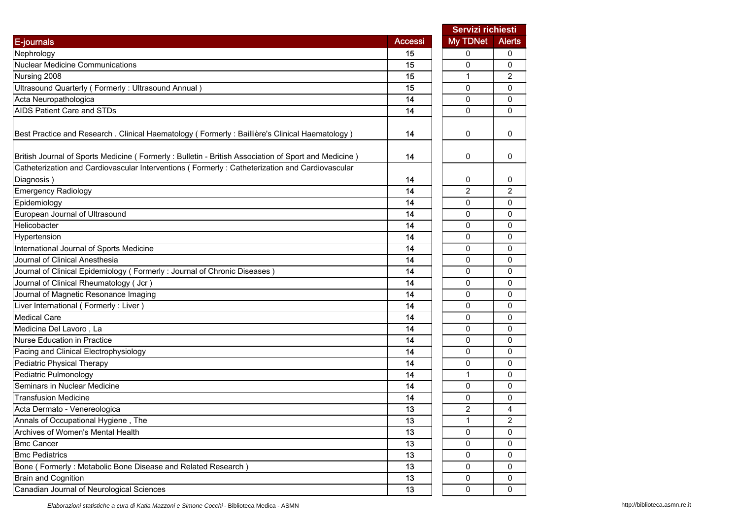|                                                                                                     | Servizi richiesti |                |                |
|-----------------------------------------------------------------------------------------------------|-------------------|----------------|----------------|
| E-journals                                                                                          | <b>Accessi</b>    | My TDNet       | <b>Alerts</b>  |
| Nephrology                                                                                          | 15                | 0              | 0              |
| <b>Nuclear Medicine Communications</b>                                                              | 15                | $\Omega$       | $\Omega$       |
| Nursing 2008                                                                                        | 15                | 1              | 2              |
| Ultrasound Quarterly (Formerly: Ultrasound Annual)                                                  | 15                | $\mathbf 0$    | 0              |
| Acta Neuropathologica                                                                               | 14                | $\mathbf 0$    | 0              |
| <b>AIDS Patient Care and STDs</b>                                                                   | 14                | 0              | 0              |
| Best Practice and Research . Clinical Haematology (Formerly: Baillière's Clinical Haematology)      | 14                | 0              | 0              |
| British Journal of Sports Medicine (Formerly: Bulletin - British Association of Sport and Medicine) | 14                | 0              | 0              |
| Catheterization and Cardiovascular Interventions (Formerly: Catheterization and Cardiovascular      |                   |                |                |
| Diagnosis)                                                                                          | 14                | 0              | 0              |
| <b>Emergency Radiology</b>                                                                          | 14                | $\overline{2}$ | $\overline{2}$ |
| Epidemiology                                                                                        | 14                | 0              | 0              |
| European Journal of Ultrasound                                                                      | 14                | $\mathbf 0$    | 0              |
| Helicobacter                                                                                        | 14                | 0              | 0              |
| Hypertension                                                                                        | 14                | 0              | 0              |
| International Journal of Sports Medicine                                                            | 14                | 0              | 0              |
| Journal of Clinical Anesthesia                                                                      | 14                | 0              | 0              |
| Journal of Clinical Epidemiology (Formerly: Journal of Chronic Diseases)                            | 14                | 0              | 0              |
| Journal of Clinical Rheumatology (Jcr)                                                              | 14                | 0              | 0              |
| Journal of Magnetic Resonance Imaging                                                               | 14                | 0              | 0              |
| Liver International (Formerly: Liver)                                                               | 14                | $\Omega$       | 0              |
| <b>Medical Care</b>                                                                                 | 14                | 0              | 0              |
| Medicina Del Lavoro, La                                                                             | 14                | $\mathbf{0}$   | 0              |
| <b>Nurse Education in Practice</b>                                                                  | 14                | $\mathbf 0$    | 0              |
| Pacing and Clinical Electrophysiology                                                               | 14                | $\mathbf 0$    | 0              |
| Pediatric Physical Therapy                                                                          | 14                | 0              | 0              |
| Pediatric Pulmonology                                                                               | 14                | $\mathbf{1}$   | 0              |
| Seminars in Nuclear Medicine                                                                        | 14                | 0              | 0              |
| <b>Transfusion Medicine</b>                                                                         | 14                | 0              | 0              |
| Acta Dermato - Venereologica                                                                        | 13                | $\overline{c}$ | 4              |
| Annals of Occupational Hygiene, The                                                                 | 13                | 1              | 2              |
| Archives of Women's Mental Health                                                                   | 13                | 0              | 0              |
| <b>Bmc Cancer</b>                                                                                   | 13                | 0              | 0              |
| <b>Bmc Pediatrics</b>                                                                               | 13                | 0              | 0              |
| Bone (Formerly: Metabolic Bone Disease and Related Research)                                        | 13                | $\mathsf 0$    | 0              |
| <b>Brain and Cognition</b>                                                                          | 13                | $\pmb{0}$      | 0              |
| Canadian Journal of Neurological Sciences                                                           | 13                | $\mathsf 0$    | 0              |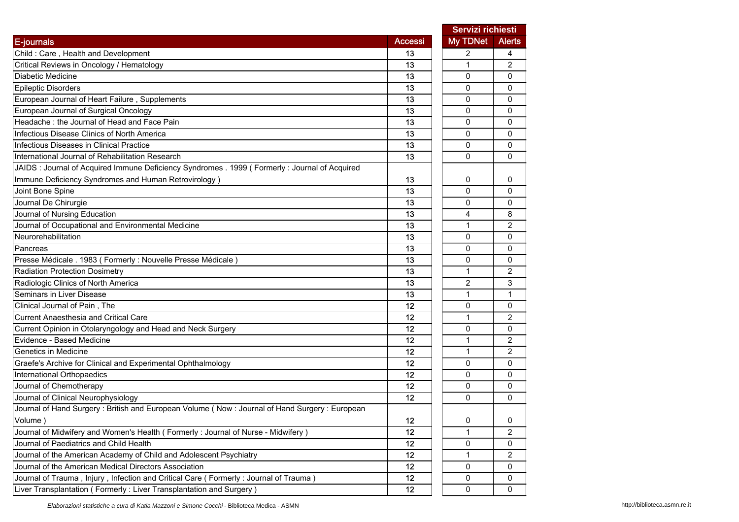|                                                                                                 |                | Servizi richiesti |                |
|-------------------------------------------------------------------------------------------------|----------------|-------------------|----------------|
| E-journals                                                                                      | <b>Accessi</b> | My TDNet          | <b>Alerts</b>  |
| Child: Care, Health and Development                                                             | 13             | 2                 | 4              |
| Critical Reviews in Oncology / Hematology                                                       | 13             | 1                 | $\overline{2}$ |
| Diabetic Medicine                                                                               | 13             | 0                 | 0              |
| <b>Epileptic Disorders</b>                                                                      | 13             | $\mathbf 0$       | 0              |
| European Journal of Heart Failure, Supplements                                                  | 13             | 0                 | 0              |
| European Journal of Surgical Oncology                                                           | 13             | 0                 | 0              |
| Headache: the Journal of Head and Face Pain                                                     | 13             | 0                 | 0              |
| Infectious Disease Clinics of North America                                                     | 13             | 0                 | 0              |
| Infectious Diseases in Clinical Practice                                                        | 13             | $\Omega$          | $\mathbf{0}$   |
| International Journal of Rehabilitation Research                                                | 13             | 0                 | 0              |
| JAIDS : Journal of Acquired Immune Deficiency Syndromes . 1999 ( Formerly : Journal of Acquired |                |                   |                |
| Immune Deficiency Syndromes and Human Retrovirology)                                            | 13             | 0                 | 0              |
| Joint Bone Spine                                                                                | 13             | 0                 | 0              |
| Journal De Chirurgie                                                                            | 13             | 0                 | 0              |
| Journal of Nursing Education                                                                    | 13             | 4                 | 8              |
| Journal of Occupational and Environmental Medicine                                              | 13             | $\mathbf{1}$      | $\overline{c}$ |
| Neurorehabilitation                                                                             | 13             | 0                 | 0              |
| Pancreas                                                                                        | 13             | 0                 | 0              |
| Presse Médicale . 1983 (Formerly : Nouvelle Presse Médicale)                                    | 13             | 0                 | 0              |
| <b>Radiation Protection Dosimetry</b>                                                           | 13             | $\mathbf{1}$      | $\overline{2}$ |
| Radiologic Clinics of North America                                                             | 13             | 2                 | 3              |
| Seminars in Liver Disease                                                                       | 13             | 1                 | $\mathbf 1$    |
| Clinical Journal of Pain, The                                                                   | 12             | 0                 | 0              |
| <b>Current Anaesthesia and Critical Care</b>                                                    | 12             | 1                 | 2              |
| Current Opinion in Otolaryngology and Head and Neck Surgery                                     | 12             | 0                 | 0              |
| Evidence - Based Medicine                                                                       | 12             | $\mathbf{1}$      | $\overline{2}$ |
| Genetics in Medicine                                                                            | 12             | $\mathbf{1}$      | $\overline{2}$ |
| Graefe's Archive for Clinical and Experimental Ophthalmology                                    | 12             | 0                 | 0              |
| International Orthopaedics                                                                      | 12             | 0                 | 0              |
| Journal of Chemotherapy                                                                         | 12             | $\Omega$          | 0              |
| Journal of Clinical Neurophysiology                                                             | 12             | $\Omega$          | 0              |
| Journal of Hand Surgery: British and European Volume (Now: Journal of Hand Surgery: European    |                |                   |                |
| Volume)                                                                                         | 12             | 0                 | 0              |
| Journal of Midwifery and Women's Health (Formerly: Journal of Nurse - Midwifery)                | 12             | $\mathbf{1}$      | $\overline{2}$ |
| Journal of Paediatrics and Child Health                                                         | 12             | 0                 | 0              |
| Journal of the American Academy of Child and Adolescent Psychiatry                              | 12             | 1                 | 2              |
| Journal of the American Medical Directors Association                                           | 12             | 0                 | 0              |
| Journal of Trauma , Injury , Infection and Critical Care ( Formerly : Journal of Trauma )       | 12             | 0                 | 0              |
| Liver Transplantation (Formerly: Liver Transplantation and Surgery)                             | 12             | 0                 | 0              |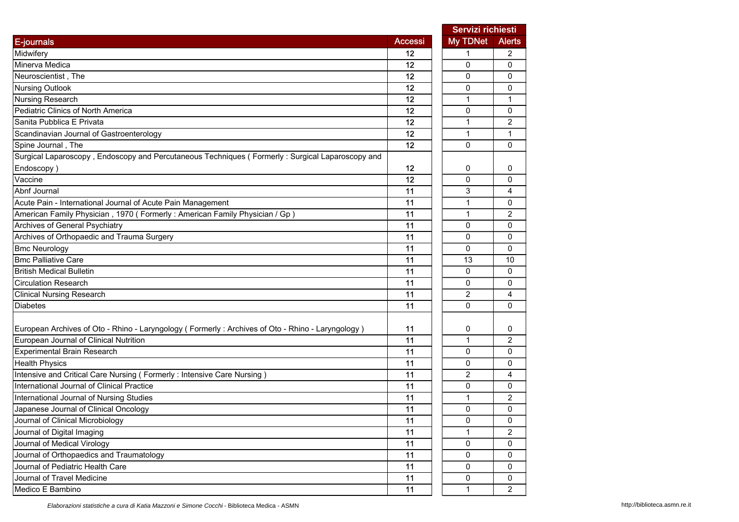|                                                                                                  |                | Servizi richiesti |                |
|--------------------------------------------------------------------------------------------------|----------------|-------------------|----------------|
| E-journals                                                                                       | <b>Accessi</b> | My TDNet          | <b>Alerts</b>  |
| Midwifery                                                                                        | 12             | 1                 | 2              |
| Minerva Medica                                                                                   | 12             | $\Omega$          | 0              |
| Neuroscientist, The                                                                              | 12             | 0                 | 0              |
| <b>Nursing Outlook</b>                                                                           | 12             | $\mathbf 0$       | 0              |
| Nursing Research                                                                                 | 12             | $\mathbf{1}$      | 1              |
| Pediatric Clinics of North America                                                               | 12             | 0                 | 0              |
| Sanita Pubblica E Privata                                                                        | 12             | $\mathbf{1}$      | 2              |
| Scandinavian Journal of Gastroenterology                                                         | 12             | 1                 | 1              |
| Spine Journal, The                                                                               | 12             | $\Omega$          | $\Omega$       |
| Surgical Laparoscopy, Endoscopy and Percutaneous Techniques (Formerly: Surgical Laparoscopy and  |                |                   |                |
| Endoscopy)                                                                                       | 12             | 0                 | 0              |
| Vaccine                                                                                          | 12             | $\Omega$          | 0              |
| Abnf Journal                                                                                     | 11             | 3                 | 4              |
| Acute Pain - International Journal of Acute Pain Management                                      | 11             | 1                 | 0              |
| American Family Physician, 1970 (Formerly: American Family Physician / Gp)                       | 11             | $\mathbf{1}$      | 2              |
| Archives of General Psychiatry                                                                   | 11             | 0                 | 0              |
| Archives of Orthopaedic and Trauma Surgery                                                       | 11             | 0                 | 0              |
| <b>Bmc Neurology</b>                                                                             | 11             | $\Omega$          | 0              |
| <b>Bmc Palliative Care</b>                                                                       | 11             | 13                | 10             |
| <b>British Medical Bulletin</b>                                                                  | 11             | $\mathbf 0$       | 0              |
| <b>Circulation Research</b>                                                                      | 11             | 0                 | 0              |
| <b>Clinical Nursing Research</b>                                                                 | 11             | 2                 | 4              |
| <b>Diabetes</b>                                                                                  | 11             | $\Omega$          | 0              |
| European Archives of Oto - Rhino - Laryngology (Formerly: Archives of Oto - Rhino - Laryngology) | 11             | 0                 | 0              |
| European Journal of Clinical Nutrition                                                           | 11             | $\mathbf{1}$      | $\overline{2}$ |
| Experimental Brain Research                                                                      | 11             | $\mathbf 0$       | 0              |
| <b>Health Physics</b>                                                                            | 11             | 0                 | 0              |
| Intensive and Critical Care Nursing (Formerly: Intensive Care Nursing)                           | 11             | 2                 | 4              |
| International Journal of Clinical Practice                                                       | 11             | $\Omega$          | 0              |
| International Journal of Nursing Studies                                                         | 11             | 1                 | 2              |
| Japanese Journal of Clinical Oncology                                                            | 11             | $\Omega$          | $\Omega$       |
| Journal of Clinical Microbiology                                                                 | 11             | 0                 | 0              |
| Journal of Digital Imaging                                                                       | 11             | $\mathbf{1}$      | $\overline{c}$ |
| Journal of Medical Virology                                                                      | 11             | 0                 | 0              |
| Journal of Orthopaedics and Traumatology                                                         | 11             | 0                 | 0              |
| Journal of Pediatric Health Care                                                                 | 11             | $\mathsf 0$       | 0              |
| Journal of Travel Medicine                                                                       | 11             | $\pmb{0}$         | 0              |
| Medico E Bambino                                                                                 | 11             | $\mathbf{1}$      | $\overline{c}$ |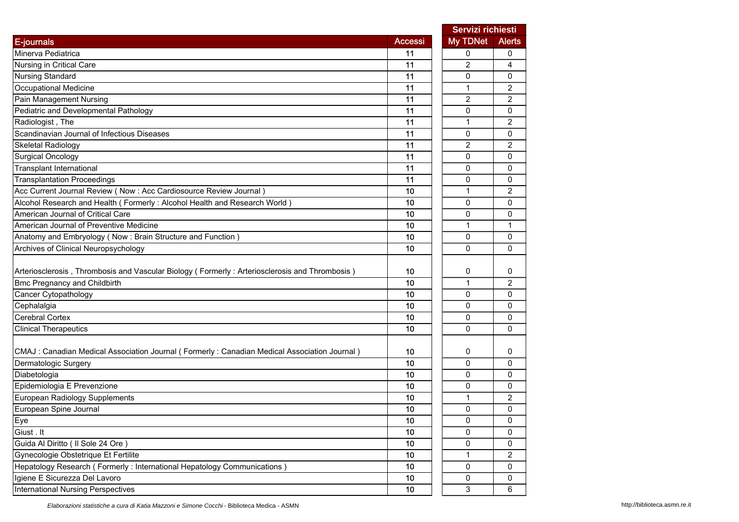|                                                                                               |                | Servizi richiesti |                |
|-----------------------------------------------------------------------------------------------|----------------|-------------------|----------------|
| E-journals                                                                                    | <b>Accessi</b> | My TDNet          | <b>Alerts</b>  |
| Minerva Pediatrica                                                                            | 11             | 0                 | 0              |
| Nursing in Critical Care                                                                      | 11             | 2                 | 4              |
| <b>Nursing Standard</b>                                                                       | 11             | 0                 | 0              |
| <b>Occupational Medicine</b>                                                                  | 11             | $\mathbf{1}$      | $\overline{2}$ |
| Pain Management Nursing                                                                       | 11             | $\overline{c}$    | $\overline{c}$ |
| Pediatric and Developmental Pathology                                                         | 11             | 0                 | 0              |
| Radiologist, The                                                                              | 11             | 1                 | $\overline{c}$ |
| Scandinavian Journal of Infectious Diseases                                                   | 11             | $\mathbf 0$       | 0              |
| <b>Skeletal Radiology</b>                                                                     | 11             | $\overline{c}$    | 2              |
| <b>Surgical Oncology</b>                                                                      | 11             | $\mathbf 0$       | $\Omega$       |
| <b>Transplant International</b>                                                               | 11             | 0                 | 0              |
| <b>Transplantation Proceedings</b>                                                            | 11             | 0                 | 0              |
| Acc Current Journal Review (Now : Acc Cardiosource Review Journal)                            | 10             | 1                 | 2              |
| Alcohol Research and Health (Formerly: Alcohol Health and Research World)                     | 10             | 0                 | 0              |
| American Journal of Critical Care                                                             | 10             | $\mathbf 0$       | 0              |
| American Journal of Preventive Medicine                                                       | 10             | $\mathbf{1}$      | 1              |
| Anatomy and Embryology (Now: Brain Structure and Function)                                    | 10             | 0                 | 0              |
| Archives of Clinical Neuropsychology                                                          | 10             | $\Omega$          | $\Omega$       |
|                                                                                               |                |                   |                |
| Arteriosclerosis, Thrombosis and Vascular Biology (Formerly: Arteriosclerosis and Thrombosis) | 10             | 0                 | 0              |
| <b>Bmc Pregnancy and Childbirth</b>                                                           | 10             | 1                 | 2              |
| Cancer Cytopathology                                                                          | 10             | 0                 | 0              |
| Cephalalgia                                                                                   | 10             | 0                 | 0              |
| <b>Cerebral Cortex</b>                                                                        | 10             | 0                 | 0              |
| <b>Clinical Therapeutics</b>                                                                  | 10             | 0                 | 0              |
|                                                                                               |                |                   |                |
| CMAJ : Canadian Medical Association Journal (Formerly : Canadian Medical Association Journal) | 10             | 0                 | 0              |
| Dermatologic Surgery                                                                          | 10             | 0                 | 0              |
| Diabetologia                                                                                  | 10             | 0                 | 0              |
| Epidemiologia E Prevenzione                                                                   | 10             | $\Omega$          | $\Omega$       |
| European Radiology Supplements                                                                | 10             | 1                 | 2              |
| European Spine Journal                                                                        | 10             | 0                 | 0              |
| Eye                                                                                           | 10             | 0                 | 0              |
| Giust. It                                                                                     | 10             | 0                 | 0              |
| Guida Al Diritto ( Il Sole 24 Ore )                                                           | 10             | 0                 | 0              |
| Gynecologie Obstetrique Et Fertilite                                                          | 10             | 1                 | $\overline{c}$ |
| Hepatology Research (Formerly: International Hepatology Communications)                       | 10             | $\pmb{0}$         | 0              |
| Igiene E Sicurezza Del Lavoro                                                                 | 10             | $\pmb{0}$         | 0              |
| <b>International Nursing Perspectives</b>                                                     | 10             | 3                 | 6              |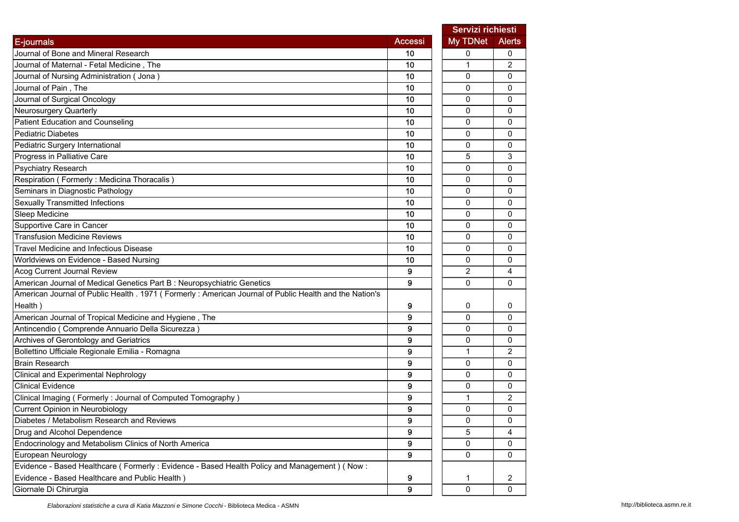|                                                                                                        |                | Servizi richiesti |                |  |
|--------------------------------------------------------------------------------------------------------|----------------|-------------------|----------------|--|
| <b>E-journals</b>                                                                                      | <b>Accessi</b> | My TDNet          | <b>Alerts</b>  |  |
| Journal of Bone and Mineral Research                                                                   | 10             | 0                 | 0              |  |
| Journal of Maternal - Fetal Medicine, The                                                              | 10             | 1                 | 2              |  |
| Journal of Nursing Administration (Jona)                                                               | 10             | 0                 | 0              |  |
| Journal of Pain, The                                                                                   | 10             | 0                 | 0              |  |
| Journal of Surgical Oncology                                                                           | 10             | 0                 | 0              |  |
| Neurosurgery Quarterly                                                                                 | 10             | 0                 | 0              |  |
| Patient Education and Counseling                                                                       | 10             | 0                 | 0              |  |
| <b>Pediatric Diabetes</b>                                                                              | 10             | 0                 | 0              |  |
| Pediatric Surgery International                                                                        | 10             | 0                 | $\mathbf{0}$   |  |
| Progress in Palliative Care                                                                            | 10             | 5                 | 3              |  |
| <b>Psychiatry Research</b>                                                                             | 10             | 0                 | $\mathbf{0}$   |  |
| Respiration (Formerly: Medicina Thoracalis)                                                            | 10             | 0                 | 0              |  |
| Seminars in Diagnostic Pathology                                                                       | 10             | 0                 | 0              |  |
| <b>Sexually Transmitted Infections</b>                                                                 | 10             | $\Omega$          | $\mathbf{0}$   |  |
| Sleep Medicine                                                                                         | 10             | 0                 | 0              |  |
| Supportive Care in Cancer                                                                              | 10             | 0                 | 0              |  |
| <b>Transfusion Medicine Reviews</b>                                                                    | 10             | 0                 | 0              |  |
| <b>Travel Medicine and Infectious Disease</b>                                                          | 10             | 0                 | 0              |  |
| Worldviews on Evidence - Based Nursing                                                                 | 10             | 0                 | 0              |  |
| Acog Current Journal Review                                                                            | 9              | $\overline{c}$    | 4              |  |
| American Journal of Medical Genetics Part B : Neuropsychiatric Genetics                                | 9              | 0                 | $\Omega$       |  |
| American Journal of Public Health . 1971 (Formerly: American Journal of Public Health and the Nation's |                |                   |                |  |
| Health)                                                                                                | 9              | 0                 | 0              |  |
| American Journal of Tropical Medicine and Hygiene, The                                                 | 9              | 0                 | 0              |  |
| Antincendio (Comprende Annuario Della Sicurezza)                                                       | 9              | $\Omega$          | 0              |  |
| Archives of Gerontology and Geriatrics                                                                 | 9              | 0                 | 0              |  |
| Bollettino Ufficiale Regionale Emilia - Romagna                                                        | 9              | $\mathbf 1$       | $\overline{c}$ |  |
| <b>Brain Research</b>                                                                                  | 9              | 0                 | 0              |  |
| Clinical and Experimental Nephrology                                                                   | 9              | 0                 | 0              |  |
| <b>Clinical Evidence</b>                                                                               | 9              | 0                 | 0              |  |
| Clinical Imaging (Formerly: Journal of Computed Tomography)                                            | 9              | 1                 | 2              |  |
| Current Opinion in Neurobiology                                                                        | 9              | 0                 | $\mathbf 0$    |  |
| Diabetes / Metabolism Research and Reviews                                                             | 9              | 0                 | 0              |  |
| Drug and Alcohol Dependence                                                                            | 9              | 5                 | 4              |  |
| Endocrinology and Metabolism Clinics of North America                                                  | 9              | 0                 | 0              |  |
| European Neurology                                                                                     | 9              | 0                 | $\mathbf{0}$   |  |
| Evidence - Based Healthcare (Formerly: Evidence - Based Health Policy and Management) (Now:            |                |                   |                |  |
| Evidence - Based Healthcare and Public Health)                                                         | 9              | 1                 | $\overline{2}$ |  |
| Giornale Di Chirurgia                                                                                  | 9              | $\mathbf 0$       | 0              |  |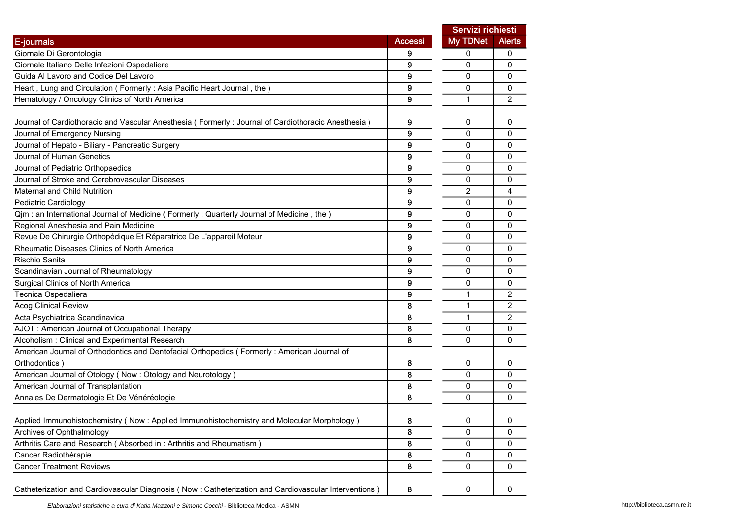|                                                                                                       |                | Servizi richiesti |                |
|-------------------------------------------------------------------------------------------------------|----------------|-------------------|----------------|
| E-journals                                                                                            | <b>Accessi</b> | My TDNet          | <b>Alerts</b>  |
| Giornale Di Gerontologia                                                                              | 9              | 0                 | 0              |
| Giornale Italiano Delle Infezioni Ospedaliere                                                         | 9              | $\mathbf{0}$      | $\Omega$       |
| Guida Al Lavoro and Codice Del Lavoro                                                                 | 9              | 0                 | 0              |
| Heart, Lung and Circulation (Formerly: Asia Pacific Heart Journal, the)                               | 9              | 0                 | 0              |
| Hematology / Oncology Clinics of North America                                                        | 9              | 1                 | $\overline{2}$ |
| Journal of Cardiothoracic and Vascular Anesthesia (Formerly : Journal of Cardiothoracic Anesthesia)   | 9              | 0                 | 0              |
| Journal of Emergency Nursing                                                                          | 9              | $\mathbf{0}$      | 0              |
| Journal of Hepato - Biliary - Pancreatic Surgery                                                      | 9              | $\mathbf 0$       | 0              |
| Journal of Human Genetics                                                                             | 9              | $\Omega$          | 0              |
| Journal of Pediatric Orthopaedics                                                                     | 9              | 0                 | 0              |
| Journal of Stroke and Cerebrovascular Diseases                                                        | 9              | 0                 | 0              |
| Maternal and Child Nutrition                                                                          | 9              | 2                 | 4              |
| Pediatric Cardiology                                                                                  | 9              | $\mathbf{0}$      | 0              |
| Qjm: an International Journal of Medicine (Formerly: Quarterly Journal of Medicine, the)              | 9              | 0                 | 0              |
| Regional Anesthesia and Pain Medicine                                                                 | 9              | 0                 | 0              |
| Revue De Chirurgie Orthopédique Et Réparatrice De L'appareil Moteur                                   | 9              | 0                 | 0              |
| Rheumatic Diseases Clinics of North America                                                           | 9              | 0                 | 0              |
| Rischio Sanita                                                                                        | 9              | 0                 | 0              |
| Scandinavian Journal of Rheumatology                                                                  | 9              | $\mathbf 0$       | 0              |
| Surgical Clinics of North America                                                                     | 9              | $\Omega$          | 0              |
| Tecnica Ospedaliera                                                                                   | 9              | 1                 | 2              |
| <b>Acog Clinical Review</b>                                                                           | 8              | 1                 | $\overline{2}$ |
| Acta Psychiatrica Scandinavica                                                                        | 8              | $\mathbf{1}$      | $\overline{2}$ |
| AJOT: American Journal of Occupational Therapy                                                        | 8              | 0                 | 0              |
| Alcoholism: Clinical and Experimental Research                                                        | 8              | $\mathbf{0}$      | 0              |
| American Journal of Orthodontics and Dentofacial Orthopedics (Formerly: American Journal of           |                |                   |                |
| Orthodontics)                                                                                         | 8              | 0                 | 0              |
| American Journal of Otology (Now: Otology and Neurotology)                                            | 8              | $\Omega$          | 0              |
| American Journal of Transplantation                                                                   | 8              | 0                 | 0              |
| Annales De Dermatologie Et De Vénéréologie                                                            | 8              | $\mathbf 0$       | 0              |
| Applied Immunohistochemistry (Now : Applied Immunohistochemistry and Molecular Morphology)            | 8              | U                 | 0              |
| Archives of Ophthalmology                                                                             | 8              | 0                 | 0              |
| Arthritis Care and Research (Absorbed in: Arthritis and Rheumatism)                                   | 8              | 0                 | 0              |
| Cancer Radiothérapie                                                                                  | 8              | 0                 | 0              |
| <b>Cancer Treatment Reviews</b>                                                                       | 8              | 0                 | 0              |
| Catheterization and Cardiovascular Diagnosis (Now : Catheterization and Cardiovascular Interventions) | 8              | 0                 | 0              |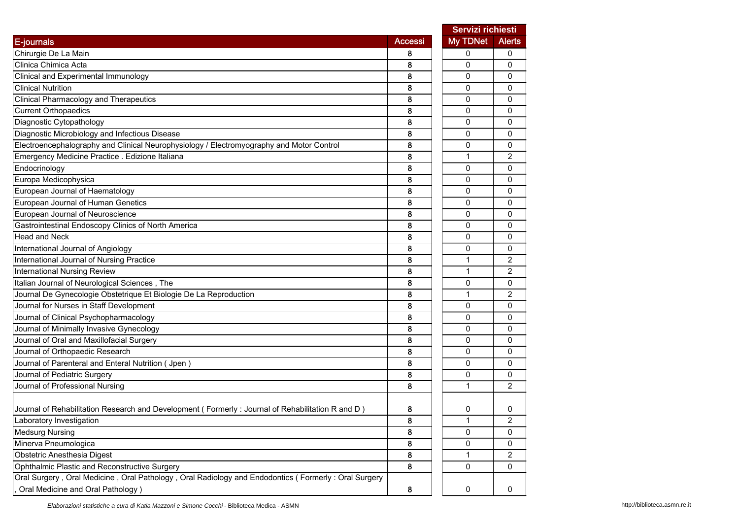|                                                                                                     |                | Servizi richiesti |                |
|-----------------------------------------------------------------------------------------------------|----------------|-------------------|----------------|
| E-journals                                                                                          | <b>Accessi</b> | My TDNet          | <b>Alerts</b>  |
| Chirurgie De La Main                                                                                | 8              | 0                 | 0              |
| Clinica Chimica Acta                                                                                | 8              | 0                 | 0              |
| Clinical and Experimental Immunology                                                                | 8              | 0                 | 0              |
| <b>Clinical Nutrition</b>                                                                           | 8              | 0                 | 0              |
| Clinical Pharmacology and Therapeutics                                                              | 8              | 0                 | 0              |
| <b>Current Orthopaedics</b>                                                                         | 8              | 0                 | 0              |
| Diagnostic Cytopathology                                                                            | 8              | 0                 | 0              |
| Diagnostic Microbiology and Infectious Disease                                                      | 8              | 0                 | 0              |
| Electroencephalography and Clinical Neurophysiology / Electromyography and Motor Control            | 8              | 0                 | 0              |
| Emergency Medicine Practice . Edizione Italiana                                                     | 8              | $\mathbf{1}$      | $\overline{2}$ |
| Endocrinology                                                                                       | 8              | $\mathbf 0$       | 0              |
| Europa Medicophysica                                                                                | 8              | 0                 | 0              |
| European Journal of Haematology                                                                     | 8              | 0                 | 0              |
| European Journal of Human Genetics                                                                  | 8              | 0                 | 0              |
| European Journal of Neuroscience                                                                    | 8              | 0                 | 0              |
| Gastrointestinal Endoscopy Clinics of North America                                                 | 8              | 0                 | 0              |
| <b>Head and Neck</b>                                                                                | 8              | 0                 | 0              |
| International Journal of Angiology                                                                  | 8              | 0                 | 0              |
| International Journal of Nursing Practice                                                           | 8              | 1                 | 2              |
| <b>International Nursing Review</b>                                                                 | 8              | $\mathbf{1}$      | 2              |
| Italian Journal of Neurological Sciences, The                                                       | 8              | $\mathbf 0$       | $\Omega$       |
| Journal De Gynecologie Obstetrique Et Biologie De La Reproduction                                   | 8              | 1                 | $\overline{c}$ |
| Journal for Nurses in Staff Development                                                             | 8              | 0                 | 0              |
| Journal of Clinical Psychopharmacology                                                              | 8              | 0                 | 0              |
| Journal of Minimally Invasive Gynecology                                                            | 8              | 0                 | 0              |
| Journal of Oral and Maxillofacial Surgery                                                           | 8              | 0                 | 0              |
| Journal of Orthopaedic Research                                                                     | 8              | $\mathbf 0$       | 0              |
| Journal of Parenteral and Enteral Nutrition (Jpen)                                                  | 8              | 0                 | 0              |
| Journal of Pediatric Surgery                                                                        | 8              | 0                 | 0              |
| Journal of Professional Nursing                                                                     | 8              | 1                 | 2              |
|                                                                                                     |                |                   |                |
| Journal of Rehabilitation Research and Development (Formerly: Journal of Rehabilitation R and D)    | 8              | 0                 | 0              |
| Laboratory Investigation                                                                            | 8              | 1                 | 2              |
| <b>Medsurg Nursing</b>                                                                              | 8              | 0                 | 0              |
| Minerva Pneumologica                                                                                | 8              | 0                 | 0              |
| Obstetric Anesthesia Digest                                                                         | 8              | 1                 | $\overline{c}$ |
| Ophthalmic Plastic and Reconstructive Surgery                                                       | 8              | 0                 | 0              |
| Oral Surgery, Oral Medicine, Oral Pathology, Oral Radiology and Endodontics (Formerly: Oral Surgery |                |                   |                |
| Oral Medicine and Oral Pathology)                                                                   | 8              | $\pmb{0}$         | 0              |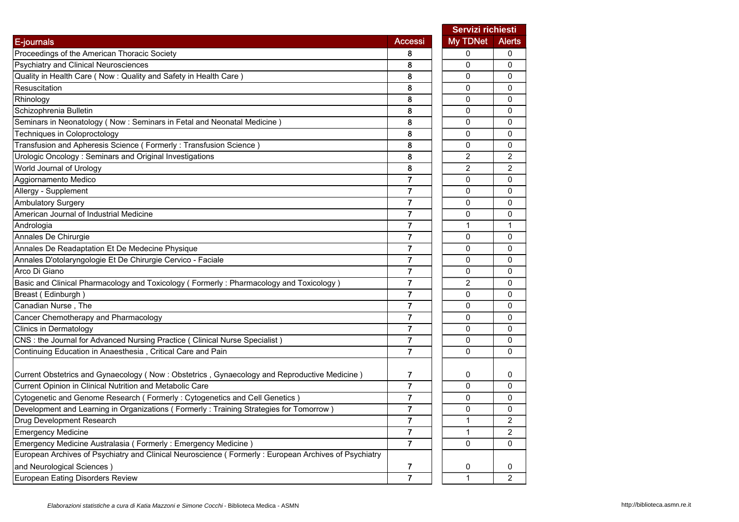|                                                                                                      |                | Servizi richiesti |                |
|------------------------------------------------------------------------------------------------------|----------------|-------------------|----------------|
| E-journals                                                                                           | Accessi        | My TDNet          | <b>Alerts</b>  |
| Proceedings of the American Thoracic Society                                                         | 8              | $\Omega$          | 0              |
| Psychiatry and Clinical Neurosciences                                                                | 8              | $\Omega$          | 0              |
| Quality in Health Care ( Now : Quality and Safety in Health Care)                                    | 8              | 0                 | 0              |
| Resuscitation                                                                                        | 8              | 0                 | 0              |
| Rhinology                                                                                            | 8              | $\Omega$          | $\mathbf{0}$   |
| Schizophrenia Bulletin                                                                               | 8              | $\Omega$          | $\mathbf{0}$   |
| Seminars in Neonatology (Now : Seminars in Fetal and Neonatal Medicine)                              | 8              | $\mathbf{0}$      | 0              |
| Techniques in Coloproctology                                                                         | 8              | $\Omega$          | 0              |
| Transfusion and Apheresis Science (Formerly: Transfusion Science)                                    | 8              | 0                 | 0              |
| Urologic Oncology: Seminars and Original Investigations                                              | 8              | $\overline{2}$    | $\overline{c}$ |
| World Journal of Urology                                                                             | 8              | 2                 | $\overline{c}$ |
| Aggiornamento Medico                                                                                 | $\overline{7}$ | 0                 | 0              |
| Allergy - Supplement                                                                                 | 7              | $\mathbf{0}$      | 0              |
| <b>Ambulatory Surgery</b>                                                                            | $\overline{7}$ | 0                 | 0              |
| American Journal of Industrial Medicine                                                              | $\overline{7}$ | 0                 | $\mathbf 0$    |
| Andrologia                                                                                           | $\overline{7}$ | 1                 | $\mathbf{1}$   |
| Annales De Chirurgie                                                                                 | $\overline{7}$ | 0                 | 0              |
| Annales De Readaptation Et De Medecine Physique                                                      | $\overline{7}$ | 0                 | 0              |
| Annales D'otolaryngologie Et De Chirurgie Cervico - Faciale                                          | 7              | $\mathbf{0}$      | $\mathbf{0}$   |
| Arco Di Giano                                                                                        | 7              | $\mathbf{0}$      | 0              |
| Basic and Clinical Pharmacology and Toxicology (Formerly: Pharmacology and Toxicology)               | $\overline{7}$ | $\overline{2}$    | 0              |
| Breast (Edinburgh)                                                                                   | $\overline{7}$ | 0                 | 0              |
| Canadian Nurse, The                                                                                  | $\overline{7}$ | 0                 | $\mathbf 0$    |
| Cancer Chemotherapy and Pharmacology                                                                 | $\overline{7}$ | 0                 | 0              |
| <b>Clinics in Dermatology</b>                                                                        | $\overline{7}$ | $\Omega$          | $\mathbf{0}$   |
| CNS : the Journal for Advanced Nursing Practice ( Clinical Nurse Specialist )                        | $\overline{7}$ | 0                 | $\mathbf{0}$   |
| Continuing Education in Anaesthesia, Critical Care and Pain                                          | $\overline{7}$ | 0                 | $\mathbf{0}$   |
| Current Obstetrics and Gynaecology (Now : Obstetrics, Gynaecology and Reproductive Medicine)         | 7              | 0                 | 0              |
| Current Opinion in Clinical Nutrition and Metabolic Care                                             | $\overline{7}$ | $\mathbf 0$       | 0              |
| Cytogenetic and Genome Research (Formerly: Cytogenetics and Cell Genetics)                           |                | 0                 | 0              |
| Development and Learning in Organizations (Formerly: Training Strategies for Tomorrow)               | $\overline{7}$ | $\mathbf{0}$      | $\mathbf{0}$   |
| Drug Development Research                                                                            | $\overline{7}$ | 1                 | 2              |
| <b>Emergency Medicine</b>                                                                            | $\overline{7}$ | 1                 | 2              |
| Emergency Medicine Australasia (Formerly: Emergency Medicine)                                        | $\overline{7}$ | $\Omega$          | $\mathbf{0}$   |
| European Archives of Psychiatry and Clinical Neuroscience (Formerly: European Archives of Psychiatry |                |                   |                |
| and Neurological Sciences)                                                                           | 7              | 0                 | 0              |
| European Eating Disorders Review                                                                     |                | 1                 | $\overline{2}$ |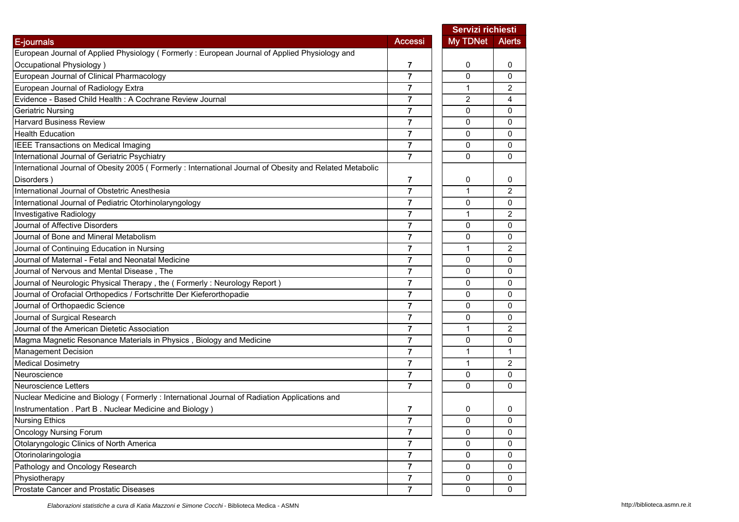|                                                                                                         |                         | <b>Servizi richiesti</b> |                |
|---------------------------------------------------------------------------------------------------------|-------------------------|--------------------------|----------------|
| E-journals                                                                                              | <b>Accessi</b>          | <b>My TDNet</b>          | <b>Alerts</b>  |
| European Journal of Applied Physiology (Formerly: European Journal of Applied Physiology and            |                         |                          |                |
| Occupational Physiology)                                                                                | 7                       | 0                        | 0              |
| European Journal of Clinical Pharmacology                                                               | $\overline{7}$          | 0                        | 0              |
| European Journal of Radiology Extra                                                                     | 7                       | 1                        | 2              |
| Evidence - Based Child Health : A Cochrane Review Journal                                               | 7                       | $\overline{2}$           | 4              |
| Geriatric Nursing                                                                                       | $\overline{7}$          | 0                        | 0              |
| <b>Harvard Business Review</b>                                                                          | $\overline{\mathbf{r}}$ | 0                        | 0              |
| <b>Health Education</b>                                                                                 | $\overline{7}$          | 0                        | 0              |
| IEEE Transactions on Medical Imaging                                                                    | $\overline{7}$          | $\Omega$                 | $\mathbf{0}$   |
| International Journal of Geriatric Psychiatry                                                           | $\overline{7}$          | 0                        | $\mathbf{0}$   |
| International Journal of Obesity 2005 (Formerly: International Journal of Obesity and Related Metabolic |                         |                          |                |
| Disorders)                                                                                              | 7                       | 0                        | 0              |
| International Journal of Obstetric Anesthesia                                                           | $\overline{7}$          | 1                        | $\overline{2}$ |
| International Journal of Pediatric Otorhinolaryngology                                                  | $\overline{7}$          | 0                        | 0              |
| Investigative Radiology                                                                                 | 7                       | $\mathbf{1}$             | $\overline{2}$ |
| Journal of Affective Disorders                                                                          | 7                       | 0                        | 0              |
| Journal of Bone and Mineral Metabolism                                                                  | 7                       | 0                        | 0              |
| Journal of Continuing Education in Nursing                                                              | $\overline{7}$          | 1                        | 2              |
| Journal of Maternal - Fetal and Neonatal Medicine                                                       | $\overline{7}$          | 0                        | 0              |
| Journal of Nervous and Mental Disease, The                                                              | $\overline{7}$          | $\Omega$                 | 0              |
| Journal of Neurologic Physical Therapy, the (Formerly: Neurology Report)                                | $\overline{7}$          | 0                        | 0              |
| Journal of Orofacial Orthopedics / Fortschritte Der Kieferorthopadie                                    | $\overline{7}$          | 0                        | 0              |
| Journal of Orthopaedic Science                                                                          | 7                       | 0                        | 0              |
| Journal of Surgical Research                                                                            | 7                       | 0                        | 0              |
| Journal of the American Dietetic Association                                                            | $\overline{7}$          | 1                        | 2              |
| Magma Magnetic Resonance Materials in Physics, Biology and Medicine                                     | 7                       | 0                        | 0              |
| <b>Management Decision</b>                                                                              | $\overline{7}$          | $\mathbf{1}$             | 1              |
| <b>Medical Dosimetry</b>                                                                                | $\overline{7}$          | 1                        | $\overline{2}$ |
| Neuroscience                                                                                            | 7                       | 0                        | 0              |
| Neuroscience Letters                                                                                    | $\overline{7}$          | $\Omega$                 | $\mathbf{0}$   |
| Nuclear Medicine and Biology (Formerly: International Journal of Radiation Applications and             |                         |                          |                |
| Instrumentation . Part B. Nuclear Medicine and Biology)                                                 | 7                       | 0                        | 0              |
| <b>Nursing Ethics</b>                                                                                   | $\overline{7}$          | 0                        | 0              |
| <b>Oncology Nursing Forum</b>                                                                           | $\overline{7}$          | 0                        | $\mathbf 0$    |
| Otolaryngologic Clinics of North America                                                                | $\mathbf{7}$            | 0                        | 0              |
| Otorinolaringologia                                                                                     | $\overline{7}$          | 0                        | 0              |
| Pathology and Oncology Research                                                                         | $\overline{7}$          | 0                        | $\mathbf{0}$   |
| Physiotherapy                                                                                           | $\overline{7}$          | 0                        | $\mathbf 0$    |
| Prostate Cancer and Prostatic Diseases                                                                  | $\overline{7}$          | 0                        | 0              |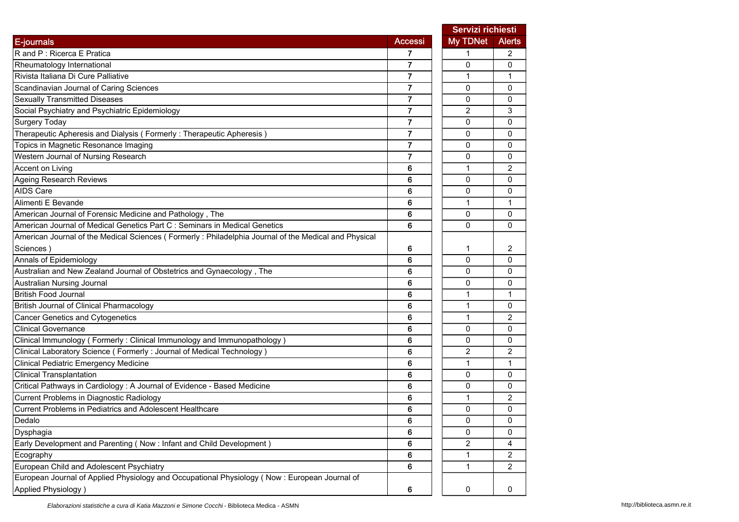|                                                                                                      |                | Servizi richiesti |                |
|------------------------------------------------------------------------------------------------------|----------------|-------------------|----------------|
| E-journals                                                                                           | <b>Accessi</b> | <b>My TDNet</b>   | <b>Alerts</b>  |
| R and P : Ricerca E Pratica                                                                          | 7              | 1                 | 2              |
| Rheumatology International                                                                           | 7              | 0                 | 0              |
| Rivista Italiana Di Cure Palliative                                                                  | 7              | 1                 | 1              |
| Scandinavian Journal of Caring Sciences                                                              | 7              | 0                 | 0              |
| <b>Sexually Transmitted Diseases</b>                                                                 | 7              | $\mathbf 0$       | 0              |
| Social Psychiatry and Psychiatric Epidemiology                                                       | 7              | 2                 | 3              |
| <b>Surgery Today</b>                                                                                 | $\overline{7}$ | 0                 | 0              |
| Therapeutic Apheresis and Dialysis (Formerly: Therapeutic Apheresis)                                 | $\overline{7}$ | 0                 | $\mathbf{0}$   |
| Topics in Magnetic Resonance Imaging                                                                 | 7              | $\mathbf 0$       | 0              |
| Western Journal of Nursing Research                                                                  | 7              | 0                 | 0              |
| Accent on Living                                                                                     | 6              | 1                 | 2              |
| <b>Ageing Research Reviews</b>                                                                       | 6              | 0                 | 0              |
| AIDS Care                                                                                            | 6              | 0                 | 0              |
| Alimenti E Bevande                                                                                   | 6              | 1                 | 1              |
| American Journal of Forensic Medicine and Pathology, The                                             | 6              | 0                 | $\mathbf{0}$   |
| American Journal of Medical Genetics Part C : Seminars in Medical Genetics                           | 6              | 0                 | 0              |
| American Journal of the Medical Sciences (Formerly: Philadelphia Journal of the Medical and Physical |                |                   |                |
| Sciences )                                                                                           | 6              | 1                 | 2              |
| Annals of Epidemiology                                                                               | 6              | 0                 | 0              |
| Australian and New Zealand Journal of Obstetrics and Gynaecology, The                                | 6              | $\mathbf 0$       | 0              |
| Australian Nursing Journal                                                                           | 6              | 0                 | 0              |
| <b>British Food Journal</b>                                                                          | 6              | 1                 | 1              |
| <b>British Journal of Clinical Pharmacology</b>                                                      | 6              | $\mathbf{1}$      | 0              |
| <b>Cancer Genetics and Cytogenetics</b>                                                              | 6              | 1                 | 2              |
| <b>Clinical Governance</b>                                                                           | 6              | 0                 | 0              |
| Clinical Immunology (Formerly: Clinical Immunology and Immunopathology)                              | 6              | 0                 | 0              |
| Clinical Laboratory Science ( Formerly : Journal of Medical Technology )                             | 6              | 2                 | 2              |
| <b>Clinical Pediatric Emergency Medicine</b>                                                         | 6              | 1                 | 1              |
| <b>Clinical Transplantation</b>                                                                      | 6              | 0                 | 0              |
| Critical Pathways in Cardiology : A Journal of Evidence - Based Medicine                             | 6              | 0                 | 0              |
| <b>Current Problems in Diagnostic Radiology</b>                                                      | 6              | 1                 | 2              |
| Current Problems in Pediatrics and Adolescent Healthcare                                             | 6              | 0                 | 0              |
| Dedalo                                                                                               | 6              | 0                 | 0              |
| Dysphagia                                                                                            | 6              | 0                 | 0              |
| Early Development and Parenting (Now : Infant and Child Development)                                 | 6              | 2                 | 4              |
| Ecography                                                                                            | 6              | 1                 | 2              |
| European Child and Adolescent Psychiatry                                                             | 6              | $\mathbf{1}$      | $\overline{2}$ |
| European Journal of Applied Physiology and Occupational Physiology (Now: European Journal of         |                |                   |                |
| Applied Physiology)                                                                                  | 6              | $\pmb{0}$         | 0              |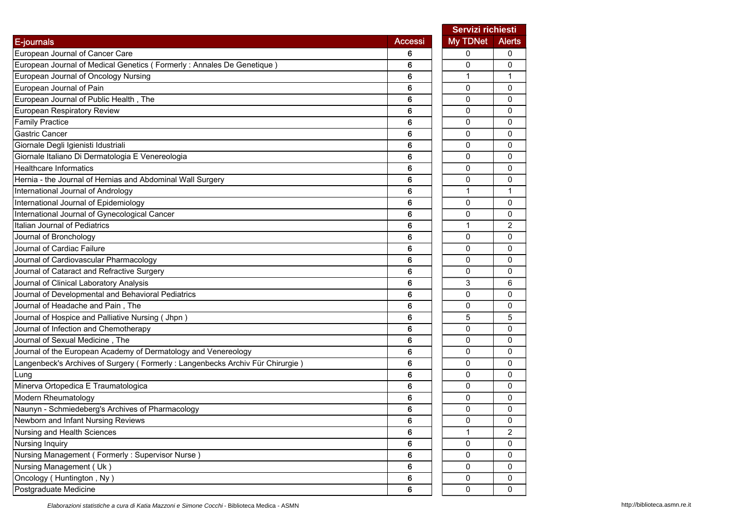|                                                                               |                | Servizi richiesti |                |
|-------------------------------------------------------------------------------|----------------|-------------------|----------------|
| E-journals                                                                    | <b>Accessi</b> | My TDNet          | <b>Alerts</b>  |
| European Journal of Cancer Care                                               | 6              | 0                 | 0              |
| European Journal of Medical Genetics (Formerly: Annales De Genetique)         | 6              | 0                 | $\mathbf{0}$   |
| European Journal of Oncology Nursing                                          | 6              | 1                 | 1              |
| European Journal of Pain                                                      | 6              | 0                 | 0              |
| European Journal of Public Health, The                                        | 6              | 0                 | 0              |
| European Respiratory Review                                                   | 6              | 0                 | 0              |
| <b>Family Practice</b>                                                        | 6              | 0                 | 0              |
| Gastric Cancer                                                                | 6              | 0                 | 0              |
| Giornale Degli Igienisti Idustriali                                           | 6              | 0                 | 0              |
| Giornale Italiano Di Dermatologia E Venereologia                              | 6              | $\Omega$          | 0              |
| <b>Healthcare Informatics</b>                                                 | 6              | 0                 | 0              |
| Hernia - the Journal of Hernias and Abdominal Wall Surgery                    | 6              | 0                 | 0              |
| International Journal of Andrology                                            | 6              | 1                 | 1              |
| International Journal of Epidemiology                                         | 6              | 0                 | 0              |
| International Journal of Gynecological Cancer                                 | 6              | 0                 | 0              |
| Italian Journal of Pediatrics                                                 | 6              | 1                 | 2              |
| Journal of Bronchology                                                        | 6              | 0                 | 0              |
| Journal of Cardiac Failure                                                    | 6              | 0                 | 0              |
| Journal of Cardiovascular Pharmacology                                        | 6              | 0                 | 0              |
| Journal of Cataract and Refractive Surgery                                    | 6              | 0                 | 0              |
| Journal of Clinical Laboratory Analysis                                       | 6              | 3                 | 6              |
| Journal of Developmental and Behavioral Pediatrics                            | 6              | 0                 | 0              |
| Journal of Headache and Pain, The                                             | 6              | 0                 | 0              |
| Journal of Hospice and Palliative Nursing (Jhpn)                              | 6              | 5                 | 5              |
| Journal of Infection and Chemotherapy                                         | 6              | 0                 | 0              |
| Journal of Sexual Medicine, The                                               | 6              | $\Omega$          | 0              |
| Journal of the European Academy of Dermatology and Venereology                | 6              | 0                 | 0              |
| Langenbeck's Archives of Surgery (Formerly: Langenbecks Archiv Für Chirurgie) | 6              | 0                 | 0              |
| Lung                                                                          | 6              | 0                 | 0              |
| Minerva Ortopedica E Traumatologica                                           | 6              | 0                 | 0              |
| Modern Rheumatology                                                           | 6              | 0                 | 0              |
| Naunyn - Schmiedeberg's Archives of Pharmacology                              | 6              | 0                 | 0              |
| Newborn and Infant Nursing Reviews                                            | 6              | 0                 | 0              |
| Nursing and Health Sciences                                                   | 6              | 1                 | $\overline{2}$ |
| Nursing Inquiry                                                               | 6              | 0                 | 0              |
| Nursing Management (Formerly: Supervisor Nurse)                               | 6              | 0                 | 0              |
| Nursing Management (Uk)                                                       | 6              | 0                 | 0              |
| Oncology (Huntington, Ny)                                                     | 6              | 0                 | 0              |
| Postgraduate Medicine                                                         | $6\phantom{a}$ | 0                 | 0              |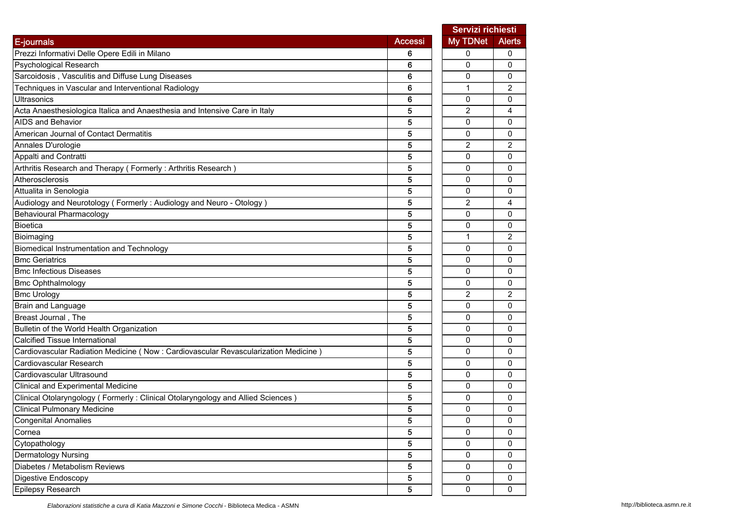|                                                                                    |                | Servizi richiesti |                |
|------------------------------------------------------------------------------------|----------------|-------------------|----------------|
| E-journals                                                                         | <b>Accessi</b> | My TDNet          | <b>Alerts</b>  |
| Prezzi Informativi Delle Opere Edili in Milano                                     | 6              | 0                 | 0              |
| Psychological Research                                                             | 6              | 0                 | 0              |
| Sarcoidosis, Vasculitis and Diffuse Lung Diseases                                  | 6              | 0                 | 0              |
| Techniques in Vascular and Interventional Radiology                                | 6              | $\mathbf{1}$      | 2              |
| Ultrasonics                                                                        | 6              | $\mathbf 0$       | 0              |
| Acta Anaesthesiologica Italica and Anaesthesia and Intensive Care in Italy         | 5              | 2                 | 4              |
| <b>AIDS</b> and Behavior                                                           | 5              | 0                 | 0              |
| American Journal of Contact Dermatitis                                             | 5              | 0                 | 0              |
| Annales D'urologie                                                                 | 5              | $\overline{2}$    | $\overline{2}$ |
| Appalti and Contratti                                                              | 5              | 0                 | 0              |
| Arthritis Research and Therapy (Formerly: Arthritis Research)                      | 5              | 0                 | 0              |
| Atherosclerosis                                                                    | 5              | $\mathbf{0}$      | 0              |
| Attualita in Senologia                                                             | 5              | 0                 | 0              |
| Audiology and Neurotology (Formerly: Audiology and Neuro - Otology)                | 5              | 2                 | 4              |
| <b>Behavioural Pharmacology</b>                                                    | 5              | 0                 | 0              |
| <b>Bioetica</b>                                                                    | 5              | 0                 | 0              |
| Bioimaging                                                                         | 5              | 1                 | 2              |
| Biomedical Instrumentation and Technology                                          | 5              | 0                 | 0              |
| <b>Bmc Geriatrics</b>                                                              | 5              | 0                 | 0              |
| <b>Bmc Infectious Diseases</b>                                                     | 5              | $\mathbf 0$       | 0              |
| <b>Bmc Ophthalmology</b>                                                           | 5              | 0                 | 0              |
| <b>Bmc Urology</b>                                                                 | 5              | 2                 | 2              |
| Brain and Language                                                                 | 5              | 0                 | 0              |
| Breast Journal, The                                                                | 5              | 0                 | 0              |
| Bulletin of the World Health Organization                                          | 5              | 0                 | 0              |
| <b>Calcified Tissue International</b>                                              | 5              | 0                 | 0              |
| Cardiovascular Radiation Medicine (Now: Cardiovascular Revascularization Medicine) | 5              | $\mathbf 0$       | 0              |
| Cardiovascular Research                                                            | 5              | 0                 | 0              |
| Cardiovascular Ultrasound                                                          | 5              | 0                 | 0              |
| <b>Clinical and Experimental Medicine</b>                                          | 5              | $\mathbf{0}$      | 0              |
| Clinical Otolaryngology (Formerly: Clinical Otolaryngology and Allied Sciences)    | 5              | 0                 | 0              |
| <b>Clinical Pulmonary Medicine</b>                                                 | 5              | 0                 | 0              |
| <b>Congenital Anomalies</b>                                                        | 5              | 0                 | 0              |
| Cornea                                                                             | 5              | 0                 | 0              |
| Cytopathology                                                                      | 5              | 0                 | 0              |
| Dermatology Nursing                                                                | 5              | 0                 | 0              |
| Diabetes / Metabolism Reviews                                                      | 5              | 0                 | 0              |
| Digestive Endoscopy                                                                | 5              | $\pmb{0}$         | 0              |
| Epilepsy Research                                                                  | 5              | $\mathbf 0$       | 0              |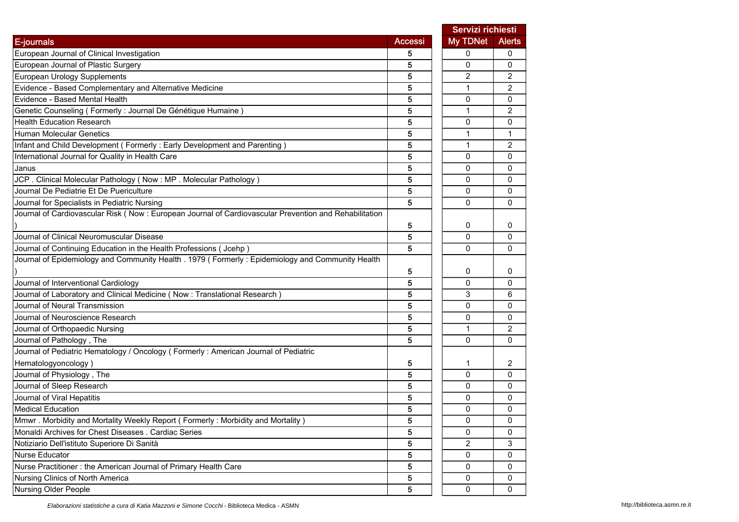|                                                                                                        |                | Servizi richiesti |                |
|--------------------------------------------------------------------------------------------------------|----------------|-------------------|----------------|
| E-journals                                                                                             | <b>Accessi</b> | My TDNet          | <b>Alerts</b>  |
| European Journal of Clinical Investigation                                                             | 5              | 0                 | 0              |
| European Journal of Plastic Surgery                                                                    | 5              | 0                 | 0              |
| European Urology Supplements                                                                           | 5              | 2                 | 2              |
| Evidence - Based Complementary and Alternative Medicine                                                | 5              | $\mathbf{1}$      | $\overline{2}$ |
| Evidence - Based Mental Health                                                                         | 5              | 0                 | 0              |
| Genetic Counseling (Formerly : Journal De Génétique Humaine)                                           | 5              | $\mathbf{1}$      | 2              |
| <b>Health Education Research</b>                                                                       | 5              | 0                 | 0              |
| Human Molecular Genetics                                                                               | 5              | $\mathbf{1}$      | 1              |
| Infant and Child Development (Formerly: Early Development and Parenting)                               | 5              | $\mathbf{1}$      | 2              |
| International Journal for Quality in Health Care                                                       | 5              | 0                 | 0              |
| Janus                                                                                                  | 5              | 0                 | 0              |
| JCP. Clinical Molecular Pathology (Now: MP. Molecular Pathology)                                       | 5              | 0                 | 0              |
| Journal De Pediatrie Et De Puericulture                                                                | 5              | 0                 | 0              |
| Journal for Specialists in Pediatric Nursing                                                           | 5              | 0                 | 0              |
| Journal of Cardiovascular Risk (Now : European Journal of Cardiovascular Prevention and Rehabilitation |                |                   |                |
|                                                                                                        | 5              | 0                 | 0              |
| Journal of Clinical Neuromuscular Disease                                                              | 5              | 0                 | 0              |
| Journal of Continuing Education in the Health Professions (Jcehp)                                      | 5              | 0                 | 0              |
| Journal of Epidemiology and Community Health . 1979 (Formerly: Epidemiology and Community Health       |                |                   |                |
|                                                                                                        | 5              | 0                 | 0              |
| Journal of Interventional Cardiology                                                                   | 5              | 0                 | 0              |
| Journal of Laboratory and Clinical Medicine (Now: Translational Research)                              | 5              | 3                 | 6              |
| Journal of Neural Transmission                                                                         | 5              | 0                 | 0              |
| Journal of Neuroscience Research                                                                       | 5              | 0                 | 0              |
| Journal of Orthopaedic Nursing                                                                         | 5              | $\mathbf{1}$      | 2              |
| Journal of Pathology, The                                                                              | 5              | $\mathbf{0}$      | $\Omega$       |
| Journal of Pediatric Hematology / Oncology ( Formerly : American Journal of Pediatric                  |                |                   |                |
| Hematologyoncology)                                                                                    | 5              | 1                 | 2              |
| Journal of Physiology, The                                                                             | 5              | 0                 | 0              |
| Journal of Sleep Research                                                                              | 5              | 0                 | 0              |
| Journal of Viral Hepatitis                                                                             | 5              | 0                 | 0              |
| <b>Medical Education</b>                                                                               | 5              | 0                 | 0              |
| Mmwr. Morbidity and Mortality Weekly Report (Formerly: Morbidity and Mortality)                        | 5              | 0                 | 0              |
| Monaldi Archives for Chest Diseases . Cardiac Series                                                   | 5              | 0                 | 0              |
| Notiziario Dell'istituto Superiore Di Sanità                                                           | 5              | 2                 | 3              |
| Nurse Educator                                                                                         | 5              | 0                 | 0              |
| Nurse Practitioner: the American Journal of Primary Health Care                                        | 5              | 0                 | 0              |
| Nursing Clinics of North America                                                                       | 5              | 0                 | 0              |
| <b>Nursing Older People</b>                                                                            | 5              | $\mathsf 0$       | 0              |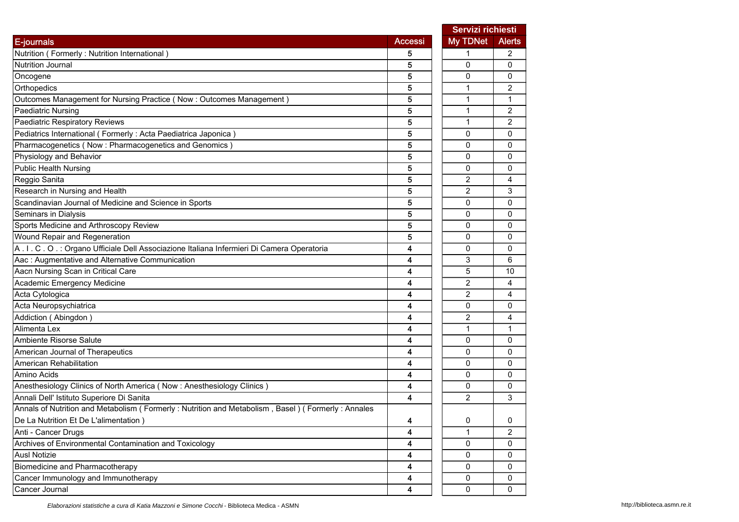|                                                                                                   |                | Servizi richiesti |                |
|---------------------------------------------------------------------------------------------------|----------------|-------------------|----------------|
| E-journals                                                                                        | <b>Accessi</b> | <b>My TDNet</b>   | <b>Alerts</b>  |
| Nutrition (Formerly: Nutrition International)                                                     | 5              | 1                 | 2              |
| Nutrition Journal                                                                                 | 5              | 0                 | $\mathbf{0}$   |
| Oncogene                                                                                          | 5              | 0                 | 0              |
| Orthopedics                                                                                       | 5              | 1                 | 2              |
| Outcomes Management for Nursing Practice (Now: Outcomes Management)                               | 5              | $\mathbf 1$       | 1              |
| <b>Paediatric Nursing</b>                                                                         | 5              | 1                 | 2              |
| Paediatric Respiratory Reviews                                                                    | 5              | $\mathbf{1}$      | $\overline{2}$ |
| Pediatrics International (Formerly : Acta Paediatrica Japonica)                                   | 5              | 0                 | 0              |
| Pharmacogenetics (Now : Pharmacogenetics and Genomics)                                            | 5              | 0                 | $\mathbf 0$    |
| Physiology and Behavior                                                                           | 5              | 0                 | $\Omega$       |
| <b>Public Health Nursing</b>                                                                      | 5              | 0                 | 0              |
| Reggio Sanita                                                                                     | 5              | 2                 | 4              |
| Research in Nursing and Health                                                                    | 5              | 2                 | 3              |
| Scandinavian Journal of Medicine and Science in Sports                                            | 5              | $\Omega$          | $\mathbf{0}$   |
| Seminars in Dialysis                                                                              | 5              | 0                 | 0              |
| Sports Medicine and Arthroscopy Review                                                            | 5              | 0                 | 0              |
| Wound Repair and Regeneration                                                                     | 5              | 0                 | 0              |
| A.I.C.O.: Organo Ufficiale Dell Associazione Italiana Infermieri Di Camera Operatoria             | 4              | 0                 | 0              |
| Aac: Augmentative and Alternative Communication                                                   | 4              | 3                 | 6              |
| Aacn Nursing Scan in Critical Care                                                                | 4              | 5                 | 10             |
| Academic Emergency Medicine                                                                       | 4              | $\overline{2}$    | 4              |
| Acta Cytologica                                                                                   | 4              | 2                 | 4              |
| Acta Neuropsychiatrica                                                                            | 4              | 0                 | 0              |
| Addiction (Abingdon)                                                                              | 4              | 2                 | 4              |
| Alimenta Lex                                                                                      | 4              | 1                 | 1              |
| Ambiente Risorse Salute                                                                           | 4              | 0                 | 0              |
| American Journal of Therapeutics                                                                  | 4              | 0                 | $\Omega$       |
| American Rehabilitation                                                                           | 4              | 0                 | 0              |
| Amino Acids                                                                                       | 4              | 0                 | 0              |
| Anesthesiology Clinics of North America (Now: Anesthesiology Clinics)                             | 4              | 0                 | 0              |
| Annali Dell' Istituto Superiore Di Sanita                                                         | 4              | $\overline{2}$    | 3              |
| Annals of Nutrition and Metabolism (Formerly: Nutrition and Metabolism, Basel) (Formerly: Annales |                |                   |                |
| De La Nutrition Et De L'alimentation)                                                             | 4              | 0                 | $\mathbf 0$    |
| Anti - Cancer Drugs                                                                               | 4              | 1                 | $\overline{c}$ |
| Archives of Environmental Contamination and Toxicology                                            | 4              | 0                 | 0              |
| <b>Ausl Notizie</b>                                                                               | 4              | 0                 | 0              |
| Biomedicine and Pharmacotherapy                                                                   | 4              | 0                 | 0              |
| Cancer Immunology and Immunotherapy                                                               | 4              | 0                 | 0              |
| Cancer Journal                                                                                    | 4              | 0                 | 0              |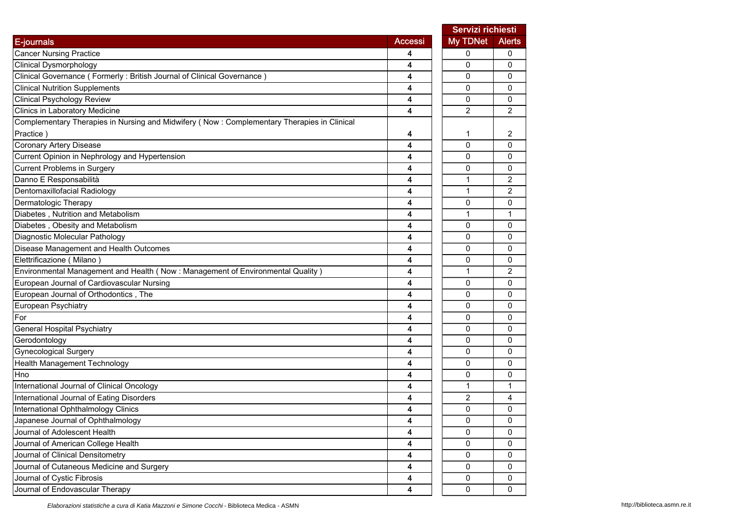|                                                                                            |                | Servizi richiesti |               |  |
|--------------------------------------------------------------------------------------------|----------------|-------------------|---------------|--|
| E-journals                                                                                 | <b>Accessi</b> | My TDNet          | <b>Alerts</b> |  |
| <b>Cancer Nursing Practice</b>                                                             | 4              | 0                 | 0             |  |
| <b>Clinical Dysmorphology</b>                                                              | 4              | 0                 | 0             |  |
| Clinical Governance (Formerly: British Journal of Clinical Governance)                     | 4              | 0                 | 0             |  |
| <b>Clinical Nutrition Supplements</b>                                                      | 4              | 0                 | 0             |  |
| <b>Clinical Psychology Review</b>                                                          | 4              | $\mathbf 0$       | 0             |  |
| Clinics in Laboratory Medicine                                                             | 4              | $\overline{2}$    | 2             |  |
| Complementary Therapies in Nursing and Midwifery (Now: Complementary Therapies in Clinical |                |                   |               |  |
| Practice)                                                                                  | 4              | 1                 | 2             |  |
| <b>Coronary Artery Disease</b>                                                             | 4              | $\mathbf{0}$      | 0             |  |
| Current Opinion in Nephrology and Hypertension                                             | 4              | 0                 | 0             |  |
| <b>Current Problems in Surgery</b>                                                         | 4              | $\mathbf 0$       | 0             |  |
| Danno E Responsabilità                                                                     | 4              | 1                 | 2             |  |
| Dentomaxillofacial Radiology                                                               | 4              | 1                 | 2             |  |
| Dermatologic Therapy                                                                       | 4              | 0                 | 0             |  |
| Diabetes, Nutrition and Metabolism                                                         | 4              | 1                 | 1             |  |
| Diabetes, Obesity and Metabolism                                                           | 4              | $\mathbf 0$       | 0             |  |
| Diagnostic Molecular Pathology                                                             | 4              | 0                 | 0             |  |
| Disease Management and Health Outcomes                                                     | 4              | 0                 | 0             |  |
| Elettrificazione (Milano)                                                                  | 4              | 0                 | 0             |  |
| Environmental Management and Health (Now: Management of Environmental Quality)             | 4              | 1                 | 2             |  |
| European Journal of Cardiovascular Nursing                                                 | 4              | 0                 | 0             |  |
| European Journal of Orthodontics, The                                                      | 4              | 0                 | 0             |  |
| European Psychiatry                                                                        | 4              | 0                 | 0             |  |
| For                                                                                        | 4              | 0                 | 0             |  |
| <b>General Hospital Psychiatry</b>                                                         | 4              | 0                 | 0             |  |
| Gerodontology                                                                              | 4              | 0                 | 0             |  |
| <b>Gynecological Surgery</b>                                                               | 4              | $\mathbf 0$       | 0             |  |
| <b>Health Management Technology</b>                                                        | 4              | 0                 | 0             |  |
| Hno                                                                                        | 4              | 0                 | 0             |  |
| International Journal of Clinical Oncology                                                 | 4              | 1                 | 1             |  |
| International Journal of Eating Disorders                                                  | 4              | $\overline{2}$    | 4             |  |
| International Ophthalmology Clinics                                                        | 4              | 0                 | 0             |  |
| Japanese Journal of Ophthalmology                                                          | 4              | $\pmb{0}$         | 0             |  |
| Journal of Adolescent Health                                                               | 4              | $\mathbf 0$       | 0             |  |
| Journal of American College Health                                                         | 4              | 0                 | 0             |  |
| Journal of Clinical Densitometry                                                           | 4              | 0                 | 0             |  |
| Journal of Cutaneous Medicine and Surgery                                                  | 4              | 0                 | 0             |  |
| Journal of Cystic Fibrosis                                                                 | 4              | 0                 | 0             |  |
| Journal of Endovascular Therapy                                                            | 4              | 0                 | 0             |  |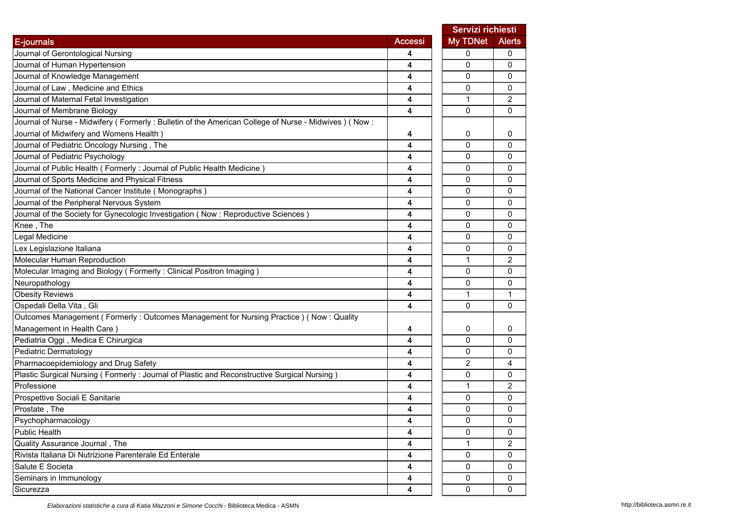|                                                                                                     |                | Servizi richiesti |               |
|-----------------------------------------------------------------------------------------------------|----------------|-------------------|---------------|
| E-journals                                                                                          | <b>Accessi</b> | <b>My TDNet</b>   | <b>Alerts</b> |
| Journal of Gerontological Nursing                                                                   | 4              | 0                 | 0             |
| Journal of Human Hypertension                                                                       | 4              | $\mathbf{0}$      | $\mathbf{0}$  |
| Journal of Knowledge Management                                                                     | 4              | $\mathbf{0}$      | 0             |
| Journal of Law, Medicine and Ethics                                                                 | 4              | 0                 | 0             |
| Journal of Maternal Fetal Investigation                                                             | 4              | $\mathbf{1}$      | 2             |
| Journal of Membrane Biology                                                                         | 4              | $\mathbf 0$       | 0             |
| Journal of Nurse - Midwifery (Formerly: Bulletin of the American College of Nurse - Midwives) (Now: |                |                   |               |
| Journal of Midwifery and Womens Health)                                                             | 4              | 0                 | 0             |
| Journal of Pediatric Oncology Nursing, The                                                          | 4              | $\mathbf{0}$      | 0             |
| Journal of Pediatric Psychology                                                                     | 4              | $\Omega$          | $\mathbf{0}$  |
| Journal of Public Health (Formerly: Journal of Public Health Medicine)                              | 4              | 0                 | 0             |
| Journal of Sports Medicine and Physical Fitness                                                     | 4              | 0                 | 0             |
| Journal of the National Cancer Institute (Monographs)                                               | 4              | $\mathbf{0}$      | 0             |
| Journal of the Peripheral Nervous System                                                            | 4              | 0                 | 0             |
| Journal of the Society for Gynecologic Investigation (Now: Reproductive Sciences)                   | 4              | 0                 | 0             |
| Knee, The                                                                                           | 4              | 0                 | 0             |
| Legal Medicine                                                                                      | 4              | 0                 | 0             |
| Lex Legislazione Italiana                                                                           | 4              | 0                 | 0             |
| Molecular Human Reproduction                                                                        | 4              | $\mathbf{1}$      | 2             |
| Molecular Imaging and Biology (Formerly: Clinical Positron Imaging)                                 | 4              | $\mathbf{0}$      | 0             |
| Neuropathology                                                                                      | 4              | 0                 | $\mathbf{0}$  |
| <b>Obesity Reviews</b>                                                                              | 4              | 1                 | 1             |
| Ospedali Della Vita, Gli                                                                            | 4              | $\mathbf{0}$      | 0             |
| Outcomes Management (Formerly: Outcomes Management for Nursing Practice) (Now: Quality              |                |                   |               |
| Management in Health Care)                                                                          | 4              | 0                 | 0             |
| Pediatria Oggi, Medica E Chirurgica                                                                 | 4              | $\mathbf{0}$      | $\Omega$      |
| Pediatric Dermatology                                                                               | 4              | 0                 | 0             |
| Pharmacoepidemiology and Drug Safety                                                                | 4              | $\overline{c}$    | 4             |
| Plastic Surgical Nursing (Formerly: Journal of Plastic and Reconstructive Surgical Nursing)         | 4              | 0                 | 0             |
| Professione                                                                                         | 4              | 1                 | 2             |
| Prospettive Sociali E Sanitarie                                                                     | 4              | 0                 | $\Omega$      |
| Prostate, The                                                                                       | 4              | 0                 | 0             |
| Psychopharmacology                                                                                  | 4              | 0                 | 0             |
| <b>Public Health</b>                                                                                | 4              | 0                 | 0             |
| Quality Assurance Journal, The                                                                      | 4              | $\mathbf{1}$      | 2             |
| Rivista Italiana Di Nutrizione Parenterale Ed Enterale                                              | 4              | 0                 | 0             |
| Salute E Societa                                                                                    | 4              | 0                 | 0             |
| Seminars in Immunology                                                                              | 4              | 0                 | 0             |
| Sicurezza                                                                                           | 4              | $\mathbf 0$       | 0             |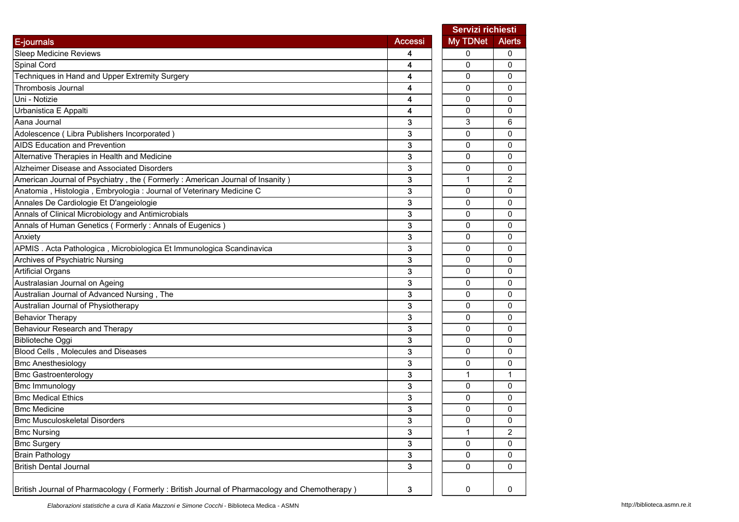|                                                                                              |                | Servizi richiesti |                         |
|----------------------------------------------------------------------------------------------|----------------|-------------------|-------------------------|
| E-journals                                                                                   | <b>Accessi</b> | <b>My TDNet</b>   | <b>Alerts</b>           |
| <b>Sleep Medicine Reviews</b>                                                                | 4              | 0                 | 0                       |
| Spinal Cord                                                                                  | 4              | $\Omega$          | 0                       |
| Techniques in Hand and Upper Extremity Surgery                                               | 4              | 0                 | 0                       |
| Thrombosis Journal                                                                           | 4              | 0                 | 0                       |
| Uni - Notizie                                                                                | 4              | 0                 | 0                       |
| Urbanistica E Appalti                                                                        | 4              | 0                 | 0                       |
| Aana Journal                                                                                 | 3              | 3                 | 6                       |
| Adolescence (Libra Publishers Incorporated)                                                  | 3              | 0                 | 0                       |
| <b>AIDS Education and Prevention</b>                                                         | 3              | $\Omega$          | 0                       |
| Alternative Therapies in Health and Medicine                                                 | 3              | $\Omega$          | 0                       |
| Alzheimer Disease and Associated Disorders                                                   | 3              | 0                 | 0                       |
| American Journal of Psychiatry, the (Formerly: American Journal of Insanity)                 | 3              | $\mathbf{1}$      | 2                       |
| Anatomia, Histologia, Embryologia: Journal of Veterinary Medicine C                          | 3              | 0                 | 0                       |
| Annales De Cardiologie Et D'angeiologie                                                      | 3              | $\Omega$          | 0                       |
| Annals of Clinical Microbiology and Antimicrobials                                           | 3              | 0                 | 0                       |
| Annals of Human Genetics (Formerly: Annals of Eugenics)                                      | 3              | 0                 | 0                       |
| Anxiety                                                                                      | 3              | 0                 | 0                       |
| APMIS. Acta Pathologica, Microbiologica Et Immunologica Scandinavica                         | 3              | 0                 | 0                       |
| Archives of Psychiatric Nursing                                                              | 3              | 0                 | 0                       |
| <b>Artificial Organs</b>                                                                     | 3              | 0                 | 0                       |
| Australasian Journal on Ageing                                                               | 3              | $\Omega$          | $\mathbf{0}$            |
| Australian Journal of Advanced Nursing, The                                                  | 3              | 0                 | 0                       |
| Australian Journal of Physiotherapy                                                          | 3              | $\Omega$          | 0                       |
| <b>Behavior Therapy</b>                                                                      | 3              | 0                 | 0                       |
| <b>Behaviour Research and Therapy</b>                                                        | 3              | $\Omega$          | 0                       |
| <b>Biblioteche Oggi</b>                                                                      | 3              | 0                 | 0                       |
| Blood Cells, Molecules and Diseases                                                          | 3              | 0                 | 0                       |
| <b>Bmc Anesthesiology</b>                                                                    | 3              | 0                 | 0                       |
| <b>Bmc Gastroenterology</b>                                                                  | 3              | $\mathbf{1}$      | 1                       |
| <b>Bmc Immunology</b>                                                                        | 3              | 0                 | 0                       |
| <b>Bmc Medical Ethics</b>                                                                    | 3              | 0                 | 0                       |
| <b>Bmc Medicine</b>                                                                          | 3              | $\mathbf 0$       | 0                       |
| <b>Bmc Musculoskeletal Disorders</b>                                                         | 3              | O                 | 0                       |
| <b>Bmc Nursing</b>                                                                           | 3              | 1                 | $\overline{\mathbf{c}}$ |
| <b>Bmc Surgery</b>                                                                           | 3              | 0                 | 0                       |
| <b>Brain Pathology</b>                                                                       | 3              | 0                 | 0                       |
| <b>British Dental Journal</b>                                                                | 3              | 0                 | 0                       |
| British Journal of Pharmacology (Formerly: British Journal of Pharmacology and Chemotherapy) | 3              | 0                 | 0                       |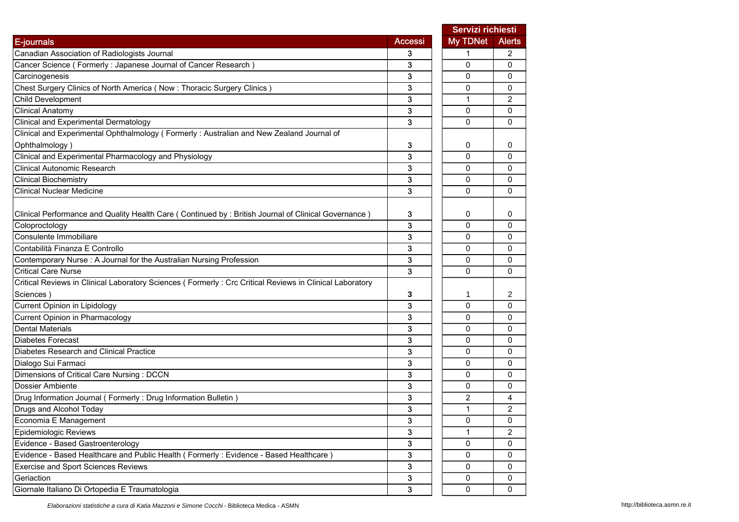|                                                                                                                       |                | Servizi richiesti |                |
|-----------------------------------------------------------------------------------------------------------------------|----------------|-------------------|----------------|
| E-journals                                                                                                            | <b>Accessi</b> | <b>My TDNet</b>   | <b>Alerts</b>  |
| Canadian Association of Radiologists Journal                                                                          | 3              | 1                 | 2              |
| Cancer Science (Formerly: Japanese Journal of Cancer Research)                                                        | 3              | 0                 | $\mathbf{0}$   |
| Carcinogenesis                                                                                                        | 3              | 0                 | 0              |
| Chest Surgery Clinics of North America (Now: Thoracic Surgery Clinics)                                                | 3              | 0                 | 0              |
| <b>Child Development</b>                                                                                              | 3              | 1                 | $\overline{2}$ |
| <b>Clinical Anatomy</b>                                                                                               | 3              | 0                 | 0              |
| Clinical and Experimental Dermatology                                                                                 | 3              | 0                 | $\Omega$       |
| Clinical and Experimental Ophthalmology (Formerly: Australian and New Zealand Journal of                              |                |                   |                |
| Ophthalmology)                                                                                                        | 3              | 0                 | 0              |
| Clinical and Experimental Pharmacology and Physiology                                                                 | 3              | $\mathbf{0}$      | 0              |
| <b>Clinical Autonomic Research</b>                                                                                    | 3              | 0                 | 0              |
| <b>Clinical Biochemistry</b>                                                                                          | 3              | 0                 | $\mathbf{0}$   |
| <b>Clinical Nuclear Medicine</b>                                                                                      | 3              | $\Omega$          | $\mathbf{0}$   |
|                                                                                                                       | 3              | 0                 | 0              |
| Clinical Performance and Quality Health Care (Continued by: British Journal of Clinical Governance)<br>Coloproctology | 3              | 0                 | 0              |
| Consulente Immobiliare                                                                                                | 3              | 0                 | 0              |
| Contabilità Finanza E Controllo                                                                                       | 3              | 0                 | 0              |
| Contemporary Nurse: A Journal for the Australian Nursing Profession                                                   | 3              | $\Omega$          | 0              |
| <b>Critical Care Nurse</b>                                                                                            | 3              | $\Omega$          | $\Omega$       |
| Critical Reviews in Clinical Laboratory Sciences (Formerly: Crc Critical Reviews in Clinical Laboratory               |                |                   |                |
| Sciences)                                                                                                             | 3              | 1                 | 2              |
| Current Opinion in Lipidology                                                                                         | 3              | 0                 | $\mathbf{0}$   |
| Current Opinion in Pharmacology                                                                                       | 3              | $\Omega$          | 0              |
| <b>Dental Materials</b>                                                                                               | 3              | 0                 | 0              |
| <b>Diabetes Forecast</b>                                                                                              | 3              | 0                 | $\Omega$       |
| Diabetes Research and Clinical Practice                                                                               | 3              | 0                 | 0              |
| Dialogo Sui Farmaci                                                                                                   | 3              | 0                 | 0              |
| Dimensions of Critical Care Nursing : DCCN                                                                            | 3              | 0                 | 0              |
| Dossier Ambiente                                                                                                      | 3              | 0                 | 0              |
| Drug Information Journal (Formerly: Drug Information Bulletin)                                                        | 3              | $\overline{2}$    | 4              |
| Drugs and Alcohol Today                                                                                               | 3              | 1                 | 2              |
| Economia E Management                                                                                                 | 3              | 0                 | 0              |
| Epidemiologic Reviews                                                                                                 | 3              | $\mathbf{1}$      | $\overline{c}$ |
| Evidence - Based Gastroenterology                                                                                     | 3              | 0                 | 0              |
| Evidence - Based Healthcare and Public Health (Formerly: Evidence - Based Healthcare)                                 | 3              | 0                 | 0              |
| <b>Exercise and Sport Sciences Reviews</b>                                                                            | 3              | 0                 | 0              |
| Geriaction                                                                                                            | 3              | 0                 | 0              |
| Giornale Italiano Di Ortopedia E Traumatologia                                                                        | 3              | 0                 | 0              |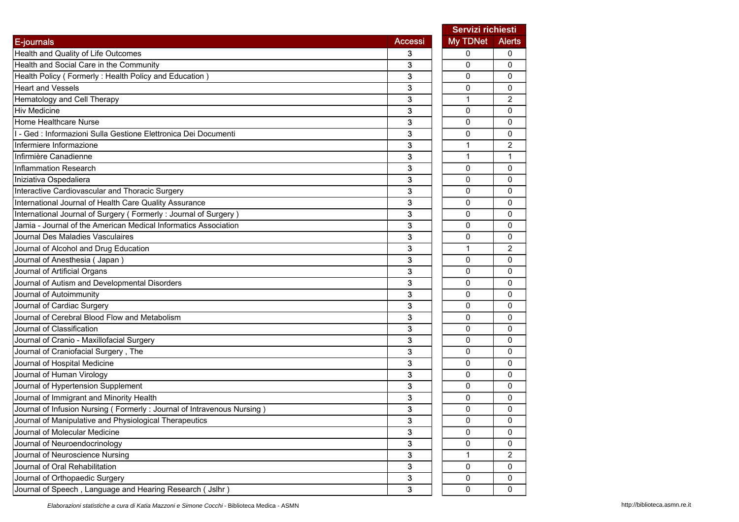|                                                                        |                | Servizi richiesti |                |
|------------------------------------------------------------------------|----------------|-------------------|----------------|
| E-journals                                                             | <b>Accessi</b> | My TDNet          | <b>Alerts</b>  |
| Health and Quality of Life Outcomes                                    | 3              | 0                 | 0              |
| Health and Social Care in the Community                                | 3              | 0                 | 0              |
| Health Policy (Formerly: Health Policy and Education)                  | 3              | 0                 | 0              |
| <b>Heart and Vessels</b>                                               | 3              | $\mathbf 0$       | 0              |
| Hematology and Cell Therapy                                            | 3              | $\mathbf{1}$      | $\overline{c}$ |
| <b>Hiv Medicine</b>                                                    | 3              | 0                 | 0              |
| Home Healthcare Nurse                                                  | 3              | 0                 | 0              |
| I - Ged : Informazioni Sulla Gestione Elettronica Dei Documenti        | 3              | 0                 | 0              |
| Infermiere Informazione                                                | 3              | $\mathbf{1}$      | $\overline{2}$ |
| Infirmière Canadienne                                                  | 3              | $\mathbf{1}$      | $\mathbf{1}$   |
| Inflammation Research                                                  | 3              | 0                 | 0              |
| Iniziativa Ospedaliera                                                 | 3              | 0                 | 0              |
| Interactive Cardiovascular and Thoracic Surgery                        | 3              | 0                 | 0              |
| International Journal of Health Care Quality Assurance                 | 3              | 0                 | 0              |
| International Journal of Surgery (Formerly: Journal of Surgery)        | 3              | 0                 | 0              |
| Jamia - Journal of the American Medical Informatics Association        | 3              | 0                 | 0              |
| Journal Des Maladies Vasculaires                                       | 3              | 0                 | 0              |
| Journal of Alcohol and Drug Education                                  | 3              | $\mathbf{1}$      | 2              |
| Journal of Anesthesia (Japan)                                          | 3              | 0                 | 0              |
| Journal of Artificial Organs                                           | 3              | 0                 | 0              |
| Journal of Autism and Developmental Disorders                          | 3              | 0                 | 0              |
| Journal of Autoimmunity                                                | 3              | 0                 | 0              |
| Journal of Cardiac Surgery                                             | 3              | 0                 | $\mathbf{0}$   |
| Journal of Cerebral Blood Flow and Metabolism                          | 3              | 0                 | 0              |
| Journal of Classification                                              | 3              | 0                 | 0              |
| Journal of Cranio - Maxillofacial Surgery                              | 3              | $\mathbf{0}$      | 0              |
| Journal of Craniofacial Surgery, The                                   | 3              | $\mathbf 0$       | 0              |
| Journal of Hospital Medicine                                           | 3              | 0                 | 0              |
| Journal of Human Virology                                              | 3              | 0                 | 0              |
| Journal of Hypertension Supplement                                     | 3              | $\Omega$          | 0              |
| Journal of Immigrant and Minority Health                               | 3              | 0                 | 0              |
| Journal of Infusion Nursing (Formerly: Journal of Intravenous Nursing) | 3              | 0                 | 0              |
| Journal of Manipulative and Physiological Therapeutics                 | 3              | 0                 | 0              |
| Journal of Molecular Medicine                                          | 3              | 0                 | 0              |
| Journal of Neuroendocrinology                                          | 3              | 0                 | 0              |
| Journal of Neuroscience Nursing                                        | 3              | 1                 | $\overline{c}$ |
| Journal of Oral Rehabilitation                                         | 3              | $\mathbf 0$       | 0              |
| Journal of Orthopaedic Surgery                                         | 3              | 0                 | 0              |
| Journal of Speech, Language and Hearing Research ( Jslhr )             | 3              | 0                 | 0              |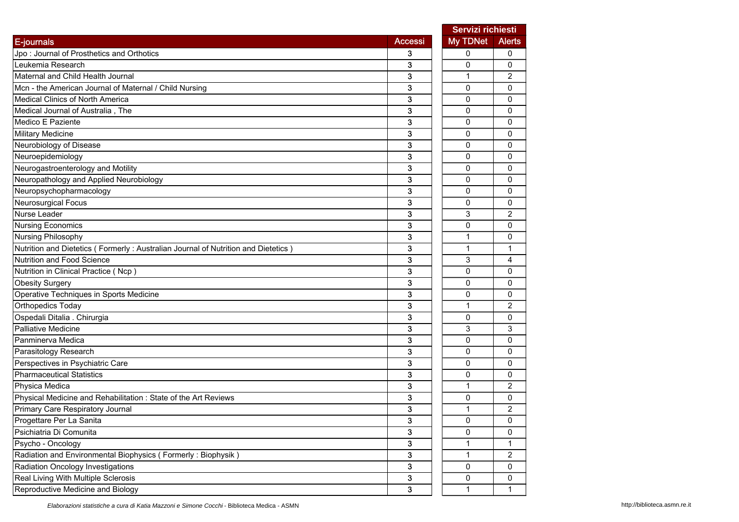|                                                                                   |                | Servizi richiesti |                |
|-----------------------------------------------------------------------------------|----------------|-------------------|----------------|
| E-journals                                                                        | <b>Accessi</b> | My TDNet          | <b>Alerts</b>  |
| Jpo: Journal of Prosthetics and Orthotics                                         | 3              | 0                 | 0              |
| Leukemia Research                                                                 | 3              | 0                 | 0              |
| Maternal and Child Health Journal                                                 | 3              | 1                 | 2              |
| Mcn - the American Journal of Maternal / Child Nursing                            | 3              | $\mathbf 0$       | $\mathbf{0}$   |
| <b>Medical Clinics of North America</b>                                           | 3              | 0                 | 0              |
| Medical Journal of Australia, The                                                 | 3              | 0                 | 0              |
| Medico E Paziente                                                                 | 3              | 0                 | 0              |
| <b>Military Medicine</b>                                                          | 3              | 0                 | 0              |
| Neurobiology of Disease                                                           | 3              | 0                 | 0              |
| Neuroepidemiology                                                                 | 3              | $\mathbf 0$       | 0              |
| Neurogastroenterology and Motility                                                | 3              | 0                 | 0              |
| Neuropathology and Applied Neurobiology                                           | 3              | 0                 | 0              |
| Neuropsychopharmacology                                                           | 3              | 0                 | 0              |
| Neurosurgical Focus                                                               | 3              | 0                 | 0              |
| Nurse Leader                                                                      | 3              | 3                 | $\overline{2}$ |
| <b>Nursing Economics</b>                                                          | 3              | 0                 | 0              |
| Nursing Philosophy                                                                | 3              | $\mathbf 1$       | 0              |
| Nutrition and Dietetics (Formerly: Australian Journal of Nutrition and Dietetics) | 3              | $\mathbf{1}$      | $\mathbf 1$    |
| Nutrition and Food Science                                                        | 3              | 3                 | 4              |
| Nutrition in Clinical Practice (Ncp)                                              | 3              | 0                 | 0              |
| <b>Obesity Surgery</b>                                                            | 3              | 0                 | 0              |
| Operative Techniques in Sports Medicine                                           | 3              | 0                 | 0              |
| <b>Orthopedics Today</b>                                                          | 3              | 1                 | 2              |
| Ospedali Ditalia . Chirurgia                                                      | 3              | 0                 | 0              |
| <b>Palliative Medicine</b>                                                        | 3              | 3                 | 3              |
| Panminerva Medica                                                                 | 3              | $\mathbf 0$       | 0              |
| Parasitology Research                                                             | 3              | 0                 | 0              |
| Perspectives in Psychiatric Care                                                  | 3              | 0                 | 0              |
| <b>Pharmaceutical Statistics</b>                                                  | 3              | 0                 | 0              |
| Physica Medica                                                                    | 3              | $\mathbf{1}$      | $\overline{c}$ |
| Physical Medicine and Rehabilitation : State of the Art Reviews                   | 3              | 0                 | 0              |
| Primary Care Respiratory Journal                                                  | 3              | $\mathbf{1}$      | $\overline{c}$ |
| Progettare Per La Sanita                                                          | 3              | 0                 | 0              |
| Psichiatria Di Comunita                                                           | 3              | 0                 | 0              |
| Psycho - Oncology                                                                 | 3              | 1                 | $\mathbf{1}$   |
| Radiation and Environmental Biophysics (Formerly: Biophysik)                      | 3              | 1                 | $\overline{c}$ |
| Radiation Oncology Investigations                                                 | 3              | 0                 | 0              |
| Real Living With Multiple Sclerosis                                               | 3              | 0                 | 0              |
| Reproductive Medicine and Biology                                                 | 3              | $\mathbf{1}$      | 1              |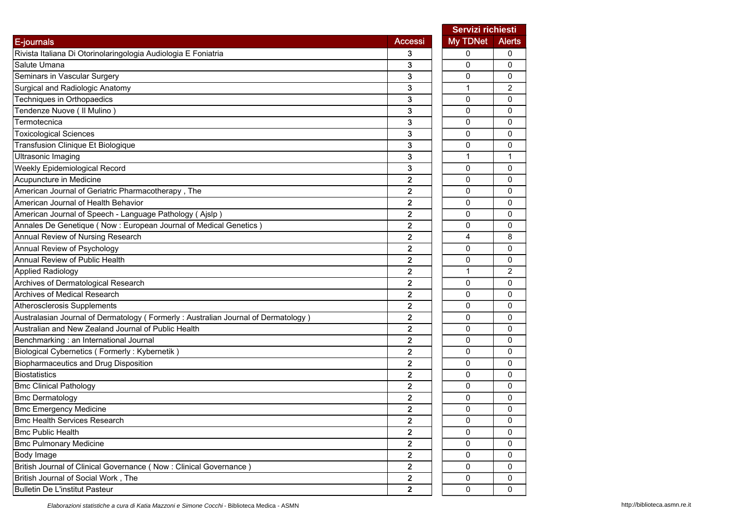|                                                                                   |                | Servizi richiesti |                |
|-----------------------------------------------------------------------------------|----------------|-------------------|----------------|
| E-journals                                                                        | <b>Accessi</b> | My TDNet          | <b>Alerts</b>  |
| Rivista Italiana Di Otorinolaringologia Audiologia E Foniatria                    | 3              | 0                 | 0              |
| Salute Umana                                                                      | 3              | 0                 | $\mathbf{0}$   |
| Seminars in Vascular Surgery                                                      | 3              | 0                 | 0              |
| Surgical and Radiologic Anatomy                                                   | 3              | 1                 | 2              |
| Techniques in Orthopaedics                                                        | 3              | 0                 | 0              |
| Tendenze Nuove (Il Mulino)                                                        | 3              | 0                 | 0              |
| Termotecnica                                                                      | 3              | 0                 | 0              |
| <b>Toxicological Sciences</b>                                                     | 3              | 0                 | 0              |
| Transfusion Clinique Et Biologique                                                | 3              | 0                 | 0              |
| <b>Ultrasonic Imaging</b>                                                         | 3              | $\mathbf{1}$      | $\mathbf 1$    |
| Weekly Epidemiological Record                                                     | 3              | 0                 | 0              |
| Acupuncture in Medicine                                                           | $\overline{2}$ | 0                 | 0              |
| American Journal of Geriatric Pharmacotherapy, The                                | $\mathbf{2}$   | 0                 | 0              |
| American Journal of Health Behavior                                               | $\overline{2}$ | $\mathbf{0}$      | $\mathbf{0}$   |
| American Journal of Speech - Language Pathology (Ajslp)                           | 2              | 0                 | 0              |
| Annales De Genetique (Now : European Journal of Medical Genetics)                 | 2              | 0                 | 0              |
| Annual Review of Nursing Research                                                 | $\mathbf{2}$   | 4                 | 8              |
| Annual Review of Psychology                                                       | $\overline{2}$ | 0                 | 0              |
| Annual Review of Public Health                                                    | 2              | 0                 | 0              |
| Applied Radiology                                                                 | $\overline{2}$ | $\mathbf{1}$      | $\overline{2}$ |
| Archives of Dermatological Research                                               | $\overline{2}$ | 0                 | $\mathbf{0}$   |
| <b>Archives of Medical Research</b>                                               | $\mathbf{2}$   | 0                 | 0              |
| Atherosclerosis Supplements                                                       | $\overline{2}$ | 0                 | 0              |
| Australasian Journal of Dermatology (Formerly: Australian Journal of Dermatology) | $\overline{2}$ | 0                 | 0              |
| Australian and New Zealand Journal of Public Health                               | $\mathbf{2}$   | $\mathbf{0}$      | 0              |
| Benchmarking : an International Journal                                           | $\overline{2}$ | 0                 | 0              |
| Biological Cybernetics (Formerly: Kybernetik)                                     | 2              | 0                 | 0              |
| Biopharmaceutics and Drug Disposition                                             | $\mathbf{2}$   | 0                 | 0              |
| Biostatistics                                                                     | 2              | 0                 | 0              |
| <b>Bmc Clinical Pathology</b>                                                     | 2              | 0                 | 0              |
| <b>Bmc Dermatology</b>                                                            | 2              | 0                 | 0              |
| <b>Bmc Emergency Medicine</b>                                                     | $\overline{2}$ | 0                 | 0              |
| <b>Bmc Health Services Research</b>                                               | $\mathbf{z}$   | 0                 | 0              |
| <b>Bmc Public Health</b>                                                          | $\mathbf{2}$   | 0                 | 0              |
| <b>Bmc Pulmonary Medicine</b>                                                     | $\mathbf{2}$   | 0                 | $\mathbf 0$    |
| <b>Body Image</b>                                                                 | $\mathbf{2}$   | 0                 | $\mathbf{0}$   |
| British Journal of Clinical Governance (Now: Clinical Governance)                 | $\mathbf{2}$   | 0                 | 0              |
| British Journal of Social Work, The                                               | $\mathbf{2}$   | 0                 | 0              |
| <b>Bulletin De L'institut Pasteur</b>                                             | $\mathbf{2}$   | 0                 | 0              |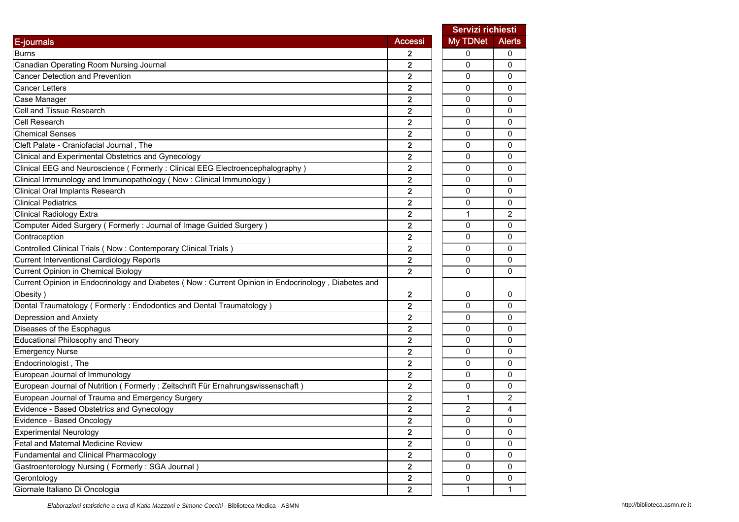|                                                                                                    |                         | Servizi richiesti |               |
|----------------------------------------------------------------------------------------------------|-------------------------|-------------------|---------------|
| E-journals                                                                                         | <b>Accessi</b>          | <b>My TDNet</b>   | <b>Alerts</b> |
| <b>Burns</b>                                                                                       | 2                       | 0                 | 0             |
| Canadian Operating Room Nursing Journal                                                            | 2                       | 0                 | 0             |
| <b>Cancer Detection and Prevention</b>                                                             | $\overline{2}$          | $\Omega$          | 0             |
| <b>Cancer Letters</b>                                                                              | 2                       | 0                 | 0             |
| Case Manager                                                                                       | $\overline{2}$          | 0                 | 0             |
| Cell and Tissue Research                                                                           | $\overline{2}$          | 0                 | 0             |
| Cell Research                                                                                      | $\overline{\mathbf{2}}$ | 0                 | 0             |
| <b>Chemical Senses</b>                                                                             | 2                       | 0                 | 0             |
| Cleft Palate - Craniofacial Journal, The                                                           | $\overline{2}$          | 0                 | 0             |
| Clinical and Experimental Obstetrics and Gynecology                                                | $\overline{2}$          | 0                 | 0             |
| Clinical EEG and Neuroscience ( Formerly : Clinical EEG Electroencephalography )                   | 2                       | 0                 | 0             |
| Clinical Immunology and Immunopathology (Now: Clinical Immunology)                                 | 2                       | 0                 | 0             |
| Clinical Oral Implants Research                                                                    | $\overline{2}$          | 0                 | 0             |
| <b>Clinical Pediatrics</b>                                                                         | $\overline{2}$          | 0                 | 0             |
| <b>Clinical Radiology Extra</b>                                                                    | 2                       | $\mathbf{1}$      | 2             |
| Computer Aided Surgery (Formerly: Journal of Image Guided Surgery)                                 | $\overline{\mathbf{2}}$ | 0                 | 0             |
| Contraception                                                                                      | 2                       | 0                 | 0             |
| Controlled Clinical Trials (Now: Contemporary Clinical Trials)                                     | 2                       | 0                 | 0             |
| <b>Current Interventional Cardiology Reports</b>                                                   | $\overline{2}$          | 0                 | 0             |
| Current Opinion in Chemical Biology                                                                | $\overline{2}$          | $\Omega$          | 0             |
| Current Opinion in Endocrinology and Diabetes (Now: Current Opinion in Endocrinology, Diabetes and |                         |                   |               |
| Obesity)                                                                                           | 2                       | 0                 | 0             |
| Dental Traumatology (Formerly: Endodontics and Dental Traumatology)                                | $\overline{2}$          | 0                 | 0             |
| Depression and Anxiety                                                                             | 2                       | 0                 | 0             |
| Diseases of the Esophagus                                                                          | $\overline{2}$          | 0                 | 0             |
| <b>Educational Philosophy and Theory</b>                                                           | 2                       | 0                 | 0             |
| <b>Emergency Nurse</b>                                                                             | 2                       | $\mathbf 0$       | 0             |
| Endocrinologist, The                                                                               | $\overline{\mathbf{c}}$ | 0                 | 0             |
| European Journal of Immunology                                                                     | 2                       | 0                 | 0             |
| European Journal of Nutrition (Formerly: Zeitschrift Für Ernahrungswissenschaft)                   | $\overline{2}$          | 0                 | 0             |
| European Journal of Trauma and Emergency Surgery                                                   | $\overline{2}$          | 1                 | 2             |
| Evidence - Based Obstetrics and Gynecology                                                         | $\overline{2}$          | $\overline{2}$    | 4             |
| Evidence - Based Oncology                                                                          | 2                       | 0                 | 0             |
| <b>Experimental Neurology</b>                                                                      | $\overline{2}$          | 0                 | 0             |
| Fetal and Maternal Medicine Review                                                                 | 2                       | 0                 | 0             |
| Fundamental and Clinical Pharmacology                                                              | $\overline{2}$          | 0                 | 0             |
| Gastroenterology Nursing (Formerly: SGA Journal)                                                   | 2                       | 0                 | 0             |
| Gerontology                                                                                        | $\mathbf 2$             | $\pmb{0}$         | 0             |
| Giornale Italiano Di Oncologia                                                                     | 2 <sup>1</sup>          | $\mathbf{1}$      | 1             |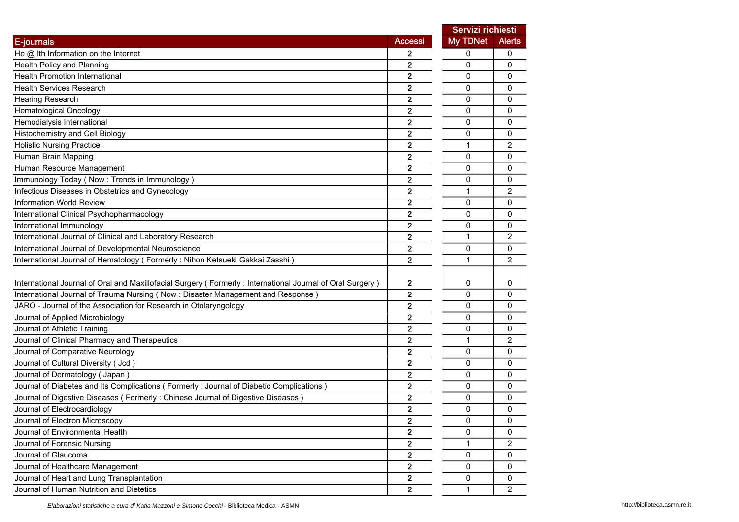|                                                                                                           |                         | Servizi richiesti |                |
|-----------------------------------------------------------------------------------------------------------|-------------------------|-------------------|----------------|
| E-journals                                                                                                | <b>Accessi</b>          | My TDNet          | <b>Alerts</b>  |
| He @ Ith Information on the Internet                                                                      | 2                       | 0                 | 0              |
| <b>Health Policy and Planning</b>                                                                         | 2                       | 0                 | 0              |
| <b>Health Promotion International</b>                                                                     | 2                       | 0                 | 0              |
| <b>Health Services Research</b>                                                                           | 2                       | 0                 | 0              |
| Hearing Research                                                                                          | 2                       | 0                 | 0              |
| <b>Hematological Oncology</b>                                                                             | $\mathbf{2}$            | 0                 | 0              |
| Hemodialysis International                                                                                | 2                       | 0                 | 0              |
| Histochemistry and Cell Biology                                                                           | 2                       | 0                 | 0              |
| <b>Holistic Nursing Practice</b>                                                                          | 2                       | 1                 | 2              |
| Human Brain Mapping                                                                                       | $\overline{2}$          | $\mathbf 0$       | $\Omega$       |
| Human Resource Management                                                                                 | 2                       | 0                 | 0              |
| Immunology Today (Now: Trends in Immunology)                                                              | $\overline{2}$          | 0                 | 0              |
| Infectious Diseases in Obstetrics and Gynecology                                                          | 2                       | 1                 | 2              |
| <b>Information World Review</b>                                                                           | $\overline{2}$          | $\Omega$          | 0              |
| International Clinical Psychopharmacology                                                                 | $\overline{2}$          | 0                 | 0              |
| International Immunology                                                                                  | $\overline{2}$          | $\mathbf 0$       | 0              |
| International Journal of Clinical and Laboratory Research                                                 | $\mathbf{2}$            | 1                 | 2              |
| International Journal of Developmental Neuroscience                                                       | $\overline{2}$          | 0                 | 0              |
| International Journal of Hematology (Formerly: Nihon Ketsueki Gakkai Zasshi)                              | $\overline{2}$          | 1                 | 2              |
|                                                                                                           |                         |                   |                |
| International Journal of Oral and Maxillofacial Surgery (Formerly: International Journal of Oral Surgery) | $\mathbf{2}$            | 0                 | 0              |
| International Journal of Trauma Nursing (Now : Disaster Management and Response)                          | $\mathbf{2}$            | 0                 | 0              |
| JARO - Journal of the Association for Research in Otolaryngology                                          | $\overline{2}$          | 0                 | 0              |
| Journal of Applied Microbiology                                                                           | 2                       | 0                 | 0              |
| Journal of Athletic Training                                                                              | $\overline{2}$          | $\Omega$          | 0              |
| Journal of Clinical Pharmacy and Therapeutics                                                             | 2                       | $\mathbf{1}$      | 2              |
| Journal of Comparative Neurology                                                                          | 2                       | $\mathbf 0$       | 0              |
| Journal of Cultural Diversity (Jcd)                                                                       | $\mathbf{2}$            | 0                 | 0              |
| Journal of Dermatology (Japan)                                                                            | 2                       | 0                 | 0              |
| Journal of Diabetes and Its Complications (Formerly: Journal of Diabetic Complications)                   | $\overline{2}$          | 0                 | 0              |
| Journal of Digestive Diseases (Formerly: Chinese Journal of Digestive Diseases)                           | 2                       | 0                 | 0              |
| Journal of Electrocardiology                                                                              | $\overline{2}$          | $\mathbf 0$       | 0              |
| Journal of Electron Microscopy                                                                            | $\mathbf{z}$            | 0                 | 0              |
| Journal of Environmental Health                                                                           | $\overline{2}$          | $\mathbf 0$       | 0              |
| Journal of Forensic Nursing                                                                               | $\mathbf{2}$            | 1                 | $\overline{c}$ |
| Journal of Glaucoma                                                                                       | $\overline{\mathbf{2}}$ | $\mathbf 0$       | 0              |
| Journal of Healthcare Management                                                                          | $\mathbf{2}$            | 0                 | 0              |
| Journal of Heart and Lung Transplantation                                                                 | $\mathbf{2}$            | $\pmb{0}$         | 0              |
| Journal of Human Nutrition and Dietetics                                                                  | $\overline{2}$          | $\mathbf{1}$      | 2              |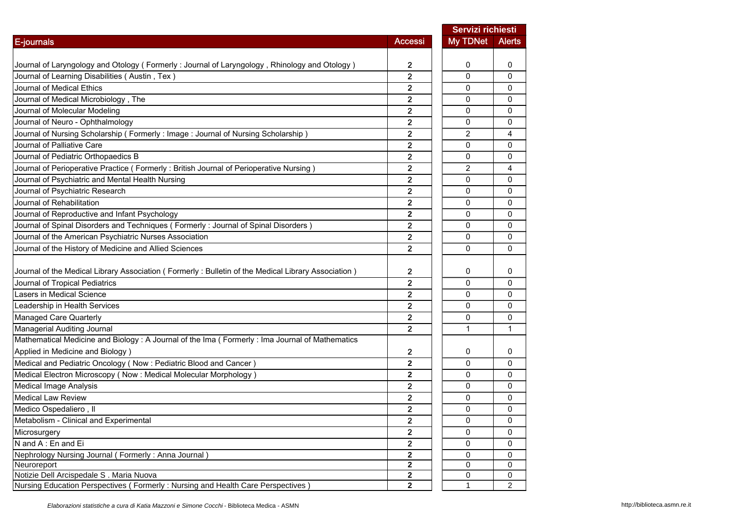|                                                                                                    |                         | Servizi richiesti |                |
|----------------------------------------------------------------------------------------------------|-------------------------|-------------------|----------------|
| <b>E-journals</b>                                                                                  | <b>Accessi</b>          | <b>My TDNet</b>   | <b>Alerts</b>  |
|                                                                                                    |                         |                   |                |
| Journal of Laryngology and Otology (Formerly: Journal of Laryngology, Rhinology and Otology)       | 2                       | 0                 | 0              |
| Journal of Learning Disabilities (Austin, Tex)                                                     | $\overline{2}$          | $\Omega$          | 0              |
| Journal of Medical Ethics                                                                          | 2                       | 0                 | 0              |
| Journal of Medical Microbiology, The                                                               | 2                       | 0                 | 0              |
| Journal of Molecular Modeling                                                                      | $\overline{\mathbf{2}}$ | 0                 | 0              |
| Journal of Neuro - Ophthalmology                                                                   | $\overline{2}$          | 0                 | 0              |
| Journal of Nursing Scholarship (Formerly: Image: Journal of Nursing Scholarship)                   | 2                       | 2                 | 4              |
| Journal of Palliative Care                                                                         | 2                       | 0                 | 0              |
| Journal of Pediatric Orthopaedics B                                                                | $\overline{2}$          | $\Omega$          | 0              |
| Journal of Perioperative Practice (Formerly: British Journal of Perioperative Nursing)             | 2                       | 2                 | 4              |
| Journal of Psychiatric and Mental Health Nursing                                                   | $\overline{2}$          | 0                 | 0              |
| Journal of Psychiatric Research                                                                    | 2                       | 0                 | 0              |
| Journal of Rehabilitation                                                                          | $\overline{2}$          | 0                 | 0              |
| Journal of Reproductive and Infant Psychology                                                      | $\overline{2}$          | 0                 | 0              |
| Journal of Spinal Disorders and Techniques (Formerly: Journal of Spinal Disorders)                 | 2                       | $\mathbf 0$       | 0              |
| Journal of the American Psychiatric Nurses Association                                             | 2                       | 0                 | 0              |
| Journal of the History of Medicine and Allied Sciences                                             | $\overline{2}$          | 0                 | 0              |
|                                                                                                    |                         |                   |                |
| Journal of the Medical Library Association (Formerly: Bulletin of the Medical Library Association) | 2                       | 0                 | 0              |
| Journal of Tropical Pediatrics                                                                     | $\overline{\mathbf{2}}$ | $\Omega$          | $\mathbf{0}$   |
| Lasers in Medical Science                                                                          | 2                       | 0                 | 0              |
| Leadership in Health Services                                                                      | $\overline{2}$          | 0                 | 0              |
| Managed Care Quarterly                                                                             | $\overline{2}$          | 0                 | 0              |
| Managerial Auditing Journal                                                                        | $\overline{2}$          | $\mathbf{1}$      | 1              |
| Mathematical Medicine and Biology : A Journal of the Ima ( Formerly : Ima Journal of Mathematics   |                         |                   |                |
| Applied in Medicine and Biology)                                                                   | 2                       | 0                 | 0              |
| Medical and Pediatric Oncology (Now : Pediatric Blood and Cancer)                                  | 2                       | 0                 | 0              |
| Medical Electron Microscopy (Now: Medical Molecular Morphology)                                    | $\mathbf 2$             | 0                 | 0              |
| <b>Medical Image Analysis</b>                                                                      | $\overline{\mathbf{2}}$ | 0                 | 0              |
| <b>Medical Law Review</b>                                                                          | $\overline{2}$          | 0                 | 0              |
| Medico Ospedaliero, Il                                                                             | $\overline{2}$          | 0                 | 0              |
| Metabolism - Clinical and Experimental                                                             | 2                       | 0                 | 0              |
| Microsurgery                                                                                       | $\overline{2}$          | 0                 | 0              |
| N and A: En and Ei                                                                                 | $\overline{\mathbf{2}}$ | 0                 | 0              |
| Nephrology Nursing Journal (Formerly: Anna Journal)                                                | $\mathbf 2$             | 0                 | 0              |
| Neuroreport                                                                                        | 2                       | 0                 | 0              |
| Notizie Dell Arcispedale S. Maria Nuova                                                            | $\mathbf 2$             | 0                 | 0              |
| Nursing Education Perspectives (Formerly: Nursing and Health Care Perspectives)                    | $\overline{2}$          | $\mathbf{1}$      | $\overline{2}$ |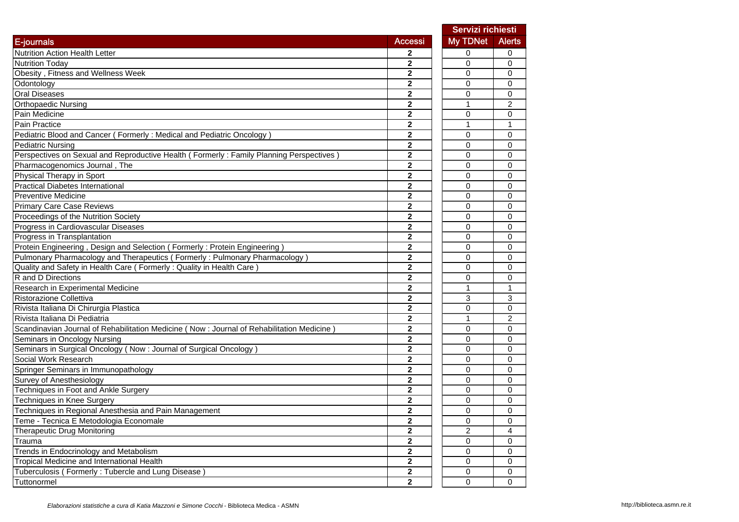|                                                                                           |                         | Servizi richiesti |                |
|-------------------------------------------------------------------------------------------|-------------------------|-------------------|----------------|
| E-journals                                                                                | <b>Accessi</b>          | My TDNet          | <b>Alerts</b>  |
| <b>Nutrition Action Health Letter</b>                                                     | 2                       | 0                 | 0              |
| <b>Nutrition Todav</b>                                                                    | $\mathbf{2}$            | $\Omega$          | 0              |
| Obesity, Fitness and Wellness Week                                                        | $\mathbf{2}$            | 0                 | 0              |
| Odontology                                                                                | $\mathbf{2}$            | $\mathbf 0$       | 0              |
| <b>Oral Diseases</b>                                                                      | $\mathbf{2}$            | 0                 | 0              |
| <b>Orthopaedic Nursing</b>                                                                | $\mathbf{2}$            | $\mathbf{1}$      | $\overline{c}$ |
| Pain Medicine                                                                             | $\overline{\mathbf{2}}$ | $\mathbf 0$       | 0              |
| Pain Practice                                                                             | $\overline{2}$          | $\overline{1}$    | $\mathbf{1}$   |
| Pediatric Blood and Cancer (Formerly: Medical and Pediatric Oncology)                     | $\mathbf 2$             | 0                 | 0              |
| <b>Pediatric Nursing</b>                                                                  | $\overline{\mathbf{2}}$ | $\mathbf 0$       | 0              |
| Perspectives on Sexual and Reproductive Health (Formerly: Family Planning Perspectives)   | $\mathbf 2$             | 0                 | 0              |
| Pharmacogenomics Journal, The                                                             | $\mathbf{2}$            | 0                 | 0              |
| Physical Therapy in Sport                                                                 | 2                       | 0                 | 0              |
| <b>Practical Diabetes International</b>                                                   | $\mathbf{2}$            | 0                 | 0              |
| Preventive Medicine                                                                       | $\mathbf{2}$            | 0                 | 0              |
| <b>Primary Care Case Reviews</b>                                                          | $\mathbf{2}$            | 0                 | 0              |
| Proceedings of the Nutrition Society                                                      | 2                       | 0                 | 0              |
| Progress in Cardiovascular Diseases                                                       | 2                       | 0                 | 0              |
| Progress in Transplantation                                                               | $\mathbf{2}$            | $\mathbf 0$       | 0              |
| Protein Engineering, Design and Selection (Formerly: Protein Engineering)                 | $\mathbf{2}$            | $\mathbf 0$       | 0              |
| Pulmonary Pharmacology and Therapeutics (Formerly: Pulmonary Pharmacology)                | 2                       | $\mathbf 0$       | 0              |
| Quality and Safety in Health Care (Formerly: Quality in Health Care)                      | $\overline{2}$          | $\mathbf 0$       | 0              |
| R and D Directions                                                                        | $\overline{2}$          | $\mathbf 0$       | 0              |
| Research in Experimental Medicine                                                         | $\overline{2}$          | $\mathbf{1}$      | $\mathbf{1}$   |
| Ristorazione Collettiva                                                                   | $\overline{\mathbf{2}}$ | 3                 | 3              |
| Rivista Italiana Di Chirurgia Plastica                                                    | 2                       | 0                 | 0              |
| Rivista Italiana Di Pediatria                                                             | $\overline{\mathbf{2}}$ | $\mathbf{1}$      | $\overline{c}$ |
| Scandinavian Journal of Rehabilitation Medicine (Now: Journal of Rehabilitation Medicine) | $\mathbf{2}$            | $\Omega$          | 0              |
| Seminars in Oncology Nursing                                                              | $\mathbf{2}$            | 0                 | 0              |
| Seminars in Surgical Oncology (Now: Journal of Surgical Oncology)                         | 2                       | 0                 | 0              |
| Social Work Research                                                                      | $\overline{2}$          | 0                 | 0              |
| Springer Seminars in Immunopathology                                                      | $\mathbf{2}$            | 0                 | 0              |
| <b>Survey of Anesthesiology</b>                                                           | $\overline{2}$          | 0                 | 0              |
| Techniques in Foot and Ankle Surgery                                                      | 2                       | 0                 | 0              |
| Techniques in Knee Surgery                                                                | 2                       | 0                 | 0              |
| Techniques in Regional Anesthesia and Pain Management                                     | $\mathbf{2}$            | $\mathbf 0$       | 0              |
| Teme - Tecnica E Metodologia Economale                                                    | 2                       | 0                 | 0              |
| Therapeutic Drug Monitoring                                                               | 2                       | $\overline{c}$    | 4              |
| Trauma                                                                                    | 2                       | $\mathsf{O}$      | 0              |
| Trends in Endocrinology and Metabolism                                                    | 2                       | $\mathsf{O}$      | 0              |
| Tropical Medicine and International Health                                                | $\overline{\mathbf{2}}$ | 0                 | 0              |
| Tuberculosis (Formerly: Tubercle and Lung Disease)                                        | 2                       | 0                 | 0              |
| Tuttonormel                                                                               | $\overline{\mathbf{2}}$ | $\mathbf 0$       | 0              |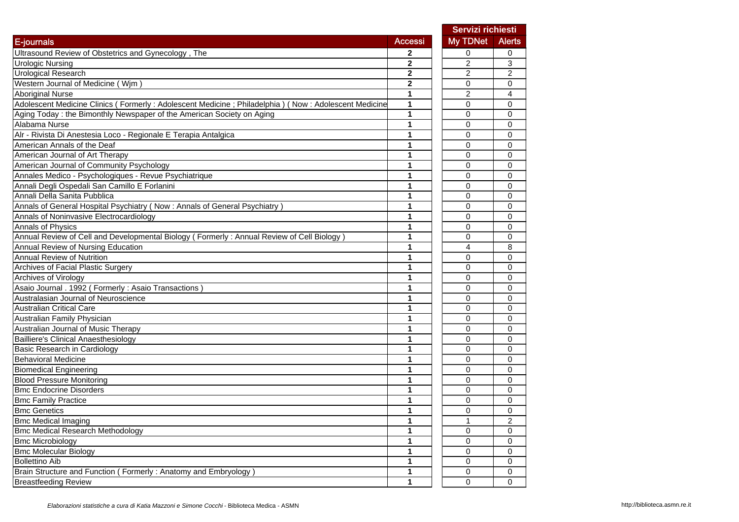|                                                                                                     |                |                | Servizi richiesti |
|-----------------------------------------------------------------------------------------------------|----------------|----------------|-------------------|
| E-journals                                                                                          | <b>Accessi</b> | My TDNet       | <b>Alerts</b>     |
| Ultrasound Review of Obstetrics and Gynecology, The                                                 | 2              | 0              | 0                 |
| <b>Urologic Nursing</b>                                                                             | 2              | $\overline{c}$ | 3                 |
| Urological Research                                                                                 | $\overline{2}$ | $\overline{2}$ | 2                 |
| Western Journal of Medicine (Wjm)                                                                   | $\overline{2}$ | 0              | 0                 |
| <b>Aboriginal Nurse</b>                                                                             | 1              | $\overline{2}$ | 4                 |
| Adolescent Medicine Clinics (Formerly: Adolescent Medicine; Philadelphia) (Now: Adolescent Medicine | 1              | 0              | 0                 |
| Aging Today : the Bimonthly Newspaper of the American Society on Aging                              | 1              | $\Omega$       | 0                 |
| Alabama Nurse                                                                                       | 1              | $\Omega$       | 0                 |
| Alr - Rivista Di Anestesia Loco - Regionale E Terapia Antalgica                                     | 1              | 0              | 0                 |
| American Annals of the Deaf                                                                         | 1              | 0              | 0                 |
| American Journal of Art Therapy                                                                     | 1              | 0              | 0                 |
| American Journal of Community Psychology                                                            | 1              | 0              | 0                 |
| Annales Medico - Psychologiques - Revue Psychiatrique                                               | 1              | 0              | 0                 |
| Annali Degli Ospedali San Camillo E Forlanini                                                       | 1              | 0              | 0                 |
| Annali Della Sanita Pubblica                                                                        | 1              | 0              | 0                 |
| Annals of General Hospital Psychiatry (Now : Annals of General Psychiatry)                          | 1              | 0              | 0                 |
| Annals of Noninvasive Electrocardiology                                                             | 1              | $\Omega$       | 0                 |
| Annals of Physics                                                                                   | 1              | 0              | 0                 |
| Annual Review of Cell and Developmental Biology (Formerly: Annual Review of Cell Biology)           | 1              | 0              | 0                 |
| Annual Review of Nursing Education                                                                  | 1              | 4              | 8                 |
| Annual Review of Nutrition                                                                          | 1              | 0              | $\mathbf 0$       |
| <b>Archives of Facial Plastic Surgery</b>                                                           | 1              | 0              | 0                 |
| Archives of Virology                                                                                | 1              | 0              | 0                 |
| Asaio Journal . 1992 ( Formerly : Asaio Transactions )                                              | 1              | $\Omega$       | 0                 |
| Australasian Journal of Neuroscience                                                                | 1              | $\Omega$       | 0                 |
| <b>Australian Critical Care</b>                                                                     | 1              | 0              | 0                 |
| Australian Family Physician                                                                         | 1              | 0              | 0                 |
| Australian Journal of Music Therapy                                                                 | 1              | $\Omega$       | 0                 |
| <b>Bailliere's Clinical Anaesthesiology</b>                                                         | 1              | 0              | 0                 |
| Basic Research in Cardiology                                                                        | 1              | 0              | 0                 |
| Behavioral Medicine                                                                                 | 1              | 0              | 0                 |
| <b>Biomedical Engineering</b>                                                                       | 1              | $\Omega$       | 0                 |
| <b>Blood Pressure Monitoring</b>                                                                    | 1              | $\Omega$       | 0                 |
| <b>Bmc Endocrine Disorders</b>                                                                      | 1              | $\Omega$       | $\Omega$          |
| <b>Bmc Family Practice</b>                                                                          | 1              | 0              | 0                 |
| <b>Bmc Genetics</b>                                                                                 | 1              | 0              | 0                 |
| <b>Bmc Medical Imaging</b>                                                                          | 1              |                | $\overline{a}$    |
| <b>Bmc Medical Research Methodology</b>                                                             | 1              | 0              | $\mathbf 0$       |
| <b>Bmc Microbiology</b>                                                                             | 1              | 0              | 0                 |
| <b>Bmc Molecular Biology</b>                                                                        | 1              | 0              | 0                 |
| <b>Bollettino Aib</b>                                                                               | 1              | 0              | 0                 |
| Brain Structure and Function (Formerly: Anatomy and Embryology)                                     | 1              | 0              | 0                 |
| <b>Breastfeeding Review</b>                                                                         | 1              | $\mathbf 0$    | $\overline{0}$    |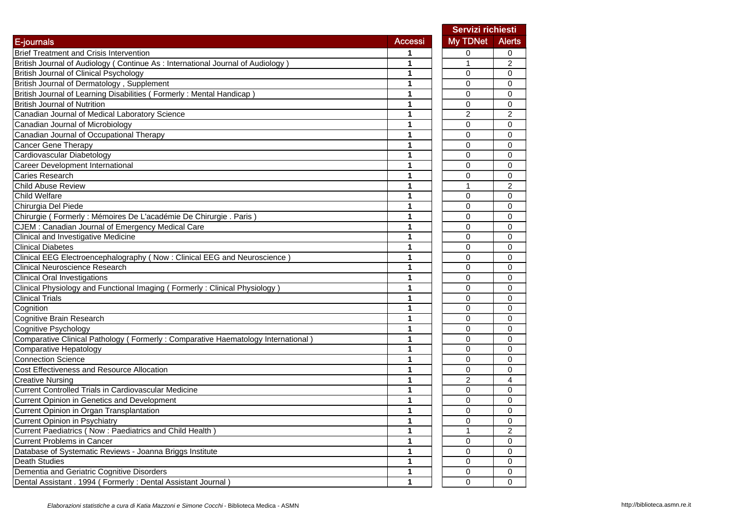|                                                                                  |                |                | Servizi richiesti       |
|----------------------------------------------------------------------------------|----------------|----------------|-------------------------|
| E-journals                                                                       | <b>Accessi</b> | My TDNet       | <b>Alerts</b>           |
| <b>Brief Treatment and Crisis Intervention</b>                                   | 1              | 0              | 0                       |
| British Journal of Audiology (Continue As: International Journal of Audiology)   | 1              | 1              | $\overline{c}$          |
| <b>British Journal of Clinical Psychology</b>                                    | 1              | 0              | 0                       |
| British Journal of Dermatology, Supplement                                       | 1              | 0              | 0                       |
| British Journal of Learning Disabilities (Formerly: Mental Handicap)             | 1              | 0              | 0                       |
| <b>British Journal of Nutrition</b>                                              | 1              | 0              | 0                       |
| Canadian Journal of Medical Laboratory Science                                   | 1              | $\overline{2}$ | $\overline{2}$          |
| Canadian Journal of Microbiology                                                 | 1              | 0              | 0                       |
| Canadian Journal of Occupational Therapy                                         | 1              | 0              | 0                       |
| Cancer Gene Therapy                                                              | 1              | $\Omega$       | 0                       |
| Cardiovascular Diabetology                                                       | 1              | 0              | 0                       |
| Career Development International                                                 | 1              | 0              | 0                       |
| Caries Research                                                                  | 1              | 0              | 0                       |
| Child Abuse Review                                                               | 1              | 1              | 2                       |
| Child Welfare                                                                    | 1              | 0              | 0                       |
| Chirurgia Del Piede                                                              | 1              | $\Omega$       | 0                       |
| Chirurgie (Formerly : Mémoires De L'académie De Chirurgie . Paris)               | 1              | 0              | 0                       |
| CJEM : Canadian Journal of Emergency Medical Care                                | 1              | 0              | 0                       |
| Clinical and Investigative Medicine                                              | 1              | $\mathbf 0$    | 0                       |
| <b>Clinical Diabetes</b>                                                         | 1              | $\mathbf 0$    | 0                       |
| Clinical EEG Electroencephalography (Now: Clinical EEG and Neuroscience)         | 1              | $\mathbf 0$    | 0                       |
| <b>Clinical Neuroscience Research</b>                                            | 1              | 0              | 0                       |
| <b>Clinical Oral Investigations</b>                                              | 1              | $\Omega$       | 0                       |
| Clinical Physiology and Functional Imaging (Formerly: Clinical Physiology)       | 1              | 0              | 0                       |
| <b>Clinical Trials</b>                                                           | 1              | 0              | 0                       |
| Cognition                                                                        | 1              | 0              | 0                       |
| Cognitive Brain Research                                                         | 1              | $\Omega$       | 0                       |
| Cognitive Psychology                                                             | 1              | $\Omega$       | 0                       |
| Comparative Clinical Pathology (Formerly: Comparative Haematology International) | 1              | 0              | 0                       |
| Comparative Hepatology                                                           | 1              | 0              | 0                       |
| <b>Connection Science</b>                                                        | 1              | 0              | 0                       |
| Cost Effectiveness and Resource Allocation                                       | 1              | 0              | 0                       |
| <b>Creative Nursing</b>                                                          | 1              | 2              | 4                       |
| <b>Current Controlled Trials in Cardiovascular Medicine</b>                      | 1              | 0              | 0                       |
| Current Opinion in Genetics and Development                                      | 1              | 0              | 0                       |
| Current Opinion in Organ Transplantation                                         | 1              | $\Omega$       | $\Omega$                |
| Current Opinion in Psychiatry                                                    | 1              | 0              | 0                       |
| Current Paediatrics (Now: Paediatrics and Child Health)                          | 1              | 1              | $\overline{\mathbf{c}}$ |
| <b>Current Problems in Cancer</b>                                                | 1              | 0              | 0                       |
| Database of Systematic Reviews - Joanna Briggs Institute                         | 1              | 0              | 0                       |
| <b>Death Studies</b>                                                             | 1              | 0              | 0                       |
| Dementia and Geriatric Cognitive Disorders                                       | 1              | 0              | 0                       |
| Dental Assistant . 1994 (Formerly: Dental Assistant Journal)                     | 1              | 0              | 0                       |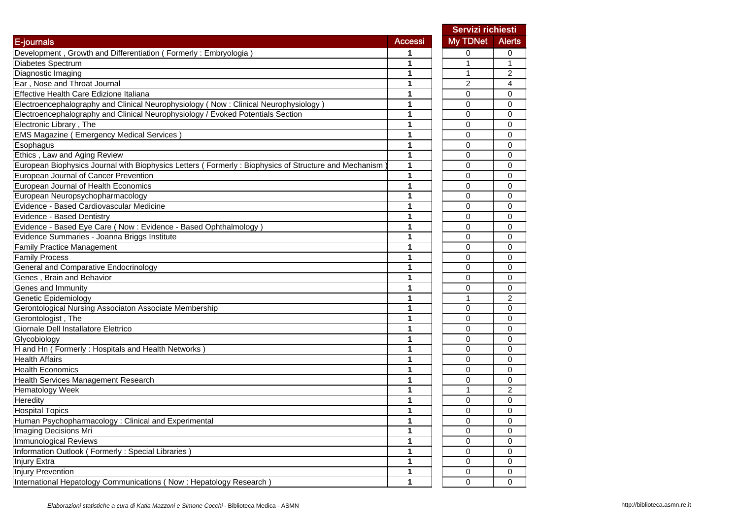|                                                                                                      |                | Servizi richiesti |                |
|------------------------------------------------------------------------------------------------------|----------------|-------------------|----------------|
| E-journals                                                                                           | <b>Accessi</b> | My TDNet          | <b>Alerts</b>  |
| Development, Growth and Differentiation (Formerly: Embryologia)                                      |                | 0                 | 0              |
| Diabetes Spectrum                                                                                    | 1              | 1                 | 1              |
| Diagnostic Imaging                                                                                   | 1              | 1                 | 2              |
| Ear, Nose and Throat Journal                                                                         | 1              | $\overline{c}$    | 4              |
| Effective Health Care Edizione Italiana                                                              | 1              | 0                 | 0              |
| Electroencephalography and Clinical Neurophysiology (Now: Clinical Neurophysiology)                  | 1              | 0                 | $\mathbf 0$    |
| Electroencephalography and Clinical Neurophysiology / Evoked Potentials Section                      | 1              | 0                 | 0              |
| Electronic Library, The                                                                              | 1              | 0                 | 0              |
| <b>EMS Magazine (Emergency Medical Services)</b>                                                     | 1              | 0                 | 0              |
| Esophagus                                                                                            | 1              | 0                 | 0              |
| Ethics, Law and Aging Review                                                                         | 1              | 0                 | 0              |
| European Biophysics Journal with Biophysics Letters (Formerly: Biophysics of Structure and Mechanism | 1              | 0                 | 0              |
| European Journal of Cancer Prevention                                                                | 1              | 0                 | 0              |
| European Journal of Health Economics                                                                 | 1              | 0                 | 0              |
| European Neuropsychopharmacology                                                                     | 1              | 0                 | $\Omega$       |
| Evidence - Based Cardiovascular Medicine                                                             | 1              | 0                 | $\mathbf 0$    |
| Evidence - Based Dentistry                                                                           | 1              | 0                 | $\Omega$       |
| Evidence - Based Eye Care (Now: Evidence - Based Ophthalmology)                                      | 1              | $\Omega$          | $\Omega$       |
| Evidence Summaries - Joanna Briggs Institute                                                         | 1              | $\Omega$          | $\Omega$       |
| <b>Family Practice Management</b>                                                                    | 1              | 0                 | 0              |
| <b>Family Process</b>                                                                                | 1              | 0                 | $\mathbf 0$    |
| General and Comparative Endocrinology                                                                | 1              | 0                 | $\mathbf 0$    |
| Genes, Brain and Behavior                                                                            | 1              | $\Omega$          | $\mathbf 0$    |
| Genes and Immunity                                                                                   | 1              | 0                 | 0              |
| Genetic Epidemiology                                                                                 | 1              | 1                 | $\overline{c}$ |
| Gerontological Nursing Associaton Associate Membership                                               | 1              | 0                 | 0              |
| Gerontologist, The                                                                                   | 1              | 0                 | 0              |
| Giornale Dell Installatore Elettrico                                                                 | 1              | 0                 | 0              |
| Glycobiology                                                                                         | 1              | 0                 | 0              |
| H and Hn (Formerly: Hospitals and Health Networks)                                                   | 1              | $\Omega$          | $\Omega$       |
| <b>Health Affairs</b>                                                                                | 1              | 0                 | $\Omega$       |
| <b>Health Economics</b>                                                                              | 1              | 0                 | $\mathbf 0$    |
| Health Services Management Research                                                                  | 1              | 0                 | 0              |
| Hematology Week                                                                                      | 1              | $\mathbf{1}$      | 2              |
| Heredity                                                                                             | 1              | 0                 | 0              |
| <b>Hospital Topics</b>                                                                               | 1              | 0                 | 0              |
| Human Psychopharmacology : Clinical and Experimental                                                 | 1              | 0                 | 0              |
| <b>Imaging Decisions Mri</b>                                                                         | 1              | 0                 | 0              |
| Immunological Reviews                                                                                | 1              | 0                 | 0              |
| Information Outlook (Formerly: Special Libraries)                                                    | 1              | 0                 | $\mathbf 0$    |
| Injury Extra                                                                                         | 1              | 0                 | $\mathbf 0$    |
| <b>Injury Prevention</b>                                                                             | 1              | 0                 | 0              |
| International Hepatology Communications (Now: Hepatology Research)                                   | 1              | 0                 | 0              |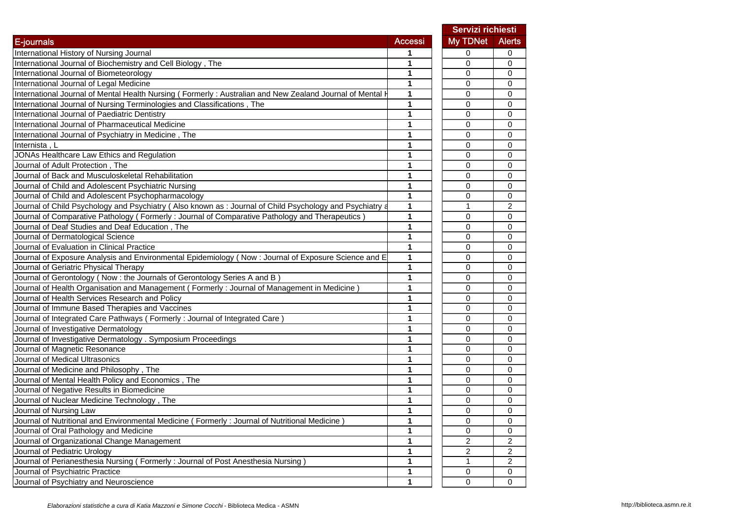|                                                                                                          |                | Servizi richiesti |                |
|----------------------------------------------------------------------------------------------------------|----------------|-------------------|----------------|
| <b>E-journals</b>                                                                                        | <b>Accessi</b> | My TDNet          | <b>Alerts</b>  |
| International History of Nursing Journal                                                                 | 1              | 0                 | 0              |
| International Journal of Biochemistry and Cell Biology, The                                              | 1              | 0                 | 0              |
| International Journal of Biometeorology                                                                  | 1              | 0                 | 0              |
| International Journal of Legal Medicine                                                                  | $\mathbf{1}$   | 0                 | 0              |
| International Journal of Mental Health Nursing (Formerly: Australian and New Zealand Journal of Mental I | 1              | 0                 | 0              |
| International Journal of Nursing Terminologies and Classifications, The                                  | 1              | 0                 | 0              |
| International Journal of Paediatric Dentistry                                                            | 1              | 0                 | 0              |
| International Journal of Pharmaceutical Medicine                                                         | 1              | 0                 | 0              |
| International Journal of Psychiatry in Medicine, The                                                     | 1              | 0                 | 0              |
| Internista, L                                                                                            | 1              | 0                 | 0              |
| JONAs Healthcare Law Ethics and Regulation                                                               | 1              | 0                 | 0              |
| Journal of Adult Protection, The                                                                         | 1              | 0                 | 0              |
| Journal of Back and Musculoskeletal Rehabilitation                                                       | 1              | 0                 | 0              |
| Journal of Child and Adolescent Psychiatric Nursing                                                      | 1              | 0                 | 0              |
| Journal of Child and Adolescent Psychopharmacology                                                       | 1              | 0                 | 0              |
| Journal of Child Psychology and Psychiatry (Also known as : Journal of Child Psychology and Psychiatry a | 1              | 1                 | $\overline{c}$ |
| Journal of Comparative Pathology (Formerly: Journal of Comparative Pathology and Therapeutics            | 1              | 0                 | 0              |
| Journal of Deaf Studies and Deaf Education, The                                                          | 1              | 0                 | 0              |
| Journal of Dermatological Science                                                                        | 1              | 0                 | 0              |
| Journal of Evaluation in Clinical Practice                                                               | 1              | 0                 | 0              |
| Journal of Exposure Analysis and Environmental Epidemiology (Now: Journal of Exposure Science and E      | $\mathbf{1}$   | 0                 | 0              |
| Journal of Geriatric Physical Therapy                                                                    | 1              | 0                 | 0              |
| Journal of Gerontology (Now : the Journals of Gerontology Series A and B)                                | 1              | 0                 | 0              |
| Journal of Health Organisation and Management (Formerly: Journal of Management in Medicine)              | 1              | 0                 | 0              |
| Journal of Health Services Research and Policy                                                           | 1              | 0                 | 0              |
| Journal of Immune Based Therapies and Vaccines                                                           | 1              | 0                 | 0              |
| Journal of Integrated Care Pathways (Formerly: Journal of Integrated Care                                | 1              | 0                 | 0              |
| Journal of Investigative Dermatology                                                                     | 1              | 0                 | 0              |
| Journal of Investigative Dermatology . Symposium Proceedings                                             | 1              | 0                 | 0              |
| Journal of Magnetic Resonance                                                                            | 1              | 0                 | 0              |
| Journal of Medical Ultrasonics                                                                           | 1              | 0                 | 0              |
| Journal of Medicine and Philosophy, The                                                                  | 1              | 0                 | 0              |
| Journal of Mental Health Policy and Economics, The                                                       | 1              | 0                 | 0              |
| Journal of Negative Results in Biomedicine                                                               | 1              | 0                 | 0              |
| Journal of Nuclear Medicine Technology, The                                                              | 1              | 0                 | 0              |
| Journal of Nursing Law                                                                                   | 1              | 0                 | 0              |
| Journal of Nutritional and Environmental Medicine (Formerly: Journal of Nutritional Medicine)            | 1              | 0                 | $\mathsf 0$    |
| Journal of Oral Pathology and Medicine                                                                   | $\mathbf{1}$   | 0                 | $\mathbf 0$    |
| Journal of Organizational Change Management                                                              | 1              | 2                 | 2              |
| Journal of Pediatric Urology                                                                             | $\mathbf{1}$   | $\overline{c}$    | 2              |
| Journal of Perianesthesia Nursing (Formerly: Journal of Post Anesthesia Nursing)                         | 1              | $\mathbf{1}$      | $\overline{2}$ |
| Journal of Psychiatric Practice                                                                          | $\mathbf{1}$   | 0                 | 0              |
| Journal of Psychiatry and Neuroscience                                                                   | 1              | 0                 | $\mathbf 0$    |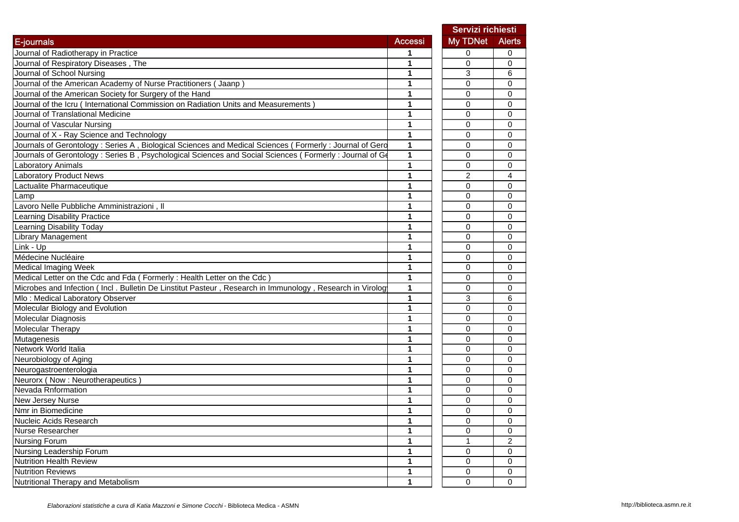|                                                                                                          |                | Servizi richiesti |                |
|----------------------------------------------------------------------------------------------------------|----------------|-------------------|----------------|
| E-journals                                                                                               | <b>Accessi</b> | My TDNet          | <b>Alerts</b>  |
| Journal of Radiotherapy in Practice                                                                      |                | 0                 | 0              |
| Journal of Respiratory Diseases, The                                                                     | 1              | 0                 | $\mathbf 0$    |
| Journal of School Nursing                                                                                | 1              | 3                 | 6              |
| Journal of the American Academy of Nurse Practitioners (Jaanp)                                           | 1              | $\Omega$          | $\Omega$       |
| Journal of the American Society for Surgery of the Hand                                                  | 1              | $\mathbf 0$       | $\Omega$       |
| Journal of the Icru (International Commission on Radiation Units and Measurements)                       | 1              | $\mathbf 0$       | $\mathbf 0$    |
| Journal of Translational Medicine                                                                        | 1              | 0                 | 0              |
| Journal of Vascular Nursing                                                                              | 1              | 0                 | $\mathbf 0$    |
| Journal of X - Ray Science and Technology                                                                | 1              | 0                 | $\mathbf 0$    |
| Journals of Gerontology : Series A, Biological Sciences and Medical Sciences (Formerly : Journal of Gero | $\mathbf{1}$   | 0                 | $\mathbf 0$    |
| Journals of Gerontology : Series B, Psychological Sciences and Social Sciences (Formerly: Journal of Go  | 1              | 0                 | 0              |
| Laboratory Animals                                                                                       | 1              | 0                 | $\Omega$       |
| <b>Laboratory Product News</b>                                                                           | 1              | 2                 | 4              |
| Lactualite Pharmaceutique                                                                                | 1              | 0                 | 0              |
| Lamp                                                                                                     | 1              | 0                 | 0              |
| Lavoro Nelle Pubbliche Amministrazioni, Il                                                               | 1              | 0                 | 0              |
| Learning Disability Practice                                                                             | 1              | 0                 | 0              |
| Learning Disability Today                                                                                | 1              | $\mathbf 0$       | $\Omega$       |
| <b>Library Management</b>                                                                                | 1              | $\mathbf 0$       | 0              |
| Link - Up                                                                                                | 1              | 0                 | $\mathbf 0$    |
| Médecine Nucléaire                                                                                       | 1              | 0                 | $\Omega$       |
| Medical Imaging Week                                                                                     | 1              | $\mathbf 0$       | $\Omega$       |
| Medical Letter on the Cdc and Fda (Formerly: Health Letter on the Cdc)                                   | 1              | 0                 | $\mathbf 0$    |
| Microbes and Infection (Incl. Bulletin De Linstitut Pasteur, Research in Immunology, Research in Virolog | 1              | 0                 | $\mathbf 0$    |
| Mlo: Medical Laboratory Observer                                                                         | 1              | 3                 | 6              |
| Molecular Biology and Evolution                                                                          | 1              | $\Omega$          | $\mathbf 0$    |
| Molecular Diagnosis                                                                                      | 1              | 0                 | $\mathbf 0$    |
| Molecular Therapy                                                                                        | 1              | 0                 | 0              |
| Mutagenesis                                                                                              | 1              | 0                 | 0              |
| Network World Italia                                                                                     | 1              | 0                 | 0              |
| Neurobiology of Aging                                                                                    | 1              | 0                 | 0              |
| Neurogastroenterologia                                                                                   | 1              | 0                 | 0              |
| Neurorx (Now : Neurotherapeutics)                                                                        | 1              | 0                 | $\Omega$       |
| Nevada Rnformation                                                                                       | 1              | 0                 | $\Omega$       |
| <b>New Jersey Nurse</b>                                                                                  | 1              | 0                 | $\Omega$       |
| Nmr in Biomedicine                                                                                       | 1              | 0                 | 0              |
| Nucleic Acids Research                                                                                   | 1              | 0                 | 0              |
| Nurse Researcher                                                                                         | 1              | 0                 | 0              |
| Nursing Forum                                                                                            | $\mathbf{1}$   | 1                 | $\overline{c}$ |
| Nursing Leadership Forum                                                                                 | $\mathbf{1}$   | 0                 | 0              |
| Nutrition Health Review                                                                                  | $\mathbf{1}$   | 0                 | 0              |
| <b>Nutrition Reviews</b>                                                                                 | 1              | 0                 | $\mathbf 0$    |
| Nutritional Therapy and Metabolism                                                                       | $\mathbf{1}$   | $\mathbf 0$       | $\Omega$       |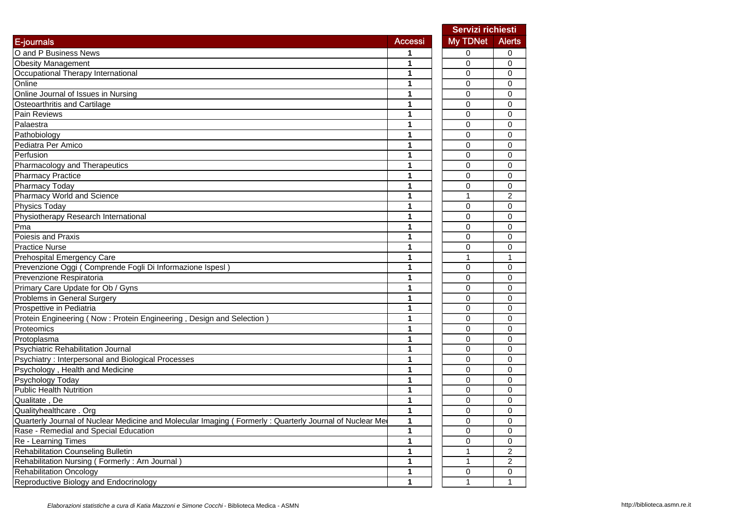|                                                                                                        |                | Servizi richiesti |                |
|--------------------------------------------------------------------------------------------------------|----------------|-------------------|----------------|
| E-journals                                                                                             | <b>Accessi</b> | My TDNet          | <b>Alerts</b>  |
| O and P Business News                                                                                  |                | 0                 | 0              |
| <b>Obesity Management</b>                                                                              | 1              | $\mathbf 0$       | 0              |
| Occupational Therapy International                                                                     | 1              | 0                 | 0              |
| Online                                                                                                 | 1              | 0                 | 0              |
| Online Journal of Issues in Nursing                                                                    | 1              | $\mathbf 0$       | 0              |
| Osteoarthritis and Cartilage                                                                           | 1              | 0                 | 0              |
| Pain Reviews                                                                                           | 1              | $\mathbf 0$       | 0              |
| Palaestra                                                                                              | 1              | 0                 | 0              |
| Pathobiology                                                                                           | 1              | 0                 | 0              |
| Pediatra Per Amico                                                                                     | 1              | 0                 | 0              |
| Perfusion                                                                                              | 1              | 0                 | 0              |
| Pharmacology and Therapeutics                                                                          | 1              | 0                 | 0              |
| <b>Pharmacy Practice</b>                                                                               | 1              | $\mathbf 0$       | 0              |
| <b>Pharmacy Today</b>                                                                                  | 1              | 0                 | 0              |
| Pharmacy World and Science                                                                             | 1              | 1                 | 2              |
| <b>Physics Today</b>                                                                                   | 1              | 0                 | 0              |
| Physiotherapy Research International                                                                   | 1              | $\mathbf 0$       | 0              |
| Pma                                                                                                    | 1              | $\mathbf 0$       | 0              |
| Poiesis and Praxis                                                                                     | 1              | $\mathbf 0$       | 0              |
| <b>Practice Nurse</b>                                                                                  | 1              | 0                 | 0              |
| Prehospital Emergency Care                                                                             | 1              | 1                 | $\mathbf 1$    |
| Prevenzione Oggi (Comprende Fogli Di Informazione Ispesl)                                              | 1              | $\mathbf 0$       | 0              |
| Prevenzione Respiratoria                                                                               | 1              | 0                 | 0              |
| Primary Care Update for Ob / Gyns                                                                      | 1              | $\Omega$          | 0              |
| Problems in General Surgery                                                                            | 1              | $\mathbf{0}$      | 0              |
| Prospettive in Pediatria                                                                               | 1              | 0                 | 0              |
| Protein Engineering (Now: Protein Engineering, Design and Selection                                    | 1              | 0                 | 0              |
| Proteomics                                                                                             | 1              | 0                 | 0              |
| Protoplasma                                                                                            | 1              | 0                 | 0              |
| <b>Psychiatric Rehabilitation Journal</b>                                                              | 1              | 0                 | 0              |
| Psychiatry: Interpersonal and Biological Processes                                                     | 1              | 0                 | 0              |
| Psychology, Health and Medicine                                                                        | 1              | 0                 | 0              |
| Psychology Today                                                                                       | 1              | $\mathbf 0$       | 0              |
| <b>Public Health Nutrition</b>                                                                         | 1              | $\mathbf 0$       | 0              |
| Qualitate, De                                                                                          | 1              | 0                 | 0              |
| Qualityhealthcare . Org                                                                                | 1              | 0                 | 0              |
| Quarterly Journal of Nuclear Medicine and Molecular Imaging (Formerly: Quarterly Journal of Nuclear Me | 1              | $\mathbf 0$       | 0              |
| Rase - Remedial and Special Education                                                                  | 1              | $\mathbf 0$       | $\mathbf 0$    |
| Re - Learning Times                                                                                    | 1              | 0                 | 0              |
| <b>Rehabilitation Counseling Bulletin</b>                                                              | 1              | $\mathbf{1}$      | $\overline{c}$ |
| Rehabilitation Nursing (Formerly: Arn Journal)                                                         | 1              | 1                 | $\overline{c}$ |
| <b>Rehabilitation Oncology</b>                                                                         | 1              | 0                 | 0              |
| Reproductive Biology and Endocrinology                                                                 | 1              | $\mathbf{1}$      | $\mathbf{1}$   |